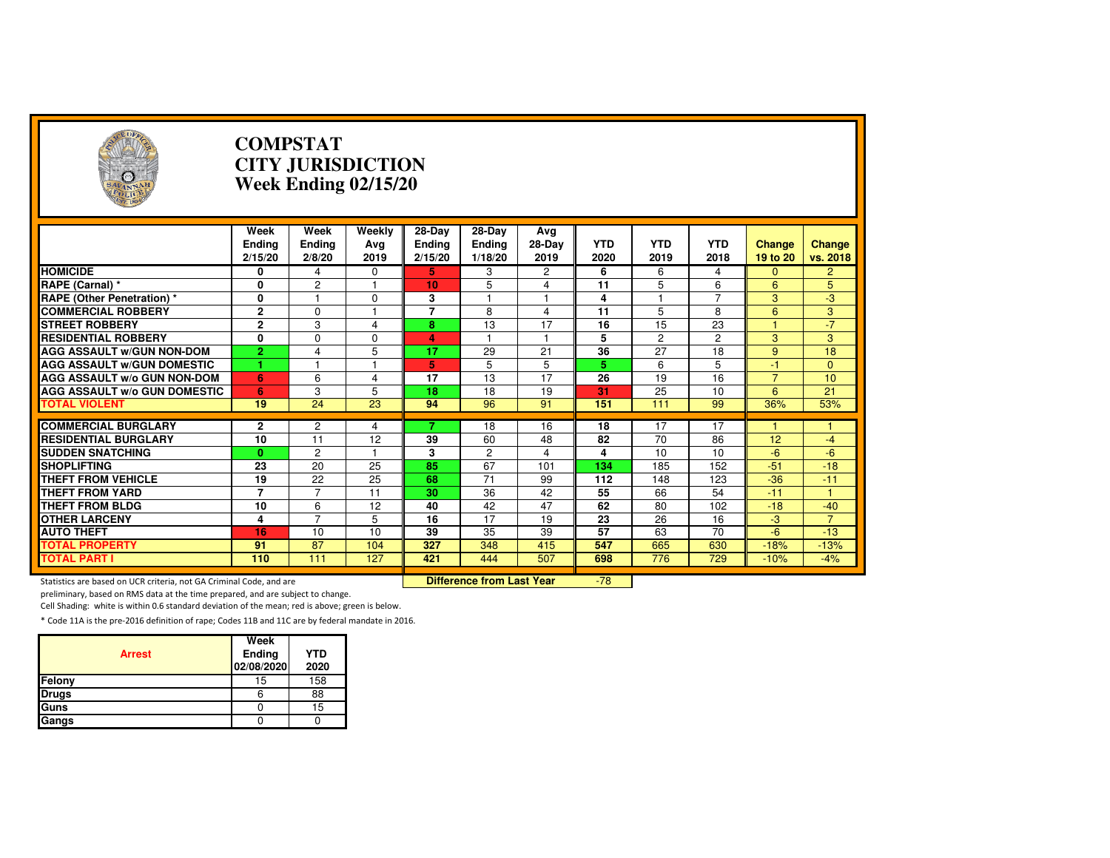| $(\cdot, \cdot)$                                                    |                                  | <b>COMPSTAT</b>                 | <b>CITY JURISDICTION</b><br>Week Ending 02/15/20 |                                    |                                    |                       |                    |                    |                    |                           |                         |
|---------------------------------------------------------------------|----------------------------------|---------------------------------|--------------------------------------------------|------------------------------------|------------------------------------|-----------------------|--------------------|--------------------|--------------------|---------------------------|-------------------------|
|                                                                     | Week<br><b>Ending</b><br>2/15/20 | Week<br><b>Ending</b><br>2/8/20 | Weekly<br>Avg<br>2019                            | 28-Day<br><b>Ending</b><br>2/15/20 | 28-Day<br><b>Ending</b><br>1/18/20 | Avg<br>28-Day<br>2019 | <b>YTD</b><br>2020 | <b>YTD</b><br>2019 | <b>YTD</b><br>2018 | <b>Change</b><br>19 to 20 | Change<br>vs. 2018      |
| <b>HOMICIDE</b>                                                     | 0                                | 4                               | 0                                                | 5                                  | 3                                  | 2                     | 6                  | 6                  | 4                  | $\mathbf{0}$              | $\overline{2}$          |
| RAPE (Carnal) *                                                     | 0                                | $\overline{c}$                  | 1                                                | 10                                 | 5                                  | 4                     | 11                 | 5                  | 6                  | 6                         | 5                       |
| <b>RAPE (Other Penetration) *</b>                                   | 0                                | $\overline{1}$                  | $\Omega$                                         | 3                                  | 1                                  | 1                     | 4                  | 1                  | $\overline{7}$     | 3                         | $-3$                    |
| <b>COMMERCIAL ROBBERY</b>                                           | $\overline{2}$                   | $\Omega$                        |                                                  | 7                                  | 8                                  | $\overline{4}$        | 11                 | 5                  | 8                  | 6                         | 3                       |
| <b>STREET ROBBERY</b>                                               | $\overline{2}$                   | 3                               | 4                                                | 8                                  | 13                                 | 17                    | 16                 | 15                 | 23                 | $\blacktriangleleft$      | $-7$                    |
| <b>RESIDENTIAL ROBBERY</b>                                          | 0                                | $\Omega$                        | 0                                                | 4                                  |                                    | $\mathbf{1}$          | 5                  | $\overline{2}$     | $\overline{c}$     | 3                         | 3                       |
| <b>AGG ASSAULT W/GUN NON-DOM</b>                                    | $\overline{2}$                   | 4                               | 5                                                | 17                                 | 29                                 | 21                    | 36                 | 27                 | 18                 | 9                         | 18                      |
| <b>AGG ASSAULT WGUN DOMESTIC</b>                                    |                                  |                                 |                                                  | 5                                  | 5                                  | 5                     | 5                  | 6                  | 5                  | $-1$                      | $\Omega$                |
| AGG ASSAULT w/o GUN NON-DOM                                         | 6                                | 6                               | 4                                                | 17                                 | 13                                 | 17                    | 26                 | 19                 | 16                 | $\overline{7}$            | 10                      |
| <b>AGG ASSAULT W/o GUN DOMESTIC</b>                                 | 6                                | 3                               | 5                                                | 18                                 | 18                                 | 19                    | 31                 | 25                 | 10                 | 6                         | 21                      |
| <b>TOTAL VIOLENT</b>                                                | 19                               | 24                              | $\overline{23}$                                  | 94                                 | 96                                 | 91                    | 151                | 111                | 99                 | 36%                       | 53%                     |
|                                                                     |                                  |                                 |                                                  |                                    |                                    |                       |                    |                    |                    |                           |                         |
| <b>COMMERCIAL BURGLARY</b>                                          | 2<br>10                          | 2<br>11                         | 4                                                |                                    | 18                                 | 16                    | 18<br>82           | 17<br>70           | 17                 |                           |                         |
| <b>RESIDENTIAL BURGLARY</b><br><b>SUDDEN SNATCHING</b>              |                                  | $\overline{2}$                  | 12                                               | 39<br>3                            | 60<br>$\overline{c}$               | 48                    | 4                  | 10                 | 86<br>10           | 12<br>$-6$                | $-4$<br>$-6$            |
| <b>SHOPLIFTING</b>                                                  | $\mathbf{0}$<br>23               | 20                              | 25                                               | 85                                 | 67                                 | 4<br>101              | 134                | 185                | 152                | $-51$                     | $-18$                   |
| <b>THEFT FROM VEHICLE</b>                                           | 19                               | 22                              | 25                                               | 68                                 | 71                                 | 99                    | 112                | 148                | 123                | $-36$                     | $-11$                   |
| <b>THEFT FROM YARD</b>                                              | $\overline{7}$                   | $\overline{7}$                  | 11                                               | 30                                 | 36                                 | 42                    | 55                 | 66                 | 54                 | $-11$                     | $\mathbf{1}$            |
| <b>THEFT FROM BLDG</b>                                              | 10                               |                                 | 12                                               | 40                                 | 42                                 | 47                    | 62                 | 80                 | 102                | $-18$                     |                         |
|                                                                     |                                  | 6<br>$\overline{7}$             |                                                  |                                    |                                    |                       |                    |                    |                    |                           | $-40$<br>$\overline{7}$ |
| <b>OTHER LARCENY</b>                                                | 4<br>16                          |                                 | 5<br>10                                          | 16<br>39                           | 17<br>35                           | 19                    | 23<br>57           | 26<br>63           | 16<br>70           | $-3$<br>$-6$              |                         |
| <b>AUTO THEFT</b><br><b>TOTAL PROPERTY</b>                          | 91                               | 10<br>$\overline{87}$           | 104                                              | 327                                | 348                                | 39<br>415             | 547                |                    | 630                |                           | $-13$<br>$-13%$         |
| <b>TOTAL PART I</b>                                                 | 110                              | 111                             | 127                                              | 421                                | 444                                | 507                   | 698                | 665<br>776         | 729                | $-18%$<br>$-10%$          | $-4%$                   |
|                                                                     |                                  |                                 |                                                  |                                    |                                    |                       |                    |                    |                    |                           |                         |
| Statistics are based on UCR criteria, not GA Criminal Code, and are |                                  |                                 |                                                  |                                    | <b>Difference from Last Year</b>   |                       | $-78$              |                    |                    |                           |                         |

Statistics are based on UCR criteria, not GA Criminal Code, and are **Difference from Last Year** 

preliminary, based on RMS data at the time prepared, and are subject to change.

Cell Shading: white is within 0.6 standard deviation of the mean; red is above; green is below.

| <b>Arrest</b> | Week<br>Ending<br>02/08/2020 | <b>YTD</b><br>2020 |
|---------------|------------------------------|--------------------|
| Felony        | 15                           | 158                |
| <b>Drugs</b>  | 6                            | 88                 |
| Guns          |                              | 15                 |
| Gangs         |                              |                    |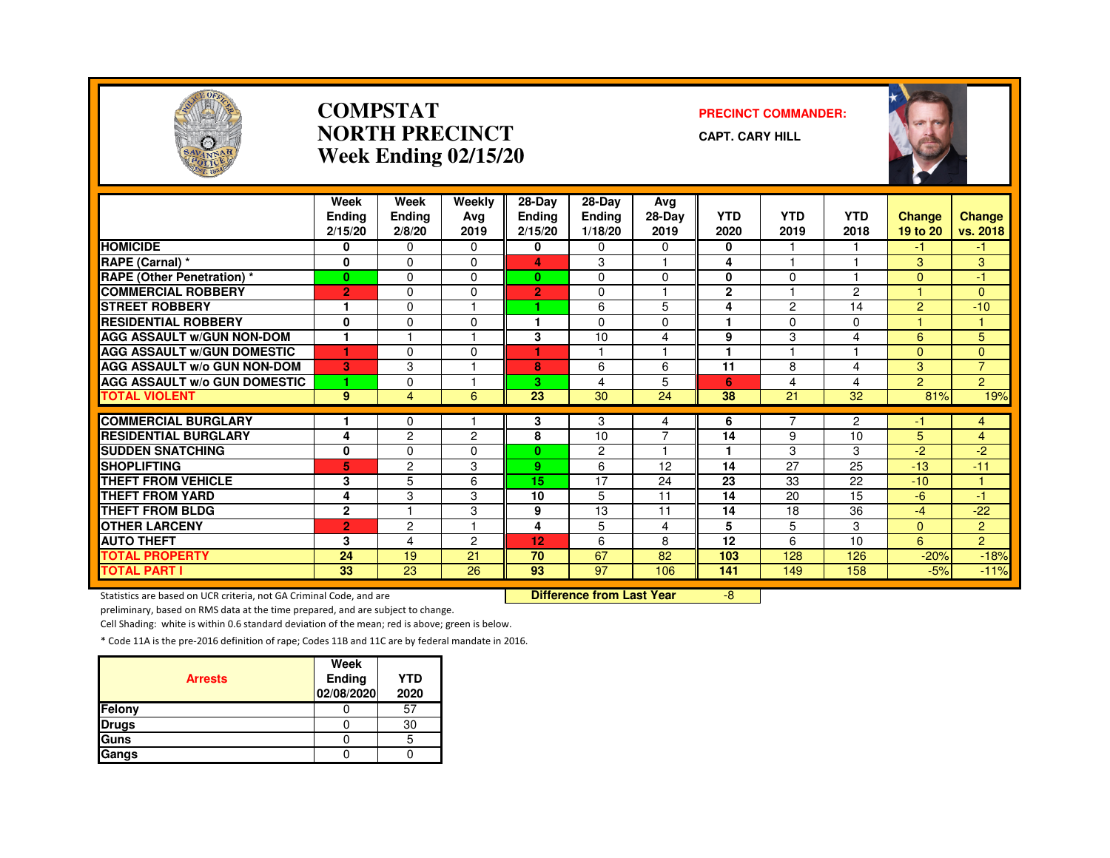

#### **COMPSTATNORTH PRECINCTWeek Ending 02/15/20**

#### **PRECINCT COMMANDER:**

**CAPT. CARY HILL**



|                                     | Week            | Week            | Weekly        | 28-Day         | 28-Day          | Avg                     |              |                |                    |                |                |
|-------------------------------------|-----------------|-----------------|---------------|----------------|-----------------|-------------------------|--------------|----------------|--------------------|----------------|----------------|
|                                     | <b>Ending</b>   | <b>Ending</b>   | Avg           | <b>Ending</b>  | <b>Ending</b>   | 28-Day                  | <b>YTD</b>   | <b>YTD</b>     | <b>YTD</b><br>2018 | Change         | <b>Change</b>  |
|                                     | 2/15/20         | 2/8/20          | 2019          | 2/15/20        | 1/18/20         | 2019                    | 2020         | 2019           |                    | 19 to 20       | vs. 2018       |
| <b>HOMICIDE</b>                     | 0               | $\Omega$        | 0             | 0              | 0               | 0                       | 0            |                |                    | -1             | -1             |
| RAPE (Carnal) *                     | 0               | $\Omega$        | $\Omega$      | 4              | 3               |                         | 4            |                |                    | 3              | 3              |
| <b>RAPE (Other Penetration) *</b>   | $\mathbf{0}$    | $\Omega$        | $\Omega$      | $\bf{0}$       | $\Omega$        | $\Omega$                | 0            | $\Omega$       |                    | $\Omega$       | 47             |
| <b>COMMERCIAL ROBBERY</b>           | $\overline{2}$  | 0               | <sup>0</sup>  | $\overline{2}$ | $\Omega$        | м                       | $\mathbf{2}$ |                | $\overline{2}$     |                | $\Omega$       |
| <b>STREET ROBBERY</b>               | ٠               | 0               |               | ٠              | 6               | 5                       | 4            | $\overline{c}$ | 14                 | $\overline{2}$ | $-10$          |
| <b>RESIDENTIAL ROBBERY</b>          | 0               | 0               | $\Omega$      |                | $\Omega$        | 0                       |              | $\Omega$       | $\Omega$           |                |                |
| <b>AGG ASSAULT W/GUN NON-DOM</b>    | $\mathbf{1}$    |                 |               | 3              | 10              | 4                       | 9            | 3              | 4                  | 6              | 5              |
| <b>AGG ASSAULT W/GUN DOMESTIC</b>   | ٠               | $\Omega$        | 0             | ٠              | ٠               | $\overline{1}$          | 1            |                |                    | $\Omega$       | $\Omega$       |
| <b>AGG ASSAULT w/o GUN NON-DOM</b>  | в               | 3               |               | 8              | 6               | 6                       | 11           | 8              | 4                  | 3              | $\overline{7}$ |
| <b>AGG ASSAULT W/o GUN DOMESTIC</b> | 1               | 0               |               | 3.             | 4               | 5                       | 6            | 4              | 4                  | $\overline{2}$ | $\overline{2}$ |
| <b>TOTAL VIOLENT</b>                | 9               | 4               | 6             | 23             | 30              | 24                      | 38           | 21             | 32                 | 81%            | 19%            |
|                                     |                 |                 |               |                |                 |                         |              |                |                    |                |                |
| <b>COMMERCIAL BURGLARY</b>          |                 | 0               |               | 3              | 3               | 4                       | 6            | 7              | $\mathbf{2}$       | $-1$           | 4              |
| <b>RESIDENTIAL BURGLARY</b>         | 4               | $\overline{c}$  | $\mathcal{P}$ | 8              | 10              | $\overline{7}$          | 14           | 9              | 10                 | 5              | $\overline{4}$ |
| <b>SUDDEN SNATCHING</b>             | 0               | 0               | 0             | $\mathbf{0}$   | $\overline{c}$  | $\overline{\mathbf{1}}$ | 1            | 3              | 3                  | $-2$           | $-2$           |
| <b>SHOPLIFTING</b>                  | 5               | $\overline{c}$  | 3             | 9              | 6               | 12                      | 14           | 27             | 25                 | $-13$          | $-11$          |
| <b>THEFT FROM VEHICLE</b>           | 3               | 5               | 6             | 15             | 17              | 24                      | 23           | 33             | 22                 | $-10$          | и              |
| <b>THEFT FROM YARD</b>              | 4               | 3               | 3             | 10             | 5               | 11                      | 14           | 20             | 15                 | $-6$           | -1             |
| <b>THEFT FROM BLDG</b>              | $\mathbf{2}$    | н               | 3             | 9              | 13              | 11                      | 14           | 18             | 36                 | $-4$           | $-22$          |
| <b>OTHER LARCENY</b>                | $\overline{2}$  | $\overline{2}$  |               | 4              | 5               | 4                       | 5            | 5              | 3                  | $\Omega$       | $\overline{2}$ |
| <b>AUTO THEFT</b>                   | 3               | 4               | 2             | 12             | 6               | 8                       | 12           | 6              | 10                 | 6              | $\overline{2}$ |
| <b>TOTAL PROPERTY</b>               | 24              | 19              | 21            | 70             | 67              | 82                      | 103          | 128            | 126                | $-20%$         | $-18%$         |
| <b>TOTAL PART I</b>                 | $\overline{33}$ | $\overline{23}$ | 26            | 93             | $\overline{97}$ | 106                     | 141          | 149            | 158                | $-5%$          | $-11%$         |

Statistics are based on UCR criteria, not GA Criminal Code, and are **Difference from Last Year** 

-8

preliminary, based on RMS data at the time prepared, and are subject to change.

Cell Shading: white is within 0.6 standard deviation of the mean; red is above; green is below.

| <b>Arrests</b> | Week<br>Ending<br>02/08/2020 | <b>YTD</b><br>2020 |
|----------------|------------------------------|--------------------|
| Felony         |                              | 57                 |
| <b>Drugs</b>   |                              | 30                 |
| Guns           |                              | 5                  |
| Gangs          |                              |                    |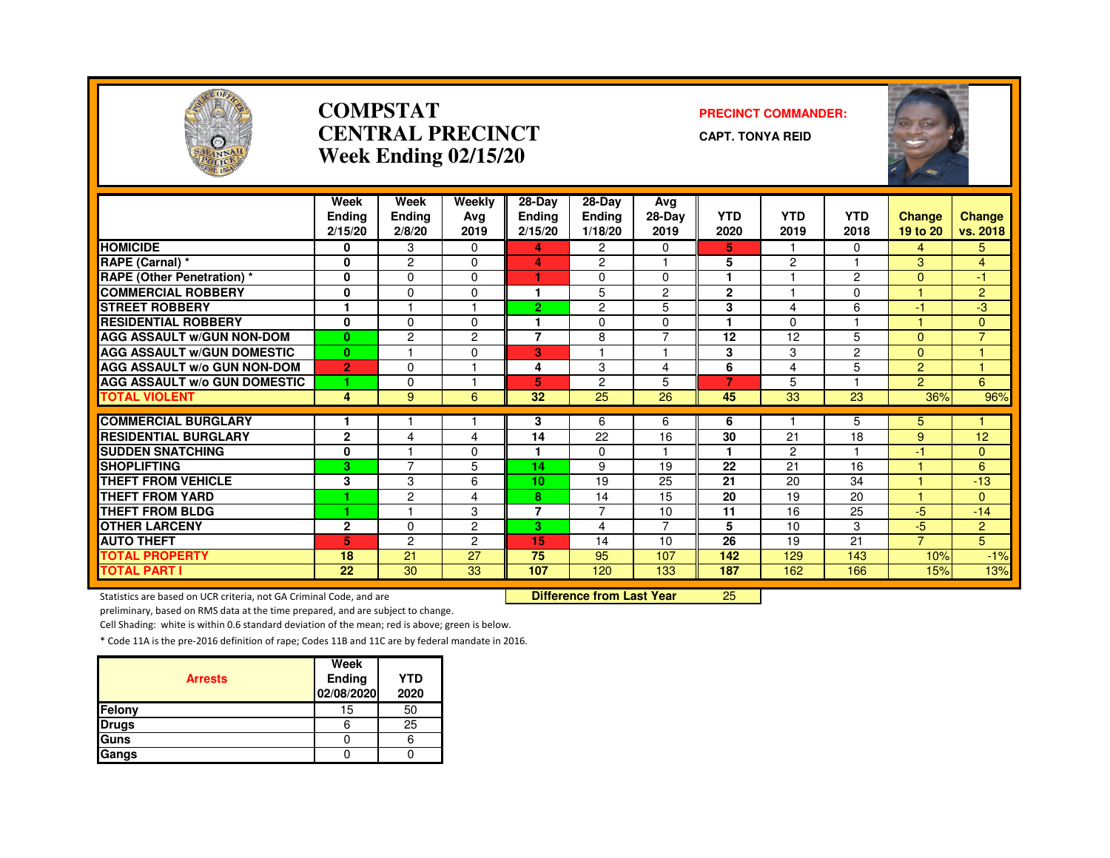

#### **COMPSTATCENTRAL PRECINCTWeek Ending 02/15/20**

#### **PRECINCT COMMANDER:**

**CAPT. TONYA REID**



|                                                                     | Week                     | Week             | Weekly         | 28-Day                   | 28-Day                           | Avg             |                    |                    |                    |                    |                    |
|---------------------------------------------------------------------|--------------------------|------------------|----------------|--------------------------|----------------------------------|-----------------|--------------------|--------------------|--------------------|--------------------|--------------------|
|                                                                     | <b>Ending</b><br>2/15/20 | Ending<br>2/8/20 | Ava<br>2019    | <b>Ending</b><br>2/15/20 | <b>Ending</b><br>1/18/20         | 28-Day<br>2019  | <b>YTD</b><br>2020 | <b>YTD</b><br>2019 | <b>YTD</b><br>2018 | Change<br>19 to 20 | Change<br>vs. 2018 |
|                                                                     |                          |                  |                |                          |                                  |                 |                    |                    |                    |                    |                    |
| <b>HOMICIDE</b>                                                     | 0                        | 3                | 0              | 4                        | $\overline{c}$                   | 0               | 5.                 |                    | 0                  | 4                  | 5.                 |
| RAPE (Carnal) *                                                     | 0                        | $\overline{2}$   | 0              | 4                        | $\overline{c}$                   |                 | 5                  | $\overline{2}$     |                    | 3                  | $\overline{4}$     |
| <b>RAPE (Other Penetration)*</b>                                    | 0                        | $\Omega$         | $\Omega$       | ٠                        | $\Omega$                         | $\mathbf 0$     | 1                  |                    | $\overline{2}$     | $\Omega$           | $-1$               |
| <b>COMMERCIAL ROBBERY</b>                                           | 0                        | $\mathbf 0$      | 0              | 1                        | 5                                | $\overline{2}$  | $\mathbf{2}$       |                    | $\Omega$           |                    | $\overline{2}$     |
| <b>STREET ROBBERY</b>                                               | 1                        |                  |                | $\overline{2}$           | $\overline{c}$                   | 5               | 3                  | 4                  | 6                  | $-1$               | $-3$               |
| <b>RESIDENTIAL ROBBERY</b>                                          | $\mathbf 0$              | $\mathbf 0$      | 0              |                          | $\mathbf 0$                      | 0               | 1                  | $\Omega$           |                    |                    | $\overline{0}$     |
| <b>AGG ASSAULT W/GUN NON-DOM</b>                                    | $\bf{0}$                 | $\overline{c}$   | $\overline{2}$ | $\overline{7}$           | 8                                | $\overline{7}$  | 12                 | 12                 | 5                  | $\Omega$           | $\overline{7}$     |
| <b>AGG ASSAULT W/GUN DOMESTIC</b>                                   | $\mathbf{0}$             |                  | 0              | 3                        |                                  |                 | 3                  | 3                  | $\overline{2}$     | $\Omega$           |                    |
| <b>AGG ASSAULT W/o GUN NON-DOM</b>                                  | $\overline{2}$           | $\Omega$         |                | 4                        | 3                                | $\overline{4}$  | 6                  | 4                  | 5                  | $\overline{2}$     | и                  |
| <b>AGG ASSAULT W/o GUN DOMESTIC</b>                                 |                          | $\Omega$         |                | 5                        | $\overline{c}$                   | 5               | 7                  | 5                  |                    | $\overline{2}$     | 6                  |
| <b>TOTAL VIOLENT</b>                                                | 4                        | 9                | 6              | 32                       | 25                               | 26              | 45                 | 33                 | 23                 | 36%                | 96%                |
|                                                                     |                          |                  |                |                          |                                  |                 |                    |                    |                    |                    |                    |
| <b>COMMERCIAL BURGLARY</b>                                          |                          |                  |                | 3                        | 6                                | 6               | 6                  |                    | 5                  | 5                  |                    |
| <b>RESIDENTIAL BURGLARY</b>                                         | $\overline{2}$           | 4                | 4              | 14                       | $\overline{22}$                  | $\overline{16}$ | 30                 | $\overline{21}$    | 18                 | 9                  | 12                 |
| <b>SUDDEN SNATCHING</b>                                             | 0                        |                  | 0              |                          | $\mathbf{0}$                     |                 | 1                  | 2                  |                    | $-1$               | $\overline{0}$     |
| <b>SHOPLIFTING</b>                                                  | 3                        | $\overline{7}$   | 5              | 14                       | 9                                | 19              | 22                 | 21                 | 16                 |                    | 6                  |
| <b>THEFT FROM VEHICLE</b>                                           | 3                        | 3                | 6              | 10                       | 19                               | 25              | 21                 | 20                 | 34                 |                    | $-13$              |
| <b>THEFT FROM YARD</b>                                              |                          | $\overline{c}$   | 4              | 8                        | 14                               | 15              | 20                 | 19                 | 20                 |                    | $\overline{0}$     |
| <b>THEFT FROM BLDG</b>                                              | 4                        |                  | 3              | $\overline{7}$           | $\overline{7}$                   | 10              | 11                 | 16                 | 25                 | $-5$               | $-14$              |
| <b>OTHER LARCENY</b>                                                | $\overline{2}$           | $\Omega$         | $\overline{2}$ | 3                        | 4                                | $\overline{7}$  | 5                  | 10                 | 3                  | $-5$               | $\overline{2}$     |
| <b>AUTO THEFT</b>                                                   | 5                        | $\overline{2}$   | $\overline{2}$ | 15                       | 14                               | 10              | 26                 | 19                 | 21                 | $\overline{7}$     | 5                  |
| <b>TOTAL PROPERTY</b>                                               | 18                       | 21               | 27             | 75                       | 95                               | 107             | 142                | 129                | 143                | 10%                | $-1%$              |
| <b>TOTAL PART I</b>                                                 | 22                       | 30               | 33             | 107                      | 120                              | 133             | 187                | 162                | 166                | 15%                | 13%                |
| Statistics are based on UCR criteria, not GA Criminal Code, and are |                          |                  |                |                          | <b>Difference from Last Year</b> |                 | 25                 |                    |                    |                    |                    |

Statistics are based on UCR criteria, not GA Criminal Code, and are **Difference from Last Year** 

preliminary, based on RMS data at the time prepared, and are subject to change.

Cell Shading: white is within 0.6 standard deviation of the mean; red is above; green is below.

| <b>Arrests</b> | Week<br>Ending<br>02/08/2020 | <b>YTD</b><br>2020 |
|----------------|------------------------------|--------------------|
| Felony         | 15                           | 50                 |
| <b>Drugs</b>   | o                            | 25                 |
| Guns           |                              |                    |
| Gangs          |                              |                    |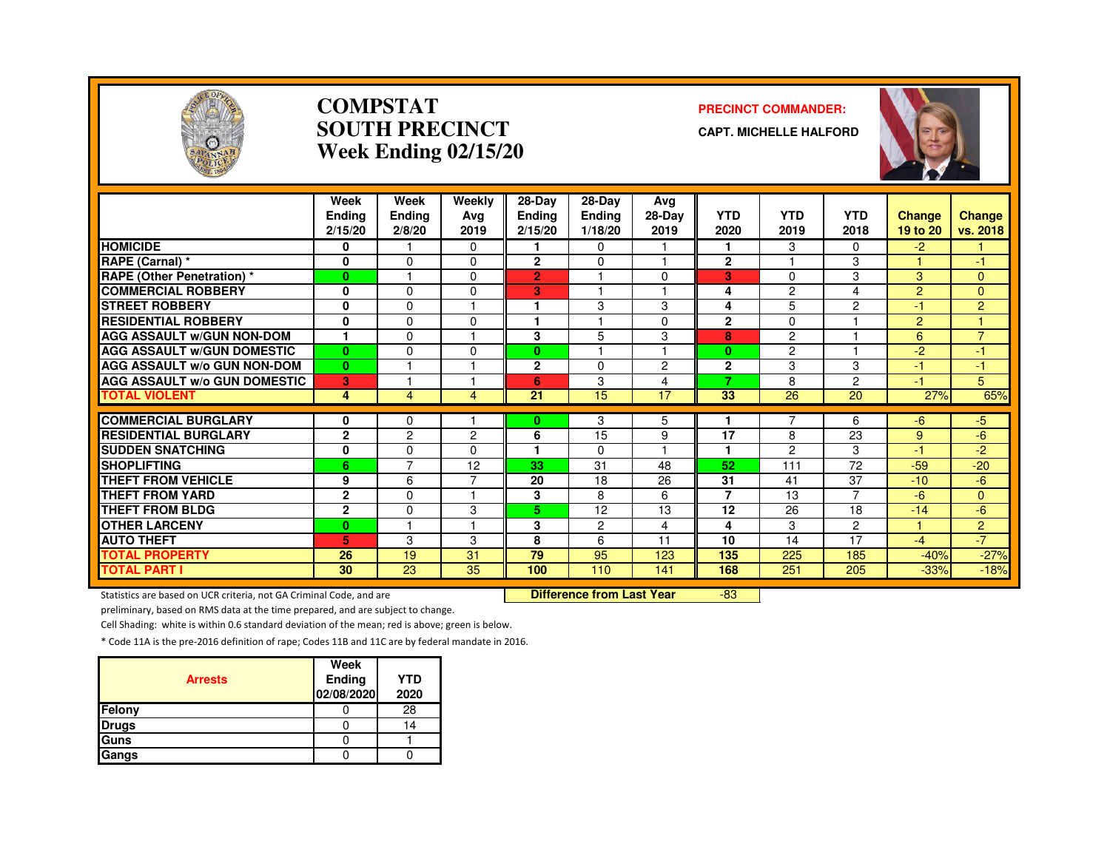

#### **COMPSTATSOUTH PRECINCTWeek Ending 02/15/20**

#### **PRECINCT COMMANDER:**

**CAPT. MICHELLE HALFORD**



|                                               | Week<br>Endina<br>2/15/20 | Week<br>Ending<br>2/8/20   | Weekly<br>Avg<br>2019 | 28-Day<br><b>Ending</b><br>2/15/20 | $28$ -Day<br><b>Ending</b><br>1/18/20 | Avg<br>28-Day<br>2019 | <b>YTD</b><br>2020   | <b>YTD</b><br>2019    | <b>YTD</b><br>2018   | Change<br>19 to 20 | Change<br>vs. 2018 |
|-----------------------------------------------|---------------------------|----------------------------|-----------------------|------------------------------------|---------------------------------------|-----------------------|----------------------|-----------------------|----------------------|--------------------|--------------------|
| <b>HOMICIDE</b>                               | 0                         |                            | $\Omega$              |                                    | $\Omega$                              |                       | 1                    | 3                     | 0                    | $-2$               |                    |
| RAPE (Carnal) *                               | $\mathbf 0$               | $\Omega$                   | $\Omega$              | $\mathbf{2}$                       | $\Omega$                              | 1                     | $\mathbf{2}$         |                       | 3                    |                    | -1                 |
| <b>RAPE (Other Penetration) *</b>             | $\bf{0}$                  | м                          | $\Omega$              | $\overline{2}$                     |                                       | $\Omega$              | 3                    | 0                     | 3                    | 3                  | $\Omega$           |
| <b>COMMERCIAL ROBBERY</b>                     | 0                         | $\Omega$                   | O                     | 3                                  |                                       |                       | 4                    | $\overline{c}$        | 4                    | 2                  | $\mathbf{0}$       |
| <b>STREET ROBBERY</b>                         | $\mathbf 0$               | $\Omega$                   |                       | ٩                                  | 3                                     | 3                     | 4                    | 5                     | 2                    | -1                 | $\overline{2}$     |
| <b>RESIDENTIAL ROBBERY</b>                    | $\mathbf{0}$              | $\Omega$                   | $\Omega$              | ٠                                  |                                       | $\Omega$              | $\mathbf{2}$         | $\Omega$              |                      | 2                  |                    |
| <b>AGG ASSAULT W/GUN NON-DOM</b>              | $\mathbf{1}$              | 0                          |                       | 3                                  | 5                                     | 3                     | 8                    | 2                     |                      | 6                  | $\overline{7}$     |
| <b>AGG ASSAULT W/GUN DOMESTIC</b>             | $\mathbf{0}$              | $\mathbf 0$                | $\Omega$              | 0                                  |                                       | 1                     | $\bf{0}$             | $\overline{2}$        |                      | $-2$               | -1                 |
| AGG ASSAULT w/o GUN NON-DOM                   | $\mathbf{0}$              |                            |                       | $\mathbf{2}$                       | $\Omega$                              | $\overline{2}$        | $\mathbf{2}$         | 3                     | 3                    | -1                 | -1                 |
| <b>AGG ASSAULT w/o GUN DOMESTIC</b>           | 3                         |                            |                       | 6                                  | 3                                     | $\overline{4}$        | 7                    | 8                     | 2                    | $-1$               | 5                  |
| <b>TOTAL VIOLENT</b>                          | 4                         | 4                          | 4                     | 21                                 | 15                                    | 17                    | 33                   | 26                    | 20                   | 27%                | 65%                |
| <b>COMMERCIAL BURGLARY</b>                    |                           |                            |                       |                                    |                                       |                       |                      |                       |                      |                    |                    |
| <b>RESIDENTIAL BURGLARY</b>                   | 0<br>$\mathbf{2}$         | 0<br>2                     | 2                     | $\bf{0}$<br>6                      | 3<br>15                               | 5<br>9                | 17                   | 8                     | 6<br>23              | -6                 | $-5$<br>-6         |
|                                               |                           |                            | 0                     |                                    |                                       |                       | 1                    |                       |                      | 9                  |                    |
| <b>SUDDEN SNATCHING</b><br><b>SHOPLIFTING</b> | 0                         | $\Omega$<br>$\overline{7}$ | 12                    | 33                                 | $\Omega$                              |                       | 52                   | $\overline{c}$<br>111 | 3<br>72              | $-1$               | -2                 |
|                                               | 6                         |                            | ⇁                     |                                    | 31                                    | 48                    |                      |                       |                      | $-59$              | $-20$              |
| <b>THEFT FROM VEHICLE</b>                     | 9                         | 6                          |                       | 20                                 | 18                                    | 26                    | 31<br>$\overline{7}$ | 41                    | 37<br>$\overline{7}$ | $-10$              | -6                 |
| <b>THEFT FROM YARD</b>                        | $\mathbf{2}$              | $\Omega$                   |                       | 3                                  | 8                                     | 6                     |                      | 13                    |                      | $-6$               | $\overline{0}$     |
| <b>THEFT FROM BLDG</b>                        | $\overline{2}$            | $\Omega$<br>м              | 3                     | 5.                                 | 12                                    | 13                    | 12                   | 26                    | 18                   | $-14$              | $-6$               |
| <b>OTHER LARCENY</b>                          | $\bf{0}$                  |                            |                       | 3                                  | $\overline{2}$                        | 4                     | 4                    | 3                     | $\overline{2}$       |                    | 2                  |
| <b>AUTO THEFT</b>                             | 5.                        | 3                          | 3                     | 8                                  | 6                                     | 11                    | 10                   | 14                    | 17                   | $-4$               | $-7$               |
| <b>TOTAL PROPERTY</b>                         | 26                        | 19                         | 31                    | 79                                 | 95                                    | 123                   | 135                  | 225                   | 185                  | $-40%$             | $-27%$             |
| <b>TOTAL PART I</b>                           | 30                        | 23                         | 35                    | 100                                | 110                                   | 141                   | 168                  | 251                   | 205                  | $-33%$             | $-18%$             |

Statistics are based on UCR criteria, not GA Criminal Code, and are **Difference from Last Year** 

-83

preliminary, based on RMS data at the time prepared, and are subject to change.

Cell Shading: white is within 0.6 standard deviation of the mean; red is above; green is below.

| <b>Arrests</b> | Week<br>Ending<br>02/08/2020 | <b>YTD</b><br>2020 |
|----------------|------------------------------|--------------------|
| Felony         |                              | 28                 |
| <b>Drugs</b>   |                              | 14                 |
| Guns           |                              |                    |
| Gangs          |                              |                    |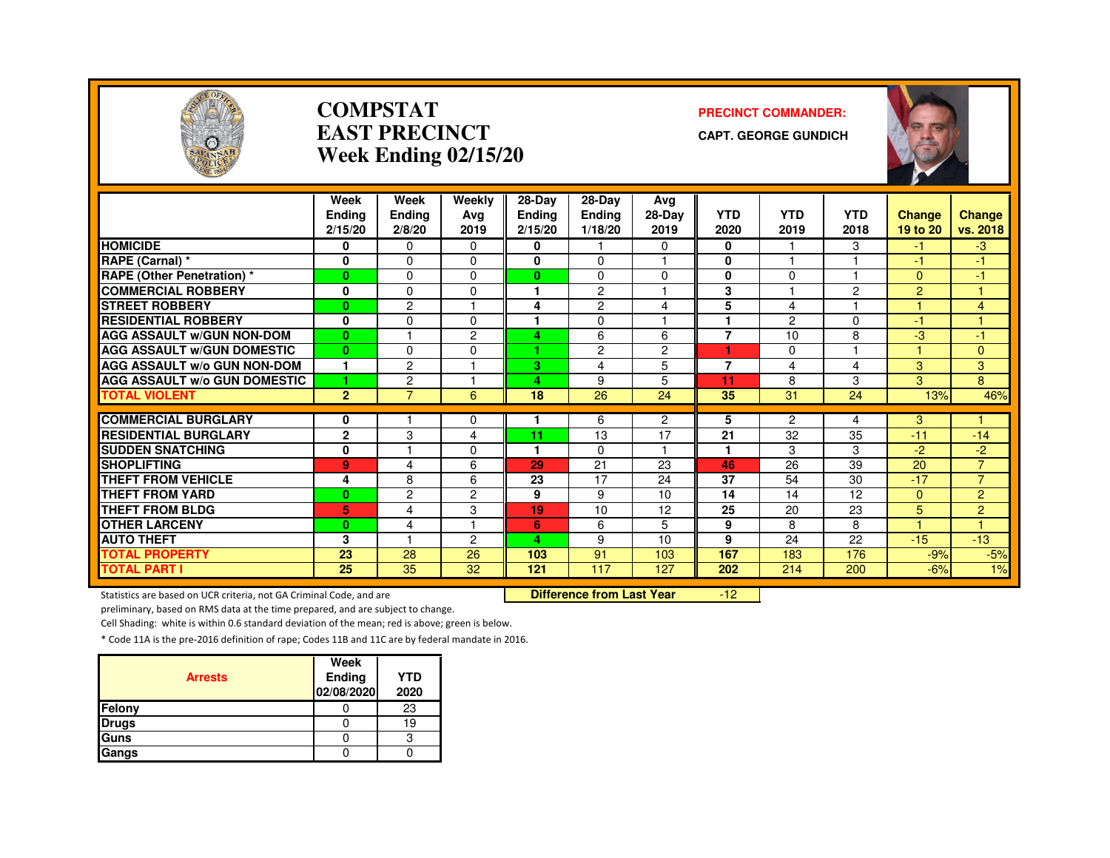

#### **COMPSTATEAST PRECINCTWeek Ending 02/15/20**

#### **PRECINCT COMMANDER:**

**CAPT. GEORGE GUNDICH**



|                                     | Week           | Week           | Weekly         | 28-Day        | $28-Dav$       | Avg                  |                |             |                 |                |                        |
|-------------------------------------|----------------|----------------|----------------|---------------|----------------|----------------------|----------------|-------------|-----------------|----------------|------------------------|
|                                     | <b>Endina</b>  | Ending         | Ava            | <b>Ending</b> | <b>Ending</b>  | 28-Day               | <b>YTD</b>     | <b>YTD</b>  | <b>YTD</b>      | <b>Change</b>  | <b>Change</b>          |
|                                     | 2/15/20        | 2/8/20         | 2019           | 2/15/20       | 1/18/20        | 2019                 | 2020           | 2019        | 2018            | 19 to 20       | vs. 2018               |
| <b>HOMICIDE</b>                     | 0              | $\Omega$       | $\Omega$       | 0             |                | 0                    | 0              |             | 3               | -1             | $-3$                   |
| RAPE (Carnal) *                     | 0              | $\Omega$       | $\Omega$       | 0             | 0              | ٠                    | 0              |             |                 | $-1$           | -1                     |
| <b>RAPE (Other Penetration) *</b>   | $\mathbf{0}$   | $\Omega$       | $\Omega$       | $\mathbf{0}$  | 0              | $\Omega$             | $\bf{0}$       | $\Omega$    |                 | $\Omega$       | $-1$                   |
| <b>COMMERCIAL ROBBERY</b>           | 0              | $\Omega$       | $\Omega$       |               | $\overline{c}$ | ٠                    | 3              |             | 2               | $\overline{2}$ |                        |
| <b>STREET ROBBERY</b>               | $\bf{0}$       | $\overline{c}$ |                | 4             | $\overline{c}$ | 4                    | 5              | 4           |                 |                | $\overline{4}$         |
| <b>RESIDENTIAL ROBBERY</b>          | 0              | $\Omega$       | $\Omega$       |               | 0              |                      |                | 2           | $\Omega$        | $-1$           |                        |
| <b>AGG ASSAULT W/GUN NON-DOM</b>    | $\bf{0}$       |                | 2              | 4             | 6              | 6                    | $\overline{7}$ | 10          | 8               | $-3$           | -1                     |
| <b>AGG ASSAULT W/GUN DOMESTIC</b>   | $\bf{0}$       | $\Omega$       | $\Omega$       |               | $\overline{c}$ | $\overline{c}$       |                | $\mathbf 0$ |                 |                | 0                      |
| AGG ASSAULT w/o GUN NON-DOM         | $\mathbf{1}$   | $\overline{c}$ | и              | 3.            | 4              | 5                    | $\overline{7}$ | 4           | 4               | 3              | 3                      |
| <b>AGG ASSAULT W/o GUN DOMESTIC</b> | 1              | $\overline{c}$ |                | 4             | 9              | 5                    | 11             | 8           | 3               | 3              | 8                      |
| <b>TOTAL VIOLENT</b>                | $\overline{2}$ | 7              | 6              | 18            | 26             | 24                   | 35             | 31          | 24              | 13%            | 46%                    |
|                                     |                |                |                |               |                |                      |                |             |                 |                |                        |
| <b>COMMERCIAL BURGLARY</b>          | 0              |                | $\Omega$       |               | 6              | $\overline{2}$<br>17 | 5              | 2           | 4               | 3              |                        |
| <b>RESIDENTIAL BURGLARY</b>         | $\mathbf{2}$   | 3              | 4              | 11<br>1.      | 13             | 1                    | 21<br>1        | 32          | 35              | $-11$          | $-14$                  |
| <b>SUDDEN SNATCHING</b>             | 0              |                | $\Omega$       |               | 0              |                      |                | 3           | 3               | $-2$           | $-2$<br>$\overline{7}$ |
| <b>SHOPLIFTING</b>                  | 9              | 4              | 6              | 29            | 21             | 23                   | 46             | 26          | 39              | 20             |                        |
| <b>THEFT FROM VEHICLE</b>           | 4              | 8              | 6              | 23            | 17             | 24                   | 37             | 54          | 30              | $-17$          | $\overline{7}$         |
| <b>THEFT FROM YARD</b>              | $\bf{0}$       | $\overline{c}$ | $\overline{2}$ | 9             | 9              | 10                   | 14             | 14          | $\overline{12}$ | $\Omega$       | $\overline{2}$         |
| <b>THEFT FROM BLDG</b>              | 5              | 4              | 3              | 19            | 10             | 12                   | 25             | 20          | 23              | 5              | $\overline{2}$         |
| <b>OTHER LARCENY</b>                | $\bf{0}$       | 4              | и              | 6             | 6              | 5                    | 9              | 8           | 8               |                | $\overline{4}$         |
| <b>AUTO THEFT</b>                   | 3              |                | 2              | 4             | 9              | 10                   | 9              | 24          | 22              | $-15$          | $-13$                  |
| <b>TOTAL PROPERTY</b>               | 23             | 28             | 26             | 103           | 91             | 103                  | 167            | 183         | 176             | $-9%$          | $-5%$                  |
| <b>TOTAL PART I</b>                 | 25             | 35             | 32             | 121           | 117            | 127                  | 202            | 214         | 200             | $-6%$          | 1%                     |

Statistics are based on UCR criteria, not GA Criminal Code, and are **Difference from Last Year** 

-12

preliminary, based on RMS data at the time prepared, and are subject to change.

Cell Shading: white is within 0.6 standard deviation of the mean; red is above; green is below.

| <b>Arrests</b> | Week<br>Ending<br>02/08/2020 | <b>YTD</b><br>2020 |
|----------------|------------------------------|--------------------|
| Felony         |                              | 23                 |
| <b>Drugs</b>   |                              | 19                 |
| <b>Guns</b>    |                              |                    |
| Gangs          |                              |                    |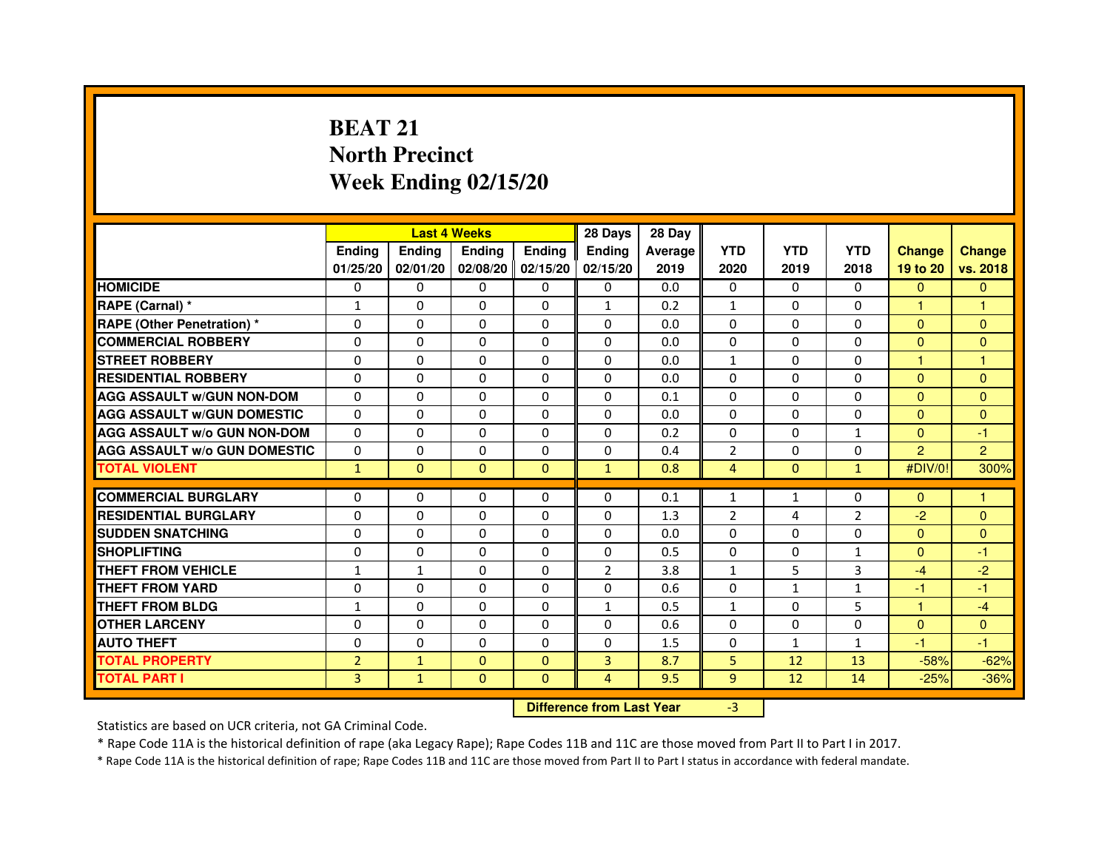# **BEAT 21 North PrecinctWeek Ending 02/15/20**

|                                     |                | <b>Last 4 Weeks</b>              |                |               | 28 Days        | 28 Day  |                |                 |                |                |                |
|-------------------------------------|----------------|----------------------------------|----------------|---------------|----------------|---------|----------------|-----------------|----------------|----------------|----------------|
|                                     | <b>Ending</b>  | <b>Ending</b>                    | <b>Ending</b>  | <b>Ending</b> | <b>Ending</b>  | Average | <b>YTD</b>     | <b>YTD</b>      | <b>YTD</b>     | <b>Change</b>  | <b>Change</b>  |
|                                     | 01/25/20       | 02/01/20                         | 02/08/20       | 02/15/20      | 02/15/20       | 2019    | 2020           | 2019            | 2018           | 19 to 20       | vs. 2018       |
| <b>HOMICIDE</b>                     | 0              | $\Omega$                         | $\Omega$       | $\Omega$      | 0              | 0.0     | $\Omega$       | $\Omega$        | 0              | $\Omega$       | $\Omega$       |
| RAPE (Carnal) *                     | 1              | $\mathbf{0}$                     | 0              | $\Omega$      | $\mathbf{1}$   | 0.2     | $\mathbf{1}$   | $\Omega$        | 0              | 1.             | 1              |
| <b>RAPE (Other Penetration) *</b>   | $\mathbf 0$    | 0                                | $\Omega$       | $\Omega$      | $\Omega$       | 0.0     | $\Omega$       | $\Omega$        | $\Omega$       | $\Omega$       | $\Omega$       |
| <b>COMMERCIAL ROBBERY</b>           | $\mathbf 0$    | $\mathbf{0}$                     | $\Omega$       | $\mathbf{0}$  | $\mathbf{0}$   | 0.0     | $\mathbf{0}$   | $\mathbf{0}$    | $\Omega$       | $\Omega$       | $\Omega$       |
| <b>STREET ROBBERY</b>               | $\Omega$       | $\Omega$                         | $\Omega$       | $\Omega$      | $\Omega$       | 0.0     | $\mathbf{1}$   | $\Omega$        | $\Omega$       | $\mathbf{1}$   | $\mathbf{1}$   |
| <b>RESIDENTIAL ROBBERY</b>          | 0              | $\Omega$                         | 0              | $\Omega$      | $\Omega$       | 0.0     | $\Omega$       | $\Omega$        | $\Omega$       | $\Omega$       | $\Omega$       |
| <b>AGG ASSAULT W/GUN NON-DOM</b>    | $\Omega$       | 0                                | $\Omega$       | $\mathbf{0}$  | $\Omega$       | 0.1     | $\Omega$       | $\Omega$        | $\Omega$       | $\Omega$       | $\Omega$       |
| <b>AGG ASSAULT W/GUN DOMESTIC</b>   | $\Omega$       | $\Omega$                         | $\Omega$       | $\Omega$      | $\Omega$       | 0.0     | $\Omega$       | $\Omega$        | $\Omega$       | $\Omega$       | $\Omega$       |
| <b>AGG ASSAULT W/o GUN NON-DOM</b>  | $\Omega$       | 0                                | 0              | $\mathbf{0}$  | 0              | 0.2     | 0              | 0               | $\mathbf{1}$   | $\Omega$       | $-1$           |
| <b>AGG ASSAULT W/o GUN DOMESTIC</b> | $\Omega$       | 0                                | 0              | $\Omega$      | $\Omega$       | 0.4     | $\overline{2}$ | 0               | $\Omega$       | $\overline{2}$ | $\overline{2}$ |
| <b>TOTAL VIOLENT</b>                | $\mathbf{1}$   | $\mathbf{0}$                     | $\mathbf{0}$   | $\mathbf{0}$  | $\mathbf{1}$   | 0.8     | 4              | $\mathbf{0}$    | $\mathbf{1}$   | #DIV/0!        | 300%           |
| <b>COMMERCIAL BURGLARY</b>          | 0              | 0                                | 0              | $\mathbf{0}$  | 0              | 0.1     | 1              | $\mathbf{1}$    | 0              | $\Omega$       | 1              |
| <b>RESIDENTIAL BURGLARY</b>         | $\Omega$       | $\Omega$                         | $\Omega$       | $\mathbf{0}$  | $\mathbf{0}$   | 1.3     | $\overline{2}$ | 4               | $\overline{2}$ | $-2$           | $\Omega$       |
| <b>SUDDEN SNATCHING</b>             | $\Omega$       | $\Omega$                         | $\Omega$       | $\Omega$      | $\Omega$       | 0.0     | $\Omega$       | $\Omega$        | $\Omega$       | $\Omega$       | $\Omega$       |
| <b>SHOPLIFTING</b>                  | 0              | 0                                | 0              | $\mathbf{0}$  | $\Omega$       | 0.5     | 0              | 0               | 1              | $\Omega$       | $-1$           |
| THEFT FROM VEHICLE                  | $\mathbf{1}$   | $\mathbf{1}$                     | 0              | $\Omega$      | $\overline{2}$ | 3.8     | $\mathbf{1}$   | 5               | 3              | $-4$           | $-2$           |
| THEFT FROM YARD                     | $\mathbf 0$    | 0                                | $\Omega$       | $\mathbf{0}$  | $\Omega$       | 0.6     | $\mathbf 0$    | $\mathbf{1}$    | $\mathbf{1}$   | $-1$           | $-1$           |
| <b>THEFT FROM BLDG</b>              | 1              | $\Omega$                         | 0              | $\mathbf{0}$  | $\mathbf{1}$   | 0.5     | $\mathbf{1}$   | $\Omega$        | 5              | $\mathbf{1}$   | $-4$           |
| <b>OTHER LARCENY</b>                | 0              | $\Omega$                         | 0              | $\mathbf{0}$  | $\Omega$       | 0.6     | $\Omega$       | $\Omega$        | $\Omega$       | $\Omega$       | $\Omega$       |
| <b>AUTO THEFT</b>                   | $\Omega$       | $\Omega$                         | $\Omega$       | $\mathbf{0}$  | $\Omega$       | 1.5     | $\Omega$       | $\mathbf{1}$    | $\mathbf{1}$   | $-1$           | $-1$           |
| <b>TOTAL PROPERTY</b>               | $\overline{2}$ | $\mathbf{1}$                     | $\Omega$       | $\mathbf{0}$  | 3              | 8.7     | 5              | 12              | 13             | $-58%$         | $-62%$         |
| <b>TOTAL PART I</b>                 | 3              | $\mathbf{1}$                     | $\overline{0}$ | $\Omega$      | $\overline{4}$ | 9.5     | 9              | 12 <sup>2</sup> | 14             | $-25%$         | $-36%$         |
|                                     |                | <b>Difference from Last Year</b> |                | $-3$          |                |         |                |                 |                |                |                |

Statistics are based on UCR criteria, not GA Criminal Code.

\* Rape Code 11A is the historical definition of rape (aka Legacy Rape); Rape Codes 11B and 11C are those moved from Part II to Part I in 2017.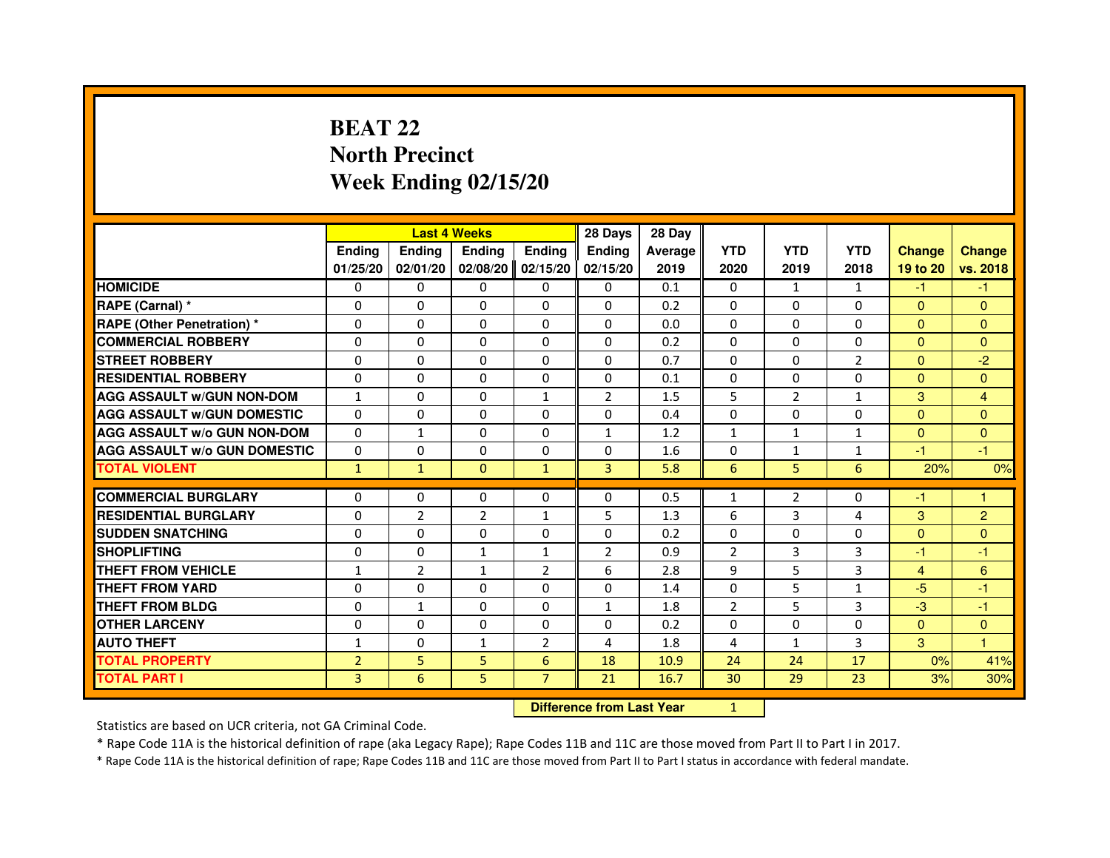## **BEAT 22 North PrecinctWeek Ending 02/15/20**

|                                     |                | <b>Last 4 Weeks</b> |                |                | 28 Days        | 28 Day  |                |                |                |               |                |
|-------------------------------------|----------------|---------------------|----------------|----------------|----------------|---------|----------------|----------------|----------------|---------------|----------------|
|                                     | <b>Endina</b>  | <b>Ending</b>       | <b>Endina</b>  | <b>Endina</b>  | <b>Endina</b>  | Average | <b>YTD</b>     | <b>YTD</b>     | <b>YTD</b>     | <b>Change</b> | <b>Change</b>  |
|                                     | 01/25/20       | 02/01/20            | 02/08/20       | 02/15/20       | 02/15/20       | 2019    | 2020           | 2019           | 2018           | 19 to 20      | vs. 2018       |
| <b>HOMICIDE</b>                     | 0              | $\Omega$            | $\Omega$       | 0              | 0              | 0.1     | $\mathbf{0}$   | $\mathbf{1}$   | $\mathbf{1}$   | $-1$          | -1.            |
| RAPE (Carnal) *                     | $\Omega$       | $\Omega$            | $\Omega$       | $\Omega$       | $\Omega$       | 0.2     | $\Omega$       | $\Omega$       | $\Omega$       | $\Omega$      | $\mathbf{0}$   |
| <b>RAPE (Other Penetration)*</b>    | $\Omega$       | $\Omega$            | $\Omega$       | $\Omega$       | $\Omega$       | 0.0     | $\Omega$       | $\Omega$       | $\Omega$       | $\Omega$      | $\mathbf{0}$   |
| <b>COMMERCIAL ROBBERY</b>           | 0              | 0                   | 0              | 0              | 0              | 0.2     | 0              | 0              | 0              | $\Omega$      | $\Omega$       |
| <b>STREET ROBBERY</b>               | $\Omega$       | $\mathbf{0}$        | 0              | $\Omega$       | $\Omega$       | 0.7     | $\Omega$       | 0              | $\overline{2}$ | $\mathbf{0}$  | $-2$           |
| <b>RESIDENTIAL ROBBERY</b>          | $\Omega$       | $\Omega$            | $\Omega$       | $\Omega$       | $\Omega$       | 0.1     | $\Omega$       | $\Omega$       | $\Omega$       | $\Omega$      | $\Omega$       |
| <b>AGG ASSAULT W/GUN NON-DOM</b>    | $\mathbf{1}$   | $\Omega$            | $\Omega$       | $\mathbf{1}$   | $\overline{2}$ | 1.5     | 5              | $\overline{2}$ | $\mathbf{1}$   | 3             | $\overline{4}$ |
| <b>AGG ASSAULT W/GUN DOMESTIC</b>   | $\Omega$       | $\Omega$            | $\Omega$       | $\Omega$       | $\Omega$       | 0.4     | $\Omega$       | $\Omega$       | $\Omega$       | $\Omega$      | $\Omega$       |
| <b>AGG ASSAULT W/o GUN NON-DOM</b>  | 0              | $\mathbf{1}$        | 0              | 0              | $\mathbf{1}$   | 1.2     | $\mathbf{1}$   | 1              | $\mathbf{1}$   | $\Omega$      | $\Omega$       |
| <b>AGG ASSAULT W/o GUN DOMESTIC</b> | 0              | $\mathbf{0}$        | 0              | 0              | 0              | 1.6     | 0              | $\mathbf{1}$   | $\mathbf{1}$   | $-1$          | $-1$           |
| <b>TOTAL VIOLENT</b>                | $\mathbf{1}$   | $\mathbf{1}$        | $\mathbf{0}$   | $\mathbf{1}$   | $\overline{3}$ | 5.8     | 6              | 5              | 6              | 20%           | 0%             |
|                                     |                |                     |                |                |                |         |                |                |                |               |                |
| <b>COMMERCIAL BURGLARY</b>          | 0              | $\mathbf{0}$        | 0              | $\mathbf{0}$   | 0              | 0.5     | $\mathbf{1}$   | 2              | 0              | -1            | 1              |
| <b>RESIDENTIAL BURGLARY</b>         | $\Omega$       | 2                   | $\overline{2}$ | $\mathbf{1}$   | 5              | 1.3     | 6              | 3              | 4              | 3             | $\overline{2}$ |
| <b>SUDDEN SNATCHING</b>             | $\Omega$       | $\Omega$            | $\Omega$       | $\Omega$       | $\Omega$       | 0.2     | $\Omega$       | $\Omega$       | $\Omega$       | $\Omega$      | $\mathbf{0}$   |
| <b>SHOPLIFTING</b>                  | $\Omega$       | $\Omega$            | $\mathbf{1}$   | $\mathbf{1}$   | $\overline{2}$ | 0.9     | $\overline{2}$ | 3              | 3              | $-1$          | -1             |
| <b>THEFT FROM VEHICLE</b>           | $\mathbf{1}$   | $\overline{2}$      | $\mathbf{1}$   | $\overline{2}$ | 6              | 2.8     | 9              | 5              | 3              | 4             | 6              |
| <b>THEFT FROM YARD</b>              | $\Omega$       | $\Omega$            | $\Omega$       | 0              | $\Omega$       | 1.4     | $\Omega$       | 5              | $\mathbf{1}$   | $-5$          | $-1$           |
| <b>THEFT FROM BLDG</b>              | 0              | 1                   | 0              | $\Omega$       | $\mathbf{1}$   | 1.8     | $\overline{2}$ | 5              | 3              | $-3$          | $-1$           |
| <b>OTHER LARCENY</b>                | 0              | 0                   | 0              | 0              | 0              | 0.2     | 0              | 0              | 0              | $\Omega$      | $\Omega$       |
| <b>AUTO THEFT</b>                   | 1              | 0                   | 1              | $\overline{2}$ | 4              | 1.8     | 4              | $\mathbf{1}$   | 3              | 3             | $\mathbf{1}$   |
| <b>TOTAL PROPERTY</b>               | $\overline{2}$ | 5                   | 5              | 6              | 18             | 10.9    | 24             | 24             | 17             | 0%            | 41%            |
| <b>TOTAL PART I</b>                 | 3              | 6                   | 5              | $\overline{7}$ | 21             | 16.7    | 30             | 29             | 23             | 3%            | 30%            |

 **Difference from Last Year**

<sup>1</sup>

Statistics are based on UCR criteria, not GA Criminal Code.

\* Rape Code 11A is the historical definition of rape (aka Legacy Rape); Rape Codes 11B and 11C are those moved from Part II to Part I in 2017.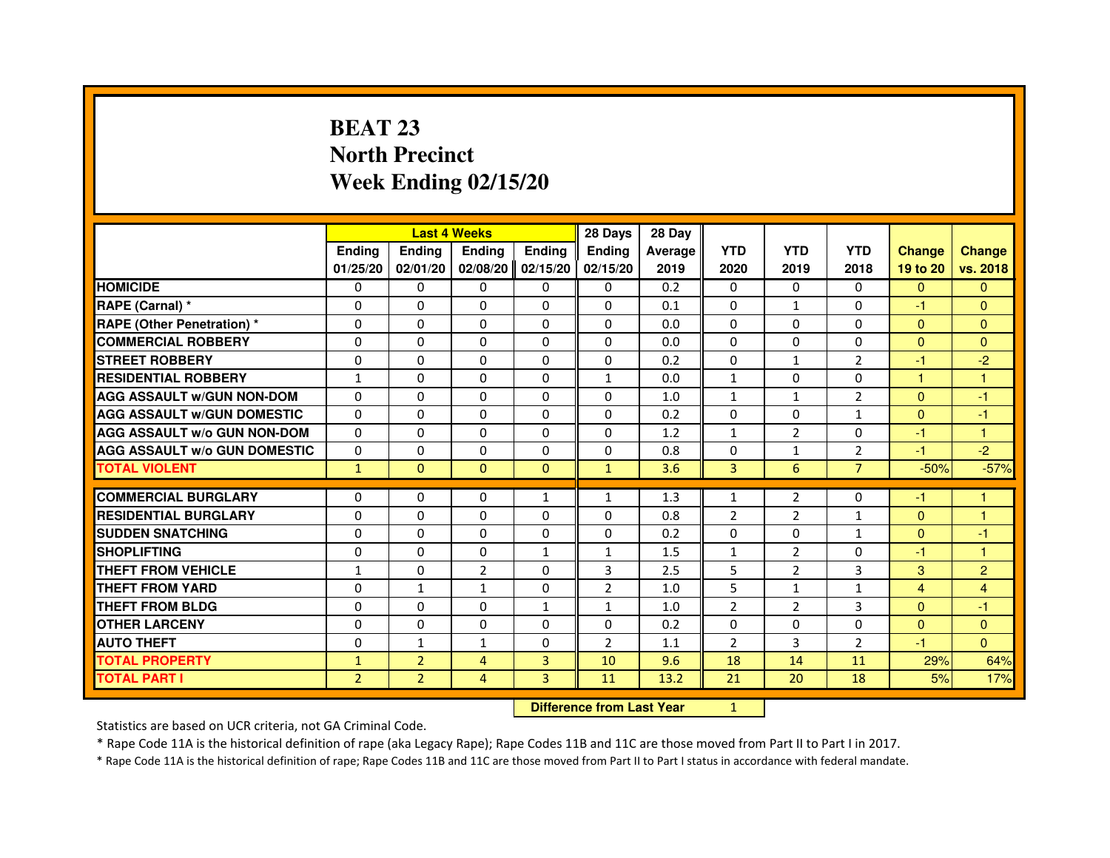## **BEAT 23 North PrecinctWeek Ending 02/15/20**

|                                     |                |                | <b>Last 4 Weeks</b> |               | 28 Days        | 28 Day  |                |                |                |               |                |
|-------------------------------------|----------------|----------------|---------------------|---------------|----------------|---------|----------------|----------------|----------------|---------------|----------------|
|                                     | <b>Ending</b>  | <b>Ending</b>  | <b>Ending</b>       | <b>Ending</b> | <b>Ending</b>  | Average | <b>YTD</b>     | <b>YTD</b>     | <b>YTD</b>     | <b>Change</b> | <b>Change</b>  |
|                                     | 01/25/20       | 02/01/20       | 02/08/20            | 02/15/20      | 02/15/20       | 2019    | 2020           | 2019           | 2018           | 19 to 20      | vs. 2018       |
| <b>HOMICIDE</b>                     | 0              | $\mathbf{0}$   | 0                   | 0             | $\mathbf{0}$   | 0.2     | $\Omega$       | $\mathbf{0}$   | $\mathbf{0}$   | $\mathbf{0}$  | $\mathbf{0}$   |
| RAPE (Carnal) *                     | $\Omega$       | $\Omega$       | $\Omega$            | $\Omega$      | $\Omega$       | 0.1     | $\Omega$       | $\mathbf{1}$   | $\Omega$       | $-1$          | $\mathbf{0}$   |
| <b>RAPE (Other Penetration)*</b>    | 0              | $\mathbf{0}$   | 0                   | $\mathbf{0}$  | 0              | 0.0     | $\Omega$       | 0              | 0              | $\mathbf{0}$  | $\mathbf{0}$   |
| <b>COMMERCIAL ROBBERY</b>           | 0              | 0              | $\Omega$            | $\Omega$      | $\Omega$       | 0.0     | $\Omega$       | $\Omega$       | $\Omega$       | $\Omega$      | $\Omega$       |
| <b>STREET ROBBERY</b>               | $\Omega$       | $\Omega$       | $\Omega$            | $\Omega$      | $\Omega$       | 0.2     | $\Omega$       | $\mathbf{1}$   | $\overline{2}$ | $-1$          | $-2$           |
| <b>RESIDENTIAL ROBBERY</b>          | $\mathbf{1}$   | $\Omega$       | $\Omega$            | $\Omega$      | $\mathbf{1}$   | 0.0     | $\mathbf{1}$   | $\Omega$       | 0              | $\mathbf{1}$  | $\mathbf{1}$   |
| <b>AGG ASSAULT W/GUN NON-DOM</b>    | $\Omega$       | $\Omega$       | $\Omega$            | $\Omega$      | $\Omega$       | 1.0     | $\mathbf{1}$   | $\mathbf{1}$   | $\overline{2}$ | $\Omega$      | $-1$           |
| <b>AGG ASSAULT W/GUN DOMESTIC</b>   | $\Omega$       | $\Omega$       | $\Omega$            | $\Omega$      | $\Omega$       | 0.2     | $\Omega$       | $\Omega$       | $\mathbf{1}$   | $\mathbf{0}$  | $-1$           |
| <b>AGG ASSAULT W/o GUN NON-DOM</b>  | $\Omega$       | $\Omega$       | $\Omega$            | $\Omega$      | $\Omega$       | 1.2     | $\mathbf{1}$   | 2              | $\Omega$       | -1            | 1              |
| <b>AGG ASSAULT W/o GUN DOMESTIC</b> | $\Omega$       | 0              | $\Omega$            | $\Omega$      | 0              | 0.8     | 0              | $\mathbf{1}$   | $\overline{2}$ | -1            | $-2$           |
| <b>TOTAL VIOLENT</b>                | $\mathbf{1}$   | $\mathbf{0}$   | $\mathbf{0}$        | $\mathbf{0}$  | $\mathbf{1}$   | 3.6     | 3              | 6              | $\overline{7}$ | $-50%$        | $-57%$         |
|                                     |                |                |                     |               |                |         |                |                |                |               |                |
| <b>COMMERCIAL BURGLARY</b>          | 0              | 0              | 0                   | 1             | $\mathbf{1}$   | 1.3     | $\mathbf{1}$   | 2              | 0              | -1            |                |
| <b>RESIDENTIAL BURGLARY</b>         | $\Omega$       | $\Omega$       | $\Omega$            | $\Omega$      | $\Omega$       | 0.8     | $\overline{2}$ | $\overline{2}$ | $\mathbf{1}$   | $\mathbf{0}$  | 1              |
| <b>SUDDEN SNATCHING</b>             | 0              | 0              | 0                   | 0             | 0              | 0.2     | 0              | 0              | $\mathbf{1}$   | $\mathbf{0}$  | -1             |
| <b>SHOPLIFTING</b>                  | $\Omega$       | $\Omega$       | $\Omega$            | $\mathbf{1}$  | $\mathbf{1}$   | 1.5     | $\mathbf{1}$   | $\overline{2}$ | $\Omega$       | $-1$          | $\mathbf{1}$   |
| <b>THEFT FROM VEHICLE</b>           | $\mathbf{1}$   | $\Omega$       | $\overline{2}$      | $\Omega$      | 3              | 2.5     | 5              | $\overline{2}$ | 3              | 3             | $\overline{2}$ |
| <b>THEFT FROM YARD</b>              | 0              | $\mathbf{1}$   | $\mathbf{1}$        | 0             | 2              | 1.0     | 5              | $\mathbf{1}$   | $\mathbf{1}$   | 4             | 4              |
| THEFT FROM BLDG                     | $\Omega$       | $\Omega$       | $\Omega$            | $\mathbf{1}$  | $\mathbf{1}$   | 1.0     | 2              | 2              | 3              | $\Omega$      | $-1$           |
| <b>OTHER LARCENY</b>                | $\Omega$       | $\Omega$       | $\Omega$            | $\Omega$      | $\Omega$       | 0.2     | $\Omega$       | $\Omega$       | 0              | $\Omega$      | $\mathbf{0}$   |
| <b>AUTO THEFT</b>                   | $\Omega$       | $\mathbf{1}$   | $\mathbf{1}$        | $\Omega$      | $\overline{2}$ | 1.1     | $\overline{2}$ | $\overline{3}$ | $\overline{2}$ | $-1$          | $\Omega$       |
| <b>TOTAL PROPERTY</b>               | $\mathbf{1}$   | $\overline{2}$ | 4                   | 3             | 10             | 9.6     | 18             | 14             | 11             | 29%           | 64%            |
| <b>TOTAL PART I</b>                 | $\overline{2}$ | $\overline{2}$ | 4                   | 3             | 11             | 13.2    | 21             | 20             | 18             | 5%            | 17%            |

 **Difference from Last Year**

<sup>1</sup>

Statistics are based on UCR criteria, not GA Criminal Code.

\* Rape Code 11A is the historical definition of rape (aka Legacy Rape); Rape Codes 11B and 11C are those moved from Part II to Part I in 2017.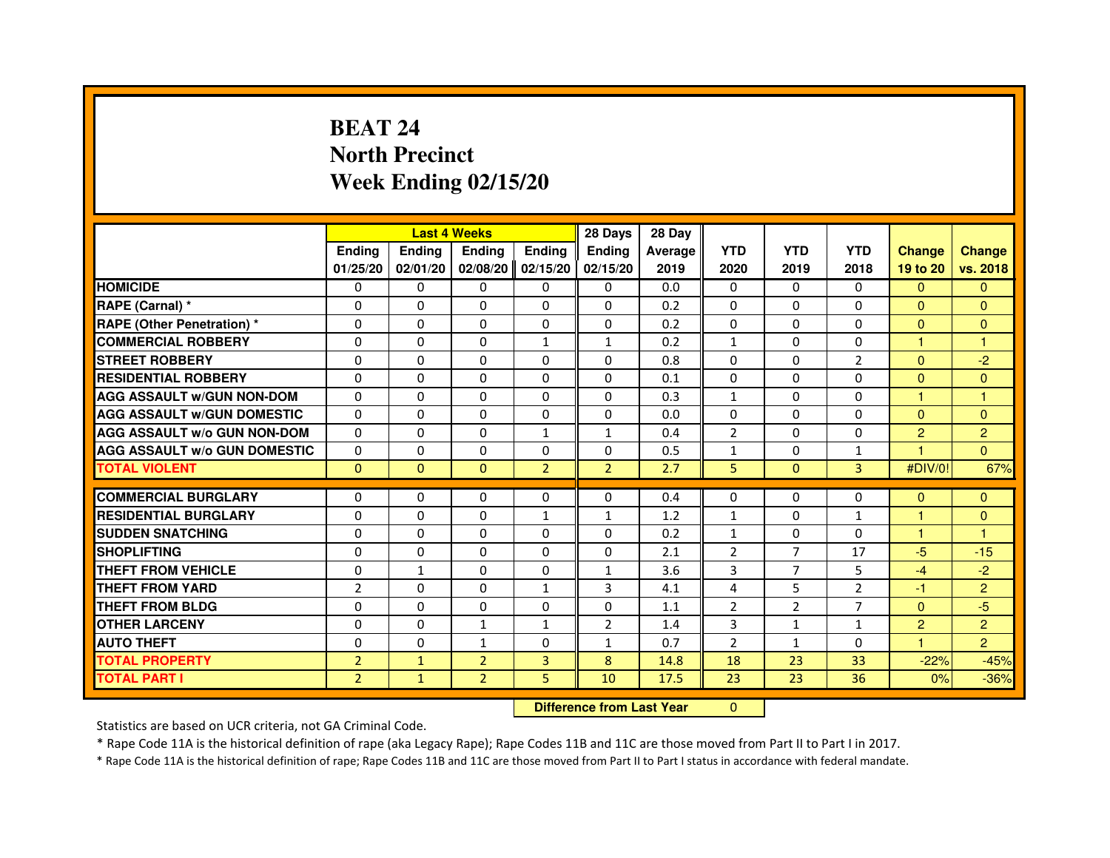## **BEAT 24 North PrecinctWeek Ending 02/15/20**

|                                     |                |                                  | <b>Last 4 Weeks</b> |                | 28 Days        | 28 Day  |                |                |                |                |                |
|-------------------------------------|----------------|----------------------------------|---------------------|----------------|----------------|---------|----------------|----------------|----------------|----------------|----------------|
|                                     | <b>Ending</b>  | <b>Ending</b>                    | <b>Ending</b>       | <b>Ending</b>  | Ending         | Average | <b>YTD</b>     | <b>YTD</b>     | <b>YTD</b>     | <b>Change</b>  | <b>Change</b>  |
|                                     | 01/25/20       | 02/01/20                         | 02/08/20            | 02/15/20       | 02/15/20       | 2019    | 2020           | 2019           | 2018           | 19 to 20       | vs. 2018       |
| <b>HOMICIDE</b>                     | $\Omega$       | $\Omega$                         | $\Omega$            | $\Omega$       | $\mathbf{0}$   | 0.0     | $\Omega$       | $\Omega$       | $\Omega$       | $\Omega$       | $\mathbf{0}$   |
| RAPE (Carnal) *                     | 0              | $\Omega$                         | $\Omega$            | $\Omega$       | $\Omega$       | 0.2     | $\Omega$       | $\Omega$       | $\Omega$       | $\mathbf{0}$   | $\mathbf{0}$   |
| <b>RAPE (Other Penetration) *</b>   | $\Omega$       | $\Omega$                         | $\Omega$            | $\Omega$       | $\Omega$       | 0.2     | $\Omega$       | $\Omega$       | $\Omega$       | $\Omega$       | $\mathbf{0}$   |
| <b>COMMERCIAL ROBBERY</b>           | 0              | $\Omega$                         | $\Omega$            | $\mathbf{1}$   | $\mathbf{1}$   | 0.2     | $\mathbf{1}$   | $\Omega$       | $\Omega$       | $\mathbf{1}$   | $\mathbf{1}$   |
| <b>STREET ROBBERY</b>               | $\Omega$       | $\Omega$                         | $\Omega$            | $\Omega$       | $\Omega$       | 0.8     | $\Omega$       | $\Omega$       | $\overline{2}$ | $\Omega$       | $-2$           |
| <b>RESIDENTIAL ROBBERY</b>          | $\Omega$       | $\Omega$                         | $\Omega$            | $\Omega$       | $\Omega$       | 0.1     | $\Omega$       | $\Omega$       | $\Omega$       | $\Omega$       | $\Omega$       |
| <b>AGG ASSAULT w/GUN NON-DOM</b>    | $\Omega$       | $\Omega$                         | $\Omega$            | $\Omega$       | $\Omega$       | 0.3     | $\mathbf{1}$   | $\Omega$       | $\Omega$       | 1              | $\mathbf{1}$   |
| <b>AGG ASSAULT w/GUN DOMESTIC</b>   | $\Omega$       | $\Omega$                         | $\Omega$            | $\Omega$       | $\Omega$       | 0.0     | $\Omega$       | $\Omega$       | $\Omega$       | $\Omega$       | $\mathbf{0}$   |
| <b>AGG ASSAULT W/o GUN NON-DOM</b>  | $\Omega$       | $\Omega$                         | $\Omega$            | 1              | $\mathbf{1}$   | 0.4     | $\overline{2}$ | 0              | 0              | $\overline{2}$ | $\overline{c}$ |
| <b>AGG ASSAULT W/o GUN DOMESTIC</b> | $\Omega$       | 0                                | $\Omega$            | $\Omega$       | $\Omega$       | 0.5     | $\mathbf{1}$   | $\Omega$       | 1              |                | $\Omega$       |
| <b>TOTAL VIOLENT</b>                | $\mathbf{0}$   | $\mathbf{0}$                     | $\mathbf{0}$        | $\overline{2}$ | $\overline{2}$ | 2.7     | 5              | $\mathbf{0}$   | 3              | #DIV/0!        | 67%            |
| <b>COMMERCIAL BURGLARY</b>          | $\Omega$       | 0                                | 0                   | 0              | $\Omega$       | 0.4     | $\Omega$       | 0              | 0              | $\Omega$       | $\mathbf{0}$   |
| <b>RESIDENTIAL BURGLARY</b>         | $\Omega$       | $\Omega$                         | $\Omega$            | $\mathbf{1}$   | $\mathbf{1}$   | 1.2     | $\mathbf{1}$   | $\Omega$       | $\mathbf{1}$   | $\mathbf{1}$   | $\mathbf{0}$   |
| <b>SUDDEN SNATCHING</b>             | $\Omega$       | $\Omega$                         | $\Omega$            | $\Omega$       | $\Omega$       | 0.2     | $\mathbf{1}$   | $\Omega$       | $\Omega$       | 1              | 1              |
| <b>SHOPLIFTING</b>                  | 0              | 0                                | 0                   | 0              | 0              | 2.1     | $\overline{2}$ | $\overline{7}$ | 17             | $-5$           | $-15$          |
| <b>THEFT FROM VEHICLE</b>           | $\Omega$       | $\mathbf{1}$                     | $\Omega$            | $\Omega$       | $\mathbf{1}$   | 3.6     | 3              | $\overline{7}$ | 5              | $-4$           | $-2$           |
| <b>THEFT FROM YARD</b>              | $\overline{2}$ | 0                                | $\Omega$            | $\mathbf{1}$   | 3              | 4.1     | 4              | 5              | $\overline{2}$ | $-1$           | $\overline{2}$ |
| <b>THEFT FROM BLDG</b>              | $\Omega$       | $\Omega$                         | $\Omega$            | $\Omega$       | $\Omega$       | 1.1     | $\overline{2}$ | 2              | $\overline{7}$ | $\Omega$       | $-5$           |
| <b>OTHER LARCENY</b>                | $\Omega$       | $\Omega$                         | $\mathbf{1}$        | $\mathbf{1}$   | $\overline{2}$ | 1.4     | $\overline{3}$ | $\mathbf{1}$   | $\mathbf{1}$   | $\overline{2}$ | $\overline{2}$ |
| <b>AUTO THEFT</b>                   | $\Omega$       | $\Omega$                         | $\mathbf{1}$        | $\Omega$       | $\mathbf{1}$   | 0.7     | $\overline{2}$ | $\mathbf{1}$   | $\Omega$       | $\mathbf{1}$   | $\overline{2}$ |
| <b>TOTAL PROPERTY</b>               | $\overline{2}$ | $\mathbf{1}$                     | $\overline{2}$      | 3              | 8              | 14.8    | 18             | 23             | 33             | $-22%$         | $-45%$         |
| <b>TOTAL PART I</b>                 | $\overline{2}$ | $\mathbf{1}$                     | $\overline{2}$      | 5              | 10             | 17.5    | 23             | 23             | 36             | 0%             | $-36%$         |
|                                     |                | <b>Difference from Last Year</b> |                     | $\mathbf{0}$   |                |         |                |                |                |                |                |

 **Difference from Last Year**

Statistics are based on UCR criteria, not GA Criminal Code.

\* Rape Code 11A is the historical definition of rape (aka Legacy Rape); Rape Codes 11B and 11C are those moved from Part II to Part I in 2017.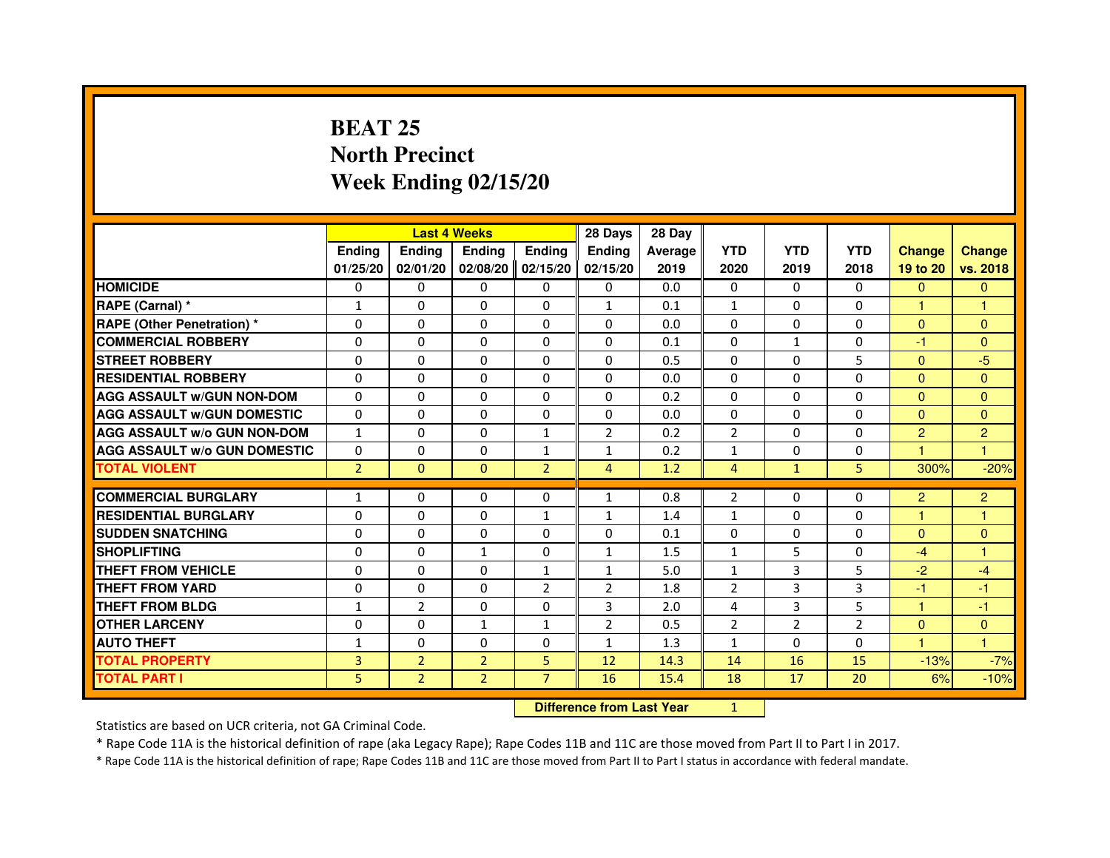## **BEAT 25 North PrecinctWeek Ending 02/15/20**

|                                     |                |                | <b>Last 4 Weeks</b> |                   | 28 Days        | 28 Day  |                |                |                |                      |                |
|-------------------------------------|----------------|----------------|---------------------|-------------------|----------------|---------|----------------|----------------|----------------|----------------------|----------------|
|                                     | <b>Endina</b>  | <b>Ending</b>  | <b>Endina</b>       | <b>Endina</b>     | <b>Endina</b>  | Average | <b>YTD</b>     | <b>YTD</b>     | <b>YTD</b>     | <b>Change</b>        | <b>Change</b>  |
|                                     | 01/25/20       | 02/01/20       |                     | 02/08/20 02/15/20 | 02/15/20       | 2019    | 2020           | 2019           | 2018           | 19 to 20             | vs. 2018       |
| <b>HOMICIDE</b>                     | 0              | $\Omega$       | $\Omega$            | 0                 | 0              | 0.0     | 0              | $\Omega$       | $\Omega$       | $\Omega$             | $\mathbf{0}$   |
| RAPE (Carnal) *                     | 1              | $\Omega$       | $\Omega$            | $\Omega$          | $\mathbf{1}$   | 0.1     | $\mathbf{1}$   | $\Omega$       | $\Omega$       | $\mathbf{1}$         | 1              |
| <b>RAPE (Other Penetration) *</b>   | $\Omega$       | $\Omega$       | $\Omega$            | $\Omega$          | $\Omega$       | 0.0     | $\Omega$       | $\Omega$       | $\Omega$       | $\Omega$             | $\Omega$       |
| <b>COMMERCIAL ROBBERY</b>           | 0              | 0              | 0                   | 0                 | 0              | 0.1     | 0              | 1              | $\Omega$       | $-1$                 | $\overline{0}$ |
| <b>STREET ROBBERY</b>               | $\Omega$       | $\Omega$       | $\Omega$            | $\Omega$          | $\Omega$       | 0.5     | $\Omega$       | 0              | 5              | $\Omega$             | -5             |
| <b>RESIDENTIAL ROBBERY</b>          | $\Omega$       | $\Omega$       | $\Omega$            | $\Omega$          | $\Omega$       | 0.0     | $\Omega$       | $\Omega$       | $\Omega$       | $\Omega$             | $\Omega$       |
| <b>AGG ASSAULT w/GUN NON-DOM</b>    | $\Omega$       | $\Omega$       | $\Omega$            | $\Omega$          | $\Omega$       | 0.2     | $\Omega$       | $\Omega$       | $\Omega$       | $\Omega$             | $\Omega$       |
| <b>AGG ASSAULT W/GUN DOMESTIC</b>   | $\Omega$       | $\Omega$       | $\Omega$            | $\Omega$          | $\Omega$       | 0.0     | $\Omega$       | $\Omega$       | $\Omega$       | $\Omega$             | $\Omega$       |
| <b>AGG ASSAULT W/o GUN NON-DOM</b>  | $\mathbf{1}$   | 0              | $\Omega$            | $\mathbf{1}$      | $\overline{2}$ | 0.2     | $\overline{2}$ | 0              | $\Omega$       | 2                    | $\overline{2}$ |
| <b>AGG ASSAULT W/o GUN DOMESTIC</b> | $\Omega$       | 0              | 0                   | $\mathbf{1}$      | $\mathbf{1}$   | 0.2     | $\mathbf{1}$   | 0              | $\Omega$       | $\blacktriangleleft$ | 1              |
| <b>TOTAL VIOLENT</b>                | $\overline{2}$ | $\mathbf{0}$   | $\mathbf{0}$        | $\overline{2}$    | $\overline{4}$ | 1.2     | $\overline{4}$ | $\mathbf{1}$   | 5              | 300%                 | $-20%$         |
|                                     |                |                |                     |                   |                |         |                |                |                |                      |                |
| <b>COMMERCIAL BURGLARY</b>          | $\mathbf{1}$   | 0              | 0                   | $\mathbf{0}$      | $\mathbf{1}$   | 0.8     | $\overline{2}$ | 0              | 0              | 2                    | $\overline{c}$ |
| <b>RESIDENTIAL BURGLARY</b>         | 0              | 0              | 0                   | 1                 | 1              | 1.4     | 1              | 0              | 0              | $\mathbf{1}$         | 1              |
| <b>SUDDEN SNATCHING</b>             | $\Omega$       | $\Omega$       | $\Omega$            | $\Omega$          | $\Omega$       | 0.1     | $\Omega$       | $\Omega$       | $\Omega$       | $\Omega$             | $\Omega$       |
| <b>SHOPLIFTING</b>                  | $\Omega$       | $\Omega$       | $\mathbf{1}$        | $\Omega$          | $\mathbf{1}$   | 1.5     | $\mathbf{1}$   | 5              | $\Omega$       | $-4$                 | 1              |
| <b>THEFT FROM VEHICLE</b>           | 0              | 0              | $\Omega$            | $\mathbf{1}$      | $\mathbf{1}$   | 5.0     | $\mathbf{1}$   | 3              | 5              | $-2$                 | $-4$           |
| <b>THEFT FROM YARD</b>              | $\Omega$       | $\Omega$       | $\Omega$            | $\overline{2}$    | $\overline{2}$ | 1.8     | $\overline{2}$ | 3              | 3              | $-1$                 | $-1$           |
| <b>THEFT FROM BLDG</b>              | 1              | $\overline{2}$ | $\Omega$            | $\Omega$          | 3              | 2.0     | 4              | 3              | 5              | 1                    | $-1$           |
| <b>OTHER LARCENY</b>                | $\Omega$       | $\Omega$       | $\mathbf{1}$        | $\mathbf{1}$      | $\overline{2}$ | 0.5     | $\overline{2}$ | $\overline{2}$ | $\overline{2}$ | $\Omega$             | $\Omega$       |
| <b>AUTO THEFT</b>                   | $\mathbf{1}$   | 0              | $\Omega$            | 0                 | 1              | 1.3     | $\mathbf{1}$   | $\Omega$       | $\Omega$       | $\blacktriangleleft$ | 1              |
| <b>TOTAL PROPERTY</b>               | 3              | $\overline{2}$ | $\overline{2}$      | 5                 | 12             | 14.3    | 14             | 16             | 15             | $-13%$               | $-7%$          |
| <b>TOTAL PART I</b>                 | 5              | $\overline{2}$ | $\overline{2}$      | $\overline{7}$    | 16             | 15.4    | 18             | 17             | 20             | 6%                   | $-10%$         |

 **Difference from Last Year**

<sup>1</sup>

Statistics are based on UCR criteria, not GA Criminal Code.

\* Rape Code 11A is the historical definition of rape (aka Legacy Rape); Rape Codes 11B and 11C are those moved from Part II to Part I in 2017.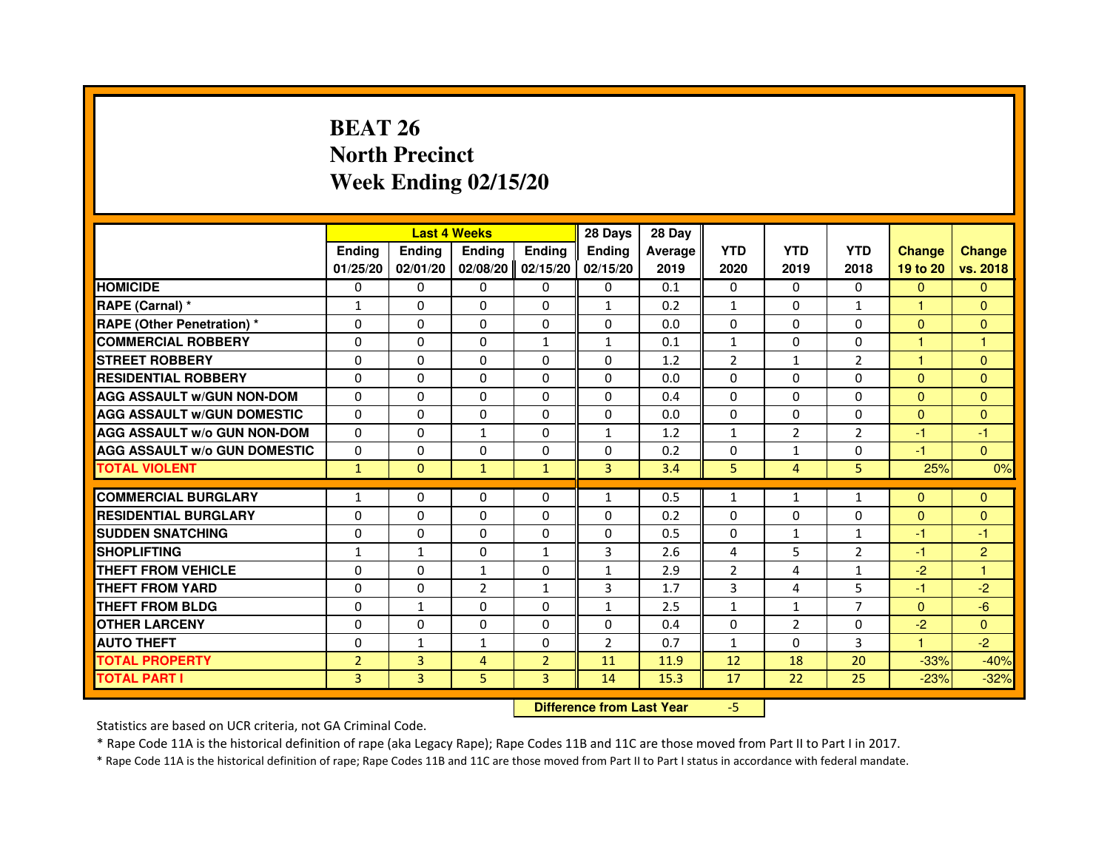# **BEAT 26 North PrecinctWeek Ending 02/15/20**

|                                     |                | <b>Last 4 Weeks</b>              |                |                | 28 Days        | 28 Day  |                |                |                |                      |                |
|-------------------------------------|----------------|----------------------------------|----------------|----------------|----------------|---------|----------------|----------------|----------------|----------------------|----------------|
|                                     | <b>Ending</b>  | <b>Ending</b>                    | Ending         | <b>Ending</b>  | Ending         | Average | <b>YTD</b>     | <b>YTD</b>     | <b>YTD</b>     | <b>Change</b>        | <b>Change</b>  |
|                                     | 01/25/20       | 02/01/20                         | 02/08/20       | 02/15/20       | 02/15/20       | 2019    | 2020           | 2019           | 2018           | 19 to 20             | vs. 2018       |
| <b>HOMICIDE</b>                     | 0              | $\Omega$                         | $\mathbf{0}$   | $\mathbf{0}$   | $\Omega$       | 0.1     | $\Omega$       | $\Omega$       | $\Omega$       | $\mathbf{0}$         | $\Omega$       |
| RAPE (Carnal) *                     | 1              | 0                                | 0              | $\Omega$       | 1              | 0.2     | 1              | $\Omega$       | $\mathbf{1}$   | $\blacktriangleleft$ | $\Omega$       |
| RAPE (Other Penetration) *          | $\Omega$       | $\Omega$                         | $\Omega$       | $\Omega$       | $\mathbf{0}$   | 0.0     | $\Omega$       | $\Omega$       | $\Omega$       | $\Omega$             | $\overline{0}$ |
| <b>COMMERCIAL ROBBERY</b>           | 0              | $\Omega$                         | $\Omega$       | $\mathbf{1}$   | $\mathbf{1}$   | 0.1     | $\mathbf{1}$   | $\Omega$       | $\Omega$       | $\mathbf{1}$         | $\mathbf{1}$   |
| <b>STREET ROBBERY</b>               | $\Omega$       | $\Omega$                         | 0              | $\Omega$       | $\Omega$       | 1.2     | $\overline{2}$ | $\mathbf{1}$   | 2              | $\mathbf{1}$         | $\overline{0}$ |
| <b>RESIDENTIAL ROBBERY</b>          | $\Omega$       | $\Omega$                         | 0              | $\Omega$       | $\Omega$       | 0.0     | $\Omega$       | $\Omega$       | $\Omega$       | $\Omega$             | $\Omega$       |
| <b>AGG ASSAULT w/GUN NON-DOM</b>    | $\Omega$       | $\Omega$                         | $\Omega$       | $\Omega$       | $\Omega$       | 0.4     | $\Omega$       | $\Omega$       | $\Omega$       | $\Omega$             | $\Omega$       |
| <b>AGG ASSAULT W/GUN DOMESTIC</b>   | $\Omega$       | $\Omega$                         | $\Omega$       | $\Omega$       | $\Omega$       | 0.0     | $\Omega$       | $\Omega$       | $\Omega$       | $\Omega$             | $\Omega$       |
| <b>AGG ASSAULT W/o GUN NON-DOM</b>  | 0              | 0                                | $\mathbf{1}$   | 0              | $\mathbf{1}$   | 1.2     | $\mathbf{1}$   | $\overline{2}$ | 2              | $-1$                 | $-1$           |
| <b>AGG ASSAULT W/o GUN DOMESTIC</b> | $\Omega$       | 0                                | 0              | $\Omega$       | 0              | 0.2     | 0              | $\mathbf{1}$   | $\Omega$       | $-1$                 | $\Omega$       |
| <b>TOTAL VIOLENT</b>                | $\mathbf{1}$   | $\mathbf{0}$                     | $\mathbf{1}$   | $\mathbf{1}$   | 3              | 3.4     | 5              | $\overline{4}$ | 5              | 25%                  | 0%             |
| <b>COMMERCIAL BURGLARY</b>          | $\mathbf{1}$   | 0                                | 0              | $\Omega$       | $\mathbf{1}$   | 0.5     | $\mathbf{1}$   | $\mathbf{1}$   | $\mathbf{1}$   | $\Omega$             | $\Omega$       |
| <b>RESIDENTIAL BURGLARY</b>         | $\Omega$       | $\Omega$                         | $\Omega$       | $\Omega$       | $\Omega$       | 0.2     | $\Omega$       | $\Omega$       | $\Omega$       | $\Omega$             | $\Omega$       |
| <b>SUDDEN SNATCHING</b>             | $\Omega$       | $\Omega$                         | $\Omega$       | $\Omega$       | $\Omega$       | 0.5     | $\Omega$       | $\mathbf{1}$   | $\mathbf{1}$   | $-1$                 | $-1$           |
| <b>SHOPLIFTING</b>                  | 1              | $\mathbf{1}$                     | 0              | 1              | 3              | 2.6     | 4              | 5              | 2              | $-1$                 | $\overline{2}$ |
| <b>THEFT FROM VEHICLE</b>           | $\Omega$       | $\Omega$                         | 1              | $\Omega$       | $\mathbf{1}$   | 2.9     | $\overline{2}$ | 4              | $\mathbf{1}$   | $-2$                 | 1              |
| <b>THEFT FROM YARD</b>              | 0              | 0                                | $\overline{2}$ | $\mathbf{1}$   | 3              | 1.7     | 3              | 4              | 5              | $-1$                 | $-2$           |
| <b>THEFT FROM BLDG</b>              | $\Omega$       | $\mathbf{1}$                     | $\Omega$       | $\Omega$       | $\mathbf{1}$   | 2.5     | $\mathbf{1}$   | $\mathbf{1}$   | $\overline{7}$ | $\mathbf{0}$         | $-6$           |
| <b>OTHER LARCENY</b>                | $\Omega$       | $\Omega$                         | 0              | $\Omega$       | $\mathbf{0}$   | 0.4     | $\Omega$       | $\overline{2}$ | $\Omega$       | $-2$                 | $\Omega$       |
| <b>AUTO THEFT</b>                   | $\Omega$       | $\mathbf{1}$                     | $\mathbf{1}$   | $\Omega$       | $\overline{2}$ | 0.7     | $\mathbf{1}$   | $\Omega$       | 3              | $\mathbf{1}$         | $-2$           |
| <b>TOTAL PROPERTY</b>               | $\overline{2}$ | 3                                | $\overline{4}$ | $\overline{2}$ | 11             | 11.9    | 12             | 18             | 20             | $-33%$               | $-40%$         |
| <b>TOTAL PART I</b>                 | $\overline{3}$ | 3                                | 5              | 3              | 14             | 15.3    | 17             | 22             | 25             | $-23%$               | $-32%$         |
|                                     |                | <b>Difference from Last Year</b> |                | $-5$           |                |         |                |                |                |                      |                |

 **Difference from Last Year**

Statistics are based on UCR criteria, not GA Criminal Code.

\* Rape Code 11A is the historical definition of rape (aka Legacy Rape); Rape Codes 11B and 11C are those moved from Part II to Part I in 2017.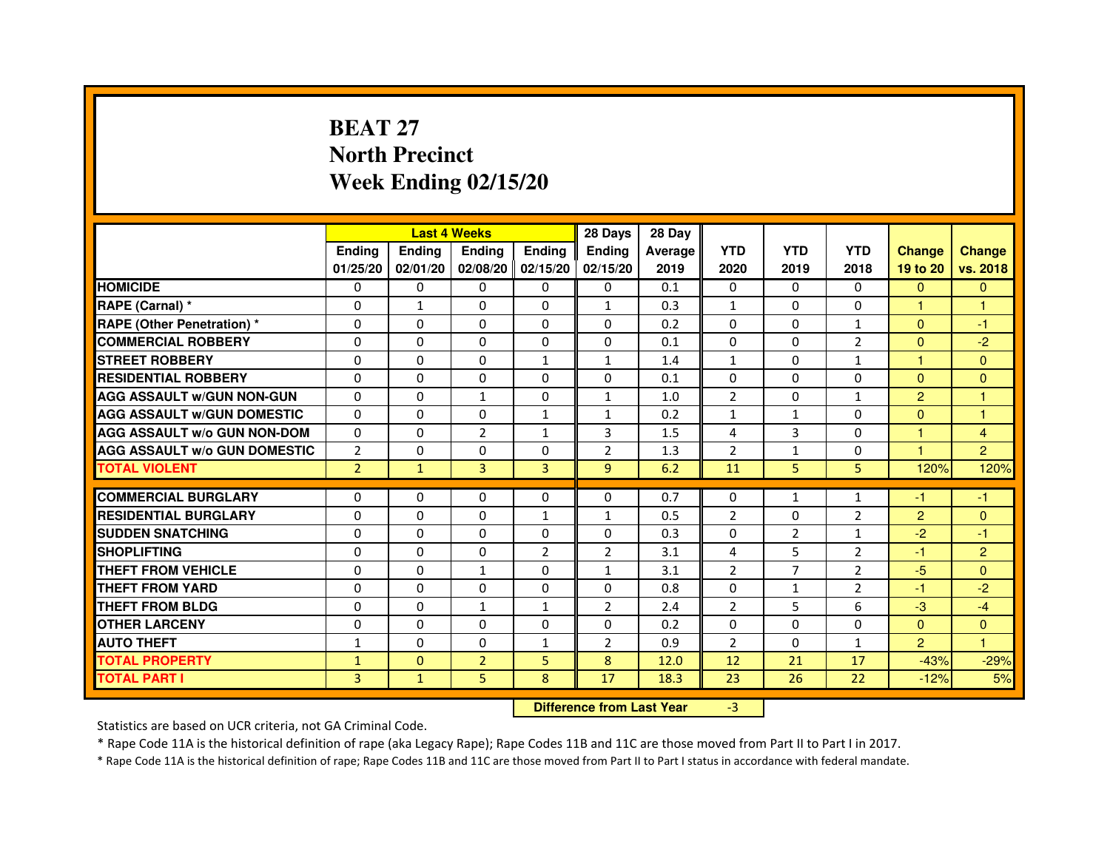# **BEAT 27 North PrecinctWeek Ending 02/15/20**

|                                     |                | <b>Last 4 Weeks</b> |                |                | 28 Days                          | 28 Day  |                |                |                |                |                |
|-------------------------------------|----------------|---------------------|----------------|----------------|----------------------------------|---------|----------------|----------------|----------------|----------------|----------------|
|                                     | <b>Ending</b>  | <b>Ending</b>       | <b>Ending</b>  | <b>Ending</b>  | <b>Ending</b>                    | Average | <b>YTD</b>     | <b>YTD</b>     | <b>YTD</b>     | <b>Change</b>  | <b>Change</b>  |
|                                     | 01/25/20       | 02/01/20            | 02/08/20       | 02/15/20       | 02/15/20                         | 2019    | 2020           | 2019           | 2018           | 19 to 20       | vs. 2018       |
| <b>HOMICIDE</b>                     | 0              | $\mathbf{0}$        | $\Omega$       | $\Omega$       | 0                                | 0.1     | $\Omega$       | $\Omega$       | 0              | $\Omega$       | $\Omega$       |
| RAPE (Carnal) *                     | 0              | $\mathbf{1}$        | 0              | $\Omega$       | $\mathbf{1}$                     | 0.3     | $\mathbf{1}$   | $\Omega$       | 0              | 1.             | 1              |
| <b>RAPE (Other Penetration) *</b>   | $\mathbf 0$    | 0                   | $\Omega$       | $\mathbf{0}$   | $\Omega$                         | 0.2     | $\Omega$       | $\Omega$       | $\mathbf{1}$   | $\Omega$       | $-1$           |
| <b>COMMERCIAL ROBBERY</b>           | $\mathbf 0$    | $\mathbf{0}$        | $\Omega$       | $\mathbf{0}$   | $\mathbf{0}$                     | 0.1     | $\Omega$       | $\mathbf{0}$   | $\overline{2}$ | $\Omega$       | $-2$           |
| <b>STREET ROBBERY</b>               | $\Omega$       | $\Omega$            | $\Omega$       | $\mathbf{1}$   | $\mathbf{1}$                     | 1.4     | $\mathbf{1}$   | $\Omega$       | $\mathbf{1}$   | $\mathbf{1}$   | $\mathbf{0}$   |
| <b>RESIDENTIAL ROBBERY</b>          | 0              | $\Omega$            | 0              | $\Omega$       | 0                                | 0.1     | $\Omega$       | $\Omega$       | $\Omega$       | $\Omega$       | $\Omega$       |
| <b>AGG ASSAULT W/GUN NON-GUN</b>    | $\Omega$       | 0                   | $\mathbf{1}$   | $\Omega$       | $\mathbf{1}$                     | 1.0     | $\overline{2}$ | $\Omega$       | $\mathbf{1}$   | $\overline{2}$ | $\mathbf{1}$   |
| <b>AGG ASSAULT W/GUN DOMESTIC</b>   | $\Omega$       | $\Omega$            | $\Omega$       | $\mathbf{1}$   | $\mathbf{1}$                     | 0.2     | $\mathbf{1}$   | $\mathbf{1}$   | $\Omega$       | $\Omega$       | $\mathbf{1}$   |
| <b>AGG ASSAULT W/o GUN NON-DOM</b>  | $\Omega$       | 0                   | $\overline{2}$ | $\mathbf{1}$   | 3                                | 1.5     | 4              | 3              | $\Omega$       | $\mathbf{1}$   | 4              |
| <b>AGG ASSAULT W/o GUN DOMESTIC</b> | $\overline{2}$ | 0                   | 0              | $\Omega$       | $\overline{2}$                   | 1.3     | $\overline{2}$ | $\mathbf{1}$   | 0              | 1              | $\overline{2}$ |
| <b>TOTAL VIOLENT</b>                | $\overline{2}$ | $\mathbf{1}$        | 3              | 3              | 9                                | 6.2     | 11             | 5              | 5              | 120%           | 120%           |
| <b>COMMERCIAL BURGLARY</b>          | 0              | 0                   | 0              | 0              | 0                                | 0.7     | 0              | $\mathbf{1}$   | $\mathbf{1}$   | -1             | -1             |
| <b>RESIDENTIAL BURGLARY</b>         | $\Omega$       | $\Omega$            | $\Omega$       | $\mathbf{1}$   | $\mathbf{1}$                     | 0.5     | $\overline{2}$ | $\Omega$       | $\overline{2}$ | $\overline{2}$ | $\mathbf{0}$   |
| <b>SUDDEN SNATCHING</b>             | $\Omega$       | $\Omega$            | $\Omega$       | $\Omega$       | $\Omega$                         | 0.3     | $\Omega$       | $\overline{2}$ | $\mathbf{1}$   | $-2$           | $-1$           |
| <b>SHOPLIFTING</b>                  | 0              | 0                   | 0              | $\overline{2}$ | 2                                | 3.1     | 4              | 5              | 2              | $-1$           | $\overline{2}$ |
| THEFT FROM VEHICLE                  | 0              | $\Omega$            | $\mathbf{1}$   | $\Omega$       | $\mathbf{1}$                     | 3.1     | $\overline{2}$ | 7              | $\overline{2}$ | $-5$           | $\Omega$       |
| <b>THEFT FROM YARD</b>              | $\mathbf 0$    | 0                   | $\Omega$       | $\mathbf 0$    | $\Omega$                         | 0.8     | $\mathbf 0$    | $\mathbf{1}$   | $\overline{2}$ | $-1$           | $-2$           |
| <b>THEFT FROM BLDG</b>              | 0              | $\Omega$            | $\mathbf{1}$   | $\mathbf{1}$   | $\overline{2}$                   | 2.4     | 2              | 5              | 6              | $-3$           | $-4$           |
| <b>OTHER LARCENY</b>                | 0              | $\Omega$            | 0              | $\Omega$       | $\Omega$                         | 0.2     | $\Omega$       | $\Omega$       | $\Omega$       | $\mathbf{0}$   | $\Omega$       |
| <b>AUTO THEFT</b>                   | $\mathbf{1}$   | $\Omega$            | $\Omega$       | $\mathbf{1}$   | $\overline{2}$                   | 0.9     | $\overline{2}$ | $\Omega$       | $\mathbf{1}$   | $\overline{2}$ | $\mathbf{1}$   |
| <b>TOTAL PROPERTY</b>               | $\mathbf{1}$   | $\mathbf{0}$        | $\overline{2}$ | 5              | 8                                | 12.0    | 12             | 21             | 17             | $-43%$         | $-29%$         |
| <b>TOTAL PART I</b>                 | 3              | $\mathbf{1}$        | 5              | 8              | 17                               | 18.3    | 23             | 26             | 22             | $-12%$         | 5%             |
|                                     |                |                     |                |                | <b>Difference from Last Year</b> |         | $-3$           |                |                |                |                |

 **Difference from Last Year**

Statistics are based on UCR criteria, not GA Criminal Code.

\* Rape Code 11A is the historical definition of rape (aka Legacy Rape); Rape Codes 11B and 11C are those moved from Part II to Part I in 2017.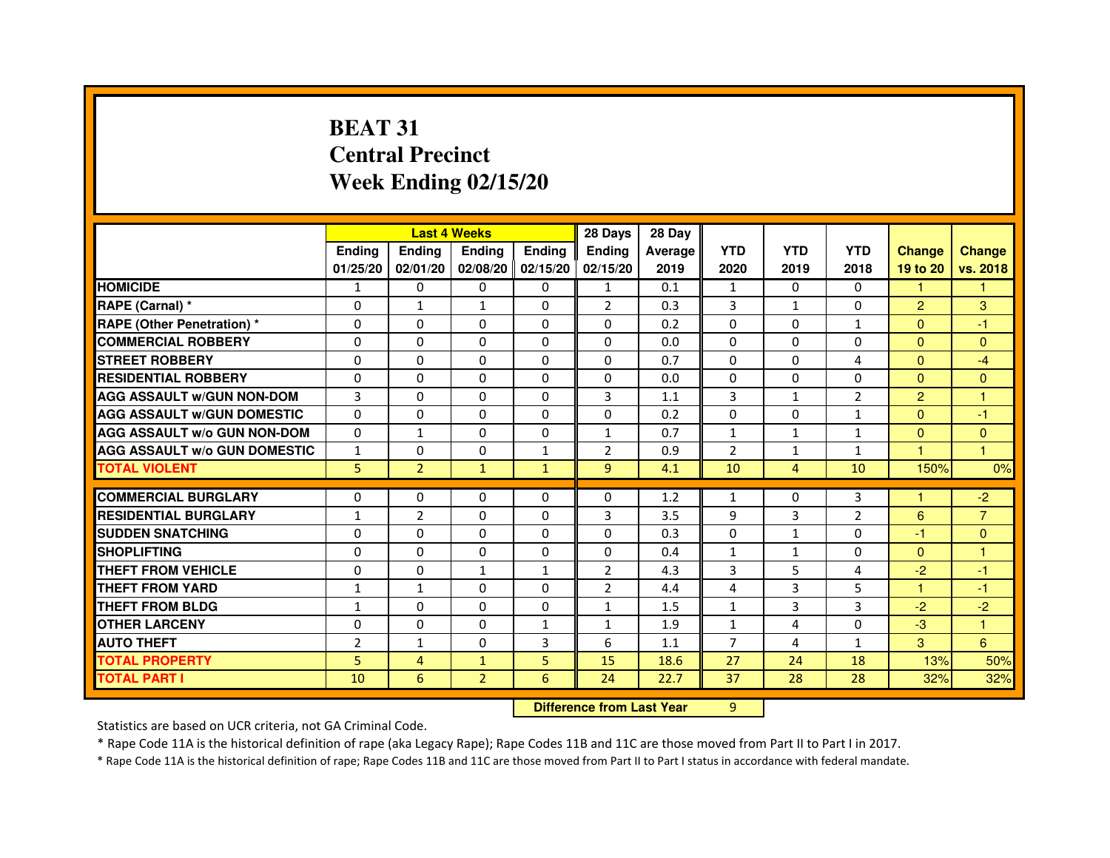# **BEAT 31 Central PrecinctWeek Ending 02/15/20**

|                                     |                | <b>Last 4 Weeks</b>              |                |               | 28 Days        | 28 Day  |                |                |                |                |                |
|-------------------------------------|----------------|----------------------------------|----------------|---------------|----------------|---------|----------------|----------------|----------------|----------------|----------------|
|                                     | <b>Ending</b>  | <b>Ending</b>                    | <b>Ending</b>  | <b>Ending</b> | <b>Ending</b>  | Average | <b>YTD</b>     | <b>YTD</b>     | <b>YTD</b>     | <b>Change</b>  | <b>Change</b>  |
|                                     | 01/25/20       | 02/01/20                         | 02/08/20       | 02/15/20      | 02/15/20       | 2019    | 2020           | 2019           | 2018           | 19 to 20       | vs. 2018       |
| <b>HOMICIDE</b>                     | 1              | $\Omega$                         | $\Omega$       | $\Omega$      | $\mathbf{1}$   | 0.1     | $\mathbf{1}$   | $\Omega$       | $\Omega$       | $\mathbf{1}$   | $\mathbf{1}$   |
| RAPE (Carnal) *                     | 0              | $\mathbf{1}$                     | $\mathbf{1}$   | $\mathbf{0}$  | $\overline{2}$ | 0.3     | 3              | $\mathbf{1}$   | 0              | $\overline{2}$ | 3              |
| <b>RAPE (Other Penetration) *</b>   | 0              | 0                                | 0              | $\Omega$      | 0              | 0.2     | $\Omega$       | $\Omega$       | $\mathbf{1}$   | $\Omega$       | $-1$           |
| <b>COMMERCIAL ROBBERY</b>           | $\Omega$       | $\Omega$                         | $\Omega$       | $\mathbf{0}$  | $\Omega$       | 0.0     | $\Omega$       | $\Omega$       | $\Omega$       | $\Omega$       | $\Omega$       |
| <b>STREET ROBBERY</b>               | $\Omega$       | $\Omega$                         | $\Omega$       | $\Omega$      | $\Omega$       | 0.7     | $\Omega$       | $\Omega$       | 4              | $\Omega$       | $-4$           |
| <b>RESIDENTIAL ROBBERY</b>          | $\Omega$       | $\Omega$                         | $\Omega$       | $\Omega$      | $\Omega$       | 0.0     | $\Omega$       | $\Omega$       | $\Omega$       | $\Omega$       | $\mathbf{0}$   |
| <b>AGG ASSAULT w/GUN NON-DOM</b>    | 3              | $\mathbf 0$                      | $\Omega$       | $\Omega$      | 3              | 1.1     | $\overline{3}$ | $\mathbf{1}$   | $\overline{2}$ | $\overline{2}$ | $\mathbf{1}$   |
| <b>AGG ASSAULT w/GUN DOMESTIC</b>   | $\Omega$       | $\Omega$                         | $\Omega$       | $\Omega$      | $\Omega$       | 0.2     | $\Omega$       | $\Omega$       | $\mathbf{1}$   | $\Omega$       | $-1$           |
| <b>AGG ASSAULT W/o GUN NON-DOM</b>  | $\mathbf{0}$   | $\mathbf{1}$                     | 0              | $\mathbf{0}$  | 1              | 0.7     | $\mathbf{1}$   | $\mathbf{1}$   | $\mathbf{1}$   | $\mathbf{0}$   | $\mathbf{0}$   |
| <b>AGG ASSAULT w/o GUN DOMESTIC</b> | $\mathbf{1}$   | 0                                | 0              | $\mathbf{1}$  | $\overline{2}$ | 0.9     | $\overline{2}$ | $\mathbf{1}$   | $\mathbf{1}$   |                | $\overline{1}$ |
| <b>TOTAL VIOLENT</b>                | 5              | $\overline{2}$                   | $\mathbf{1}$   | $\mathbf{1}$  | 9              | 4.1     | 10             | $\overline{4}$ | 10             | 150%           | 0%             |
| <b>COMMERCIAL BURGLARY</b>          | $\Omega$       | 0                                | 0              | 0             | 0              | 1.2     | $\mathbf{1}$   | 0              | 3              |                | $-2$           |
| <b>RESIDENTIAL BURGLARY</b>         | $\mathbf{1}$   | $\overline{2}$                   | $\Omega$       | $\mathbf{0}$  | 3              | 3.5     | 9              | 3              | $\overline{2}$ | 6              | $\overline{7}$ |
| <b>SUDDEN SNATCHING</b>             | 0              | $\Omega$                         | $\Omega$       | $\Omega$      | $\Omega$       | 0.3     | $\Omega$       | $\mathbf{1}$   | $\Omega$       | $-1$           | $\mathbf{0}$   |
| <b>SHOPLIFTING</b>                  | 0              | 0                                | 0              | $\mathbf{0}$  | 0              | 0.4     | $\mathbf{1}$   | $\mathbf{1}$   | 0              | $\mathbf{0}$   | 1              |
| <b>THEFT FROM VEHICLE</b>           | 0              | $\mathbf 0$                      | $\mathbf{1}$   | $\mathbf{1}$  | $\overline{2}$ | 4.3     | 3              | 5              | 4              | $-2$           | $-1$           |
| <b>THEFT FROM YARD</b>              | $\mathbf{1}$   | $\mathbf{1}$                     | $\mathbf 0$    | 0             | $\overline{2}$ | 4.4     | 4              | 3              | 5              | $\mathbf{1}$   | $-1$           |
| <b>THEFT FROM BLDG</b>              | $\mathbf{1}$   | $\Omega$                         | 0              | $\Omega$      | $\mathbf{1}$   | 1.5     | $\mathbf{1}$   | 3              | 3              | $-2$           | $-2$           |
| <b>OTHER LARCENY</b>                | $\mathbf 0$    | $\Omega$                         | 0              | $\mathbf{1}$  | $\mathbf{1}$   | 1.9     | $\mathbf{1}$   | 4              | $\Omega$       | $-3$           | 1              |
| <b>AUTO THEFT</b>                   | $\overline{2}$ | $\mathbf{1}$                     | $\Omega$       | 3             | 6              | 1.1     | $\overline{7}$ | 4              | $\mathbf{1}$   | 3              | 6              |
| <b>TOTAL PROPERTY</b>               | 5              | 4                                | $\mathbf{1}$   | 5             | 15             | 18.6    | 27             | 24             | 18             | 13%            | 50%            |
| <b>TOTAL PART I</b>                 | 10             | 6                                | $\overline{2}$ | 6             | 24             | 22.7    | 37             | 28             | 28             | 32%            | 32%            |
|                                     |                | <b>Difference from Last Year</b> |                | 9             |                |         |                |                |                |                |                |

 **Difference from Last Year**

Statistics are based on UCR criteria, not GA Criminal Code.

\* Rape Code 11A is the historical definition of rape (aka Legacy Rape); Rape Codes 11B and 11C are those moved from Part II to Part I in 2017.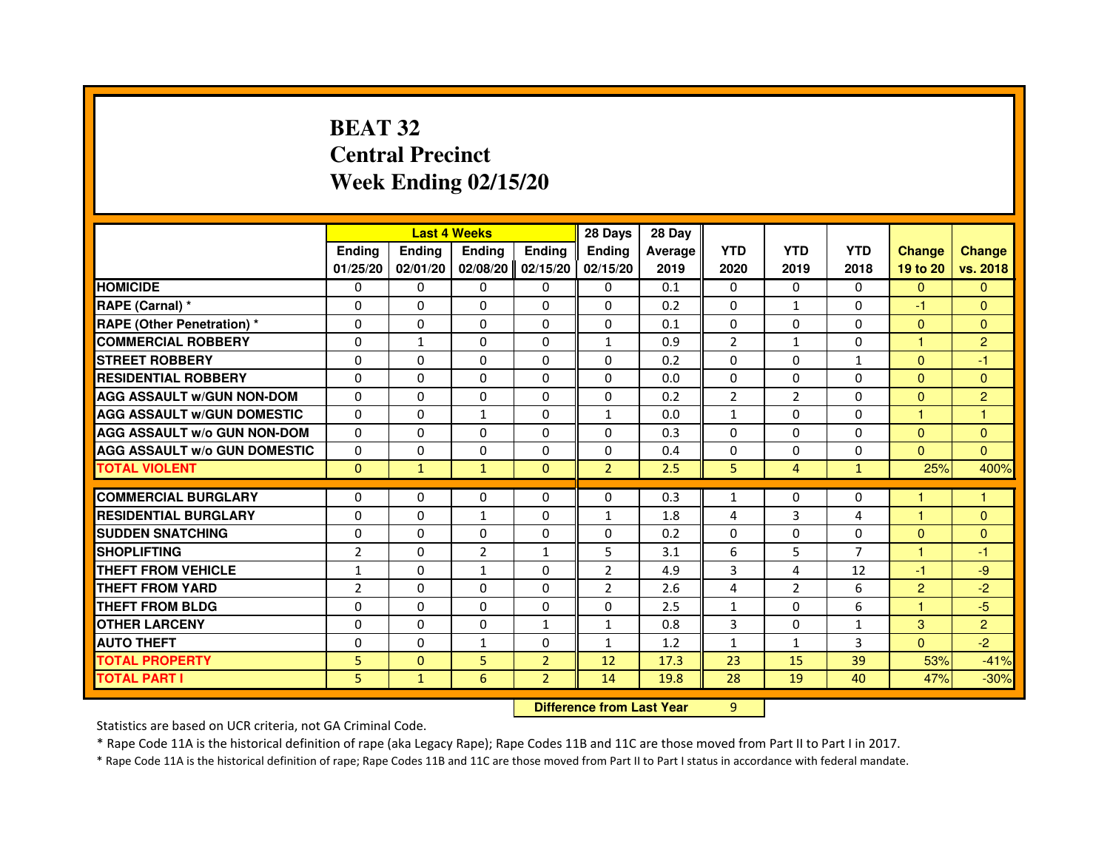## **BEAT 32 Central PrecinctWeek Ending 02/15/20**

|                                     |                |               | <b>Last 4 Weeks</b> |                | 28 Days                          | 28 Day  |                |                |              |                |                |
|-------------------------------------|----------------|---------------|---------------------|----------------|----------------------------------|---------|----------------|----------------|--------------|----------------|----------------|
|                                     | <b>Ending</b>  | <b>Ending</b> | <b>Ending</b>       | <b>Ending</b>  | <b>Ending</b>                    | Average | <b>YTD</b>     | <b>YTD</b>     | <b>YTD</b>   | <b>Change</b>  | <b>Change</b>  |
|                                     | 01/25/20       | 02/01/20      | 02/08/20            | 02/15/20       | 02/15/20                         | 2019    | 2020           | 2019           | 2018         | 19 to 20       | vs. 2018       |
| <b>HOMICIDE</b>                     | $\Omega$       | $\Omega$      | $\Omega$            | $\Omega$       | 0                                | 0.1     | $\Omega$       | $\Omega$       | $\Omega$     | $\Omega$       | $\mathbf{0}$   |
| RAPE (Carnal) *                     | 0              | 0             | 0                   | 0              | 0                                | 0.2     | $\Omega$       | $\mathbf{1}$   | 0            | $-1$           | $\mathbf{0}$   |
| <b>RAPE (Other Penetration) *</b>   | $\Omega$       | $\Omega$      | $\Omega$            | $\Omega$       | $\Omega$                         | 0.1     | $\Omega$       | $\Omega$       | $\Omega$     | $\Omega$       | $\Omega$       |
| <b>COMMERCIAL ROBBERY</b>           | $\Omega$       | $\mathbf{1}$  | $\Omega$            | $\Omega$       | $\mathbf{1}$                     | 0.9     | 2              | $\mathbf{1}$   | $\Omega$     | $\mathbf{1}$   | $\overline{2}$ |
| <b>STREET ROBBERY</b>               | $\Omega$       | $\Omega$      | $\Omega$            | $\Omega$       | $\Omega$                         | 0.2     | $\Omega$       | $\Omega$       | $\mathbf{1}$ | $\Omega$       | $-1$           |
| <b>RESIDENTIAL ROBBERY</b>          | $\Omega$       | $\Omega$      | $\Omega$            | $\Omega$       | $\Omega$                         | 0.0     | $\Omega$       | $\Omega$       | $\Omega$     | $\Omega$       | $\Omega$       |
| <b>AGG ASSAULT W/GUN NON-DOM</b>    | $\Omega$       | $\Omega$      | $\Omega$            | $\Omega$       | $\Omega$                         | 0.2     | $\overline{2}$ | $\overline{2}$ | $\Omega$     | $\Omega$       | $\overline{c}$ |
| <b>AGG ASSAULT W/GUN DOMESTIC</b>   | $\Omega$       | $\Omega$      | $\mathbf{1}$        | $\Omega$       | $\mathbf{1}$                     | 0.0     | $\mathbf{1}$   | $\Omega$       | $\Omega$     | $\mathbf{1}$   | $\mathbf{1}$   |
| <b>AGG ASSAULT W/o GUN NON-DOM</b>  | $\Omega$       | 0             | 0                   | 0              | 0                                | 0.3     | $\Omega$       | 0              | 0            | $\Omega$       | $\mathbf{0}$   |
| <b>AGG ASSAULT W/o GUN DOMESTIC</b> | $\Omega$       | 0             | 0                   | $\Omega$       | $\Omega$                         | 0.4     | $\Omega$       | $\Omega$       | $\Omega$     | $\Omega$       | $\Omega$       |
| <b>TOTAL VIOLENT</b>                | $\mathbf{0}$   | $\mathbf{1}$  | $\mathbf{1}$        | $\mathbf{0}$   | $\overline{2}$                   | 2.5     | 5              | $\overline{4}$ | $\mathbf{1}$ | 25%            | 400%           |
| <b>COMMERCIAL BURGLARY</b>          | $\Omega$       | 0             | 0                   | 0              | $\Omega$                         | 0.3     | $\mathbf{1}$   | 0              | 0            | 1              | 1              |
| <b>RESIDENTIAL BURGLARY</b>         | $\Omega$       | $\Omega$      | $\mathbf{1}$        | $\Omega$       | $\mathbf{1}$                     | 1.8     | 4              | 3              | 4            | 1              | $\Omega$       |
| <b>SUDDEN SNATCHING</b>             | $\Omega$       | $\Omega$      | $\Omega$            | $\Omega$       | $\Omega$                         | 0.2     | $\Omega$       | $\Omega$       | $\Omega$     | $\Omega$       | $\Omega$       |
| <b>SHOPLIFTING</b>                  | 2              | 0             | 2                   | 1              | 5                                | 3.1     | 6              | 5              | 7            | 1              | $-1$           |
| THEFT FROM VEHICLE                  | $\mathbf{1}$   | $\Omega$      | $\mathbf{1}$        | $\Omega$       | $\overline{2}$                   | 4.9     | 3              | 4              | 12           | $-1$           | -9             |
| <b>THEFT FROM YARD</b>              | $\overline{2}$ | 0             | $\Omega$            | 0              | $\overline{2}$                   | 2.6     | 4              | $\overline{2}$ | 6            | $\overline{2}$ | $-2$           |
| <b>THEFT FROM BLDG</b>              | $\Omega$       | $\Omega$      | $\Omega$            | $\Omega$       | $\Omega$                         | 2.5     | $\mathbf{1}$   | $\Omega$       | 6            | $\mathbf{1}$   | $-5$           |
| <b>OTHER LARCENY</b>                | $\Omega$       | $\Omega$      | $\Omega$            | $\mathbf{1}$   | $\mathbf{1}$                     | 0.8     | 3              | $\Omega$       | $\mathbf{1}$ | 3              | $\overline{2}$ |
| <b>AUTO THEFT</b>                   | $\Omega$       | $\Omega$      | $\mathbf{1}$        | $\Omega$       | $\mathbf{1}$                     | 1.2     | $\mathbf{1}$   | $\mathbf{1}$   | 3            | $\Omega$       | $-2$           |
| <b>TOTAL PROPERTY</b>               | 5              | $\Omega$      | 5                   | $\overline{2}$ | 12                               | 17.3    | 23             | 15             | 39           | 53%            | $-41%$         |
| <b>TOTAL PART I</b>                 | 5              | $\mathbf{1}$  | 6                   | $\overline{2}$ | 14                               | 19.8    | 28             | 19             | 40           | 47%            | $-30%$         |
|                                     |                |               |                     |                | <b>Difference from Last Year</b> |         | $\overline{9}$ |                |              |                |                |

 **Difference from Last Year**

Statistics are based on UCR criteria, not GA Criminal Code.

\* Rape Code 11A is the historical definition of rape (aka Legacy Rape); Rape Codes 11B and 11C are those moved from Part II to Part I in 2017.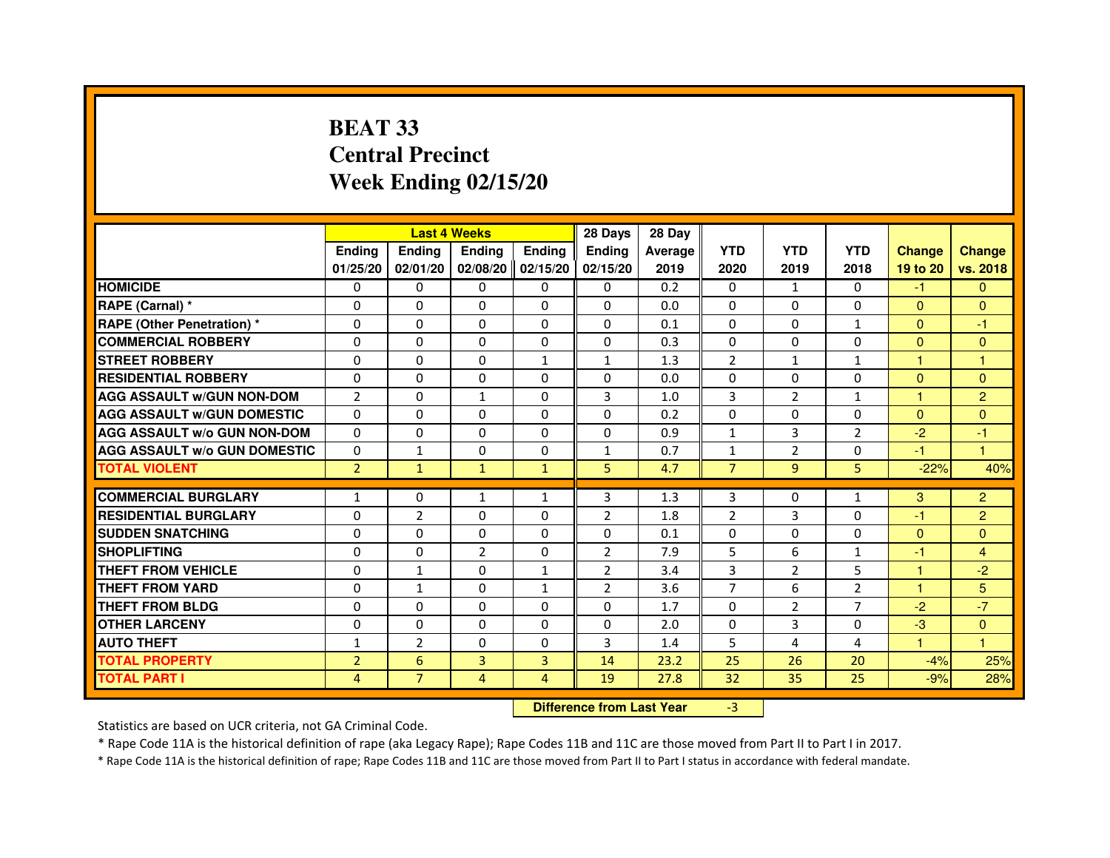# **BEAT 33 Central PrecinctWeek Ending 02/15/20**

|                                     |                | <b>Last 4 Weeks</b> |                                  |                | 28 Days        | 28 Day  |                |                |                |                |                |
|-------------------------------------|----------------|---------------------|----------------------------------|----------------|----------------|---------|----------------|----------------|----------------|----------------|----------------|
|                                     | <b>Ending</b>  | <b>Ending</b>       | <b>Ending</b>                    | <b>Ending</b>  | <b>Ending</b>  | Average | <b>YTD</b>     | <b>YTD</b>     | <b>YTD</b>     | <b>Change</b>  | <b>Change</b>  |
|                                     | 01/25/20       | 02/01/20            | 02/08/20                         | 02/15/20       | 02/15/20       | 2019    | 2020           | 2019           | 2018           | 19 to 20       | vs. 2018       |
| <b>HOMICIDE</b>                     | 0              | $\Omega$            | $\Omega$                         | $\Omega$       | 0              | 0.2     | $\Omega$       | $\mathbf{1}$   | $\Omega$       | $-1$           | $\mathbf{0}$   |
| RAPE (Carnal) *                     | 0              | 0                   | 0                                | $\Omega$       | $\Omega$       | 0.0     | 0              | 0              | 0              | $\mathbf{0}$   | $\mathbf{0}$   |
| <b>RAPE (Other Penetration) *</b>   | 0              | 0                   | $\Omega$                         | $\Omega$       | $\Omega$       | 0.1     | $\Omega$       | $\Omega$       | $\mathbf{1}$   | $\Omega$       | -1             |
| <b>COMMERCIAL ROBBERY</b>           | $\Omega$       | $\Omega$            | $\Omega$                         | $\mathbf{0}$   | $\Omega$       | 0.3     | $\Omega$       | $\Omega$       | $\Omega$       | $\Omega$       | $\mathbf{0}$   |
| <b>STREET ROBBERY</b>               | $\Omega$       | 0                   | $\Omega$                         | $\mathbf{1}$   | $\mathbf{1}$   | 1.3     | 2              | $\mathbf{1}$   | $\mathbf{1}$   | $\mathbf{1}$   | $\mathbf{1}$   |
| <b>RESIDENTIAL ROBBERY</b>          | $\Omega$       | $\Omega$            | 0                                | $\Omega$       | $\Omega$       | 0.0     | $\Omega$       | $\Omega$       | $\Omega$       | $\Omega$       | $\Omega$       |
| <b>AGG ASSAULT w/GUN NON-DOM</b>    | $\overline{2}$ | $\mathbf 0$         | $\mathbf{1}$                     | $\Omega$       | 3              | 1.0     | $\overline{3}$ | $\overline{2}$ | $\mathbf{1}$   | $\overline{1}$ | $\overline{2}$ |
| <b>AGG ASSAULT w/GUN DOMESTIC</b>   | $\Omega$       | $\Omega$            | $\Omega$                         | $\Omega$       | $\Omega$       | 0.2     | $\Omega$       | $\Omega$       | $\Omega$       | $\Omega$       | $\Omega$       |
| <b>AGG ASSAULT W/o GUN NON-DOM</b>  | $\mathbf{0}$   | 0                   | 0                                | $\mathbf{0}$   | 0              | 0.9     | $\mathbf{1}$   | 3              | 2              | $-2$           | -1             |
| <b>AGG ASSAULT w/o GUN DOMESTIC</b> | $\Omega$       | $\mathbf{1}$        | 0                                | $\Omega$       | $\mathbf{1}$   | 0.7     | $\mathbf{1}$   | $\overline{2}$ | 0              | $-1$           | $\mathbf{1}$   |
| <b>TOTAL VIOLENT</b>                | $\overline{2}$ | $\mathbf{1}$        | $\mathbf{1}$                     | $\mathbf{1}$   | 5              | 4.7     | $\overline{7}$ | 9              | 5              | $-22%$         | 40%            |
| <b>COMMERCIAL BURGLARY</b>          | $\mathbf{1}$   | 0                   | $\mathbf{1}$                     | $\mathbf{1}$   | 3              | 1.3     | 3              | 0              | $\mathbf{1}$   | 3              | $\overline{2}$ |
| <b>RESIDENTIAL BURGLARY</b>         | $\Omega$       | $\overline{2}$      | $\Omega$                         | $\mathbf{0}$   | $\overline{2}$ | 1.8     | $\overline{2}$ | $\overline{3}$ | $\Omega$       | $-1$           | $\overline{2}$ |
| <b>SUDDEN SNATCHING</b>             | $\Omega$       | $\Omega$            | $\Omega$                         | $\Omega$       | $\Omega$       | 0.1     | $\Omega$       | $\Omega$       | $\Omega$       | $\Omega$       | $\Omega$       |
| <b>SHOPLIFTING</b>                  | 0              | 0                   | $\overline{2}$                   | $\mathbf{0}$   | $\overline{2}$ | 7.9     | 5              | 6              | $\mathbf{1}$   | $-1$           | $\overline{4}$ |
| <b>THEFT FROM VEHICLE</b>           | $\Omega$       | $\mathbf{1}$        | $\Omega$                         | $\mathbf{1}$   | $\overline{2}$ | 3.4     | $\overline{3}$ | $\overline{2}$ | 5              | 1              | $-2$           |
| <b>THEFT FROM YARD</b>              | $\mathbf 0$    | $\mathbf{1}$        | $\Omega$                         | $\mathbf{1}$   | $\overline{2}$ | 3.6     | $\overline{7}$ | 6              | $\overline{2}$ | $\mathbf{1}$   | 5              |
| <b>THEFT FROM BLDG</b>              | 0              | $\Omega$            | 0                                | $\Omega$       | $\Omega$       | 1.7     | $\Omega$       | 2              | $\overline{7}$ | $-2$           | $-7$           |
| <b>OTHER LARCENY</b>                | $\mathbf 0$    | $\Omega$            | $\Omega$                         | $\Omega$       | $\Omega$       | 2.0     | $\Omega$       | 3              | $\Omega$       | $-3$           | $\mathbf{0}$   |
| <b>AUTO THEFT</b>                   | $\mathbf{1}$   | $\overline{2}$      | $\Omega$                         | $\Omega$       | 3              | 1.4     | 5              | 4              | 4              | $\mathbf{1}$   | $\mathbf{1}$   |
| <b>TOTAL PROPERTY</b>               | $\overline{2}$ | $6\phantom{1}6$     | $\overline{3}$                   | 3              | 14             | 23.2    | 25             | 26             | 20             | $-4%$          | 25%            |
| <b>TOTAL PART I</b>                 | 4              | $\overline{7}$      | $\overline{4}$                   | $\overline{4}$ | 19             | 27.8    | 32             | 35             | 25             | $-9%$          | 28%            |
|                                     |                |                     | <b>Difference from Last Year</b> |                | $-3$           |         |                |                |                |                |                |

 **Difference from Last Year**

Statistics are based on UCR criteria, not GA Criminal Code.

\* Rape Code 11A is the historical definition of rape (aka Legacy Rape); Rape Codes 11B and 11C are those moved from Part II to Part I in 2017.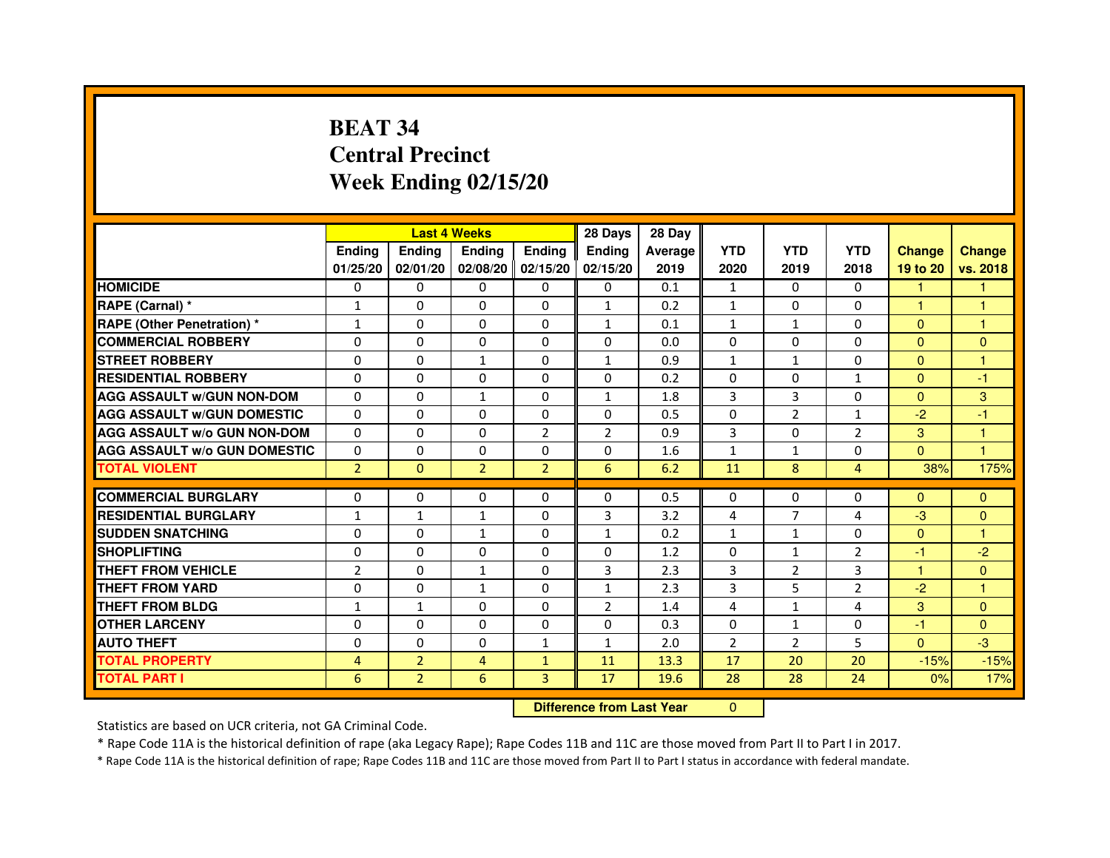# **BEAT 34 Central PrecinctWeek Ending 02/15/20**

|                                     |                |                | <b>Last 4 Weeks</b> |                | 28 Days                          | 28 Day         |                |                |                |               |               |
|-------------------------------------|----------------|----------------|---------------------|----------------|----------------------------------|----------------|----------------|----------------|----------------|---------------|---------------|
|                                     | <b>Ending</b>  | <b>Ending</b>  | <b>Ending</b>       | <b>Ending</b>  | <b>Ending</b>                    | <b>Average</b> | <b>YTD</b>     | <b>YTD</b>     | <b>YTD</b>     | <b>Change</b> | <b>Change</b> |
|                                     | 01/25/20       | 02/01/20       | 02/08/20            | 02/15/20       | 02/15/20                         | 2019           | 2020           | 2019           | 2018           | 19 to 20      | vs. 2018      |
| <b>HOMICIDE</b>                     | 0              | $\Omega$       | $\Omega$            | $\Omega$       | 0                                | 0.1            | $\mathbf{1}$   | $\Omega$       | $\Omega$       | 1.            | $\mathbf{1}$  |
| RAPE (Carnal) *                     | 1              | $\mathbf{0}$   | 0                   | $\Omega$       | $\mathbf{1}$                     | 0.2            | $\mathbf{1}$   | $\Omega$       | 0              | 1             | 1             |
| <b>RAPE (Other Penetration) *</b>   | $\mathbf{1}$   | 0              | $\Omega$            | $\mathbf{0}$   | $\mathbf{1}$                     | 0.1            | $\mathbf{1}$   | $\mathbf{1}$   | $\Omega$       | $\Omega$      | $\mathbf{1}$  |
| <b>COMMERCIAL ROBBERY</b>           | $\mathbf 0$    | $\Omega$       | $\Omega$            | $\mathbf{0}$   | $\Omega$                         | 0.0            | $\Omega$       | $\mathbf{0}$   | $\Omega$       | $\Omega$      | $\Omega$      |
| <b>STREET ROBBERY</b>               | $\Omega$       | $\Omega$       | $\mathbf{1}$        | $\mathbf{0}$   | $\mathbf{1}$                     | 0.9            | $\mathbf{1}$   | $\mathbf{1}$   | $\Omega$       | $\Omega$      | $\mathbf{1}$  |
| <b>RESIDENTIAL ROBBERY</b>          | 0              | $\Omega$       | 0                   | $\mathbf{0}$   | $\Omega$                         | 0.2            | $\Omega$       | $\Omega$       | $\mathbf{1}$   | $\Omega$      | $-1$          |
| <b>AGG ASSAULT W/GUN NON-DOM</b>    | $\Omega$       | 0              | $\mathbf{1}$        | $\mathbf{0}$   | $\mathbf{1}$                     | 1.8            | 3              | 3              | $\Omega$       | $\Omega$      | 3             |
| <b>AGG ASSAULT W/GUN DOMESTIC</b>   | $\Omega$       | $\Omega$       | $\Omega$            | $\Omega$       | $\Omega$                         | 0.5            | $\Omega$       | $\overline{2}$ | $\mathbf{1}$   | $-2$          | $-1$          |
| <b>AGG ASSAULT W/o GUN NON-DOM</b>  | $\Omega$       | 0              | 0                   | $\overline{2}$ | $\overline{2}$                   | 0.9            | 3              | 0              | $\overline{2}$ | 3             | 1             |
| <b>AGG ASSAULT W/o GUN DOMESTIC</b> | $\Omega$       | 0              | 0                   | $\Omega$       | 0                                | 1.6            | $\mathbf{1}$   | $\mathbf{1}$   | $\Omega$       | $\Omega$      | 1             |
| <b>TOTAL VIOLENT</b>                | $\overline{2}$ | $\mathbf{0}$   | $\overline{2}$      | $\overline{2}$ | 6                                | 6.2            | 11             | 8              | $\overline{4}$ | 38%           | 175%          |
| <b>COMMERCIAL BURGLARY</b>          | 0              | 0              | 0                   | 0              | 0                                | 0.5            | 0              | 0              | 0              | $\Omega$      | $\Omega$      |
| <b>RESIDENTIAL BURGLARY</b>         | $\mathbf{1}$   | $\mathbf{1}$   | $\mathbf{1}$        | $\mathbf{0}$   | 3                                | 3.2            | 4              | $\overline{7}$ | 4              | $-3$          | $\Omega$      |
| <b>SUDDEN SNATCHING</b>             | 0              | 0              | $\mathbf{1}$        | $\Omega$       | $\mathbf{1}$                     | 0.2            | $\mathbf{1}$   | $\mathbf{1}$   | $\Omega$       | $\Omega$      | 1             |
| <b>SHOPLIFTING</b>                  | 0              | 0              | 0                   | $\mathbf{0}$   | $\mathbf{0}$                     | 1.2            | $\mathbf{0}$   | $\mathbf{1}$   | 2              | $-1$          | $-2$          |
| THEFT FROM VEHICLE                  | $\overline{2}$ | $\Omega$       | $\mathbf{1}$        | $\mathbf{0}$   | 3                                | 2.3            | 3              | 2              | 3              | 1             | $\Omega$      |
| <b>THEFT FROM YARD</b>              | $\mathbf 0$    | 0              | 1                   | $\mathbf 0$    | $\mathbf{1}$                     | 2.3            | 3              | 5              | $\overline{2}$ | $-2$          | $\mathbf{1}$  |
| <b>THEFT FROM BLDG</b>              | $\mathbf{1}$   | $\mathbf{1}$   | 0                   | $\Omega$       | $\overline{2}$                   | 1.4            | 4              | $\mathbf{1}$   | 4              | 3             | $\Omega$      |
| <b>OTHER LARCENY</b>                | 0              | $\Omega$       | 0                   | $\Omega$       | $\Omega$                         | 0.3            | $\Omega$       | $\mathbf{1}$   | $\Omega$       | $-1$          | $\Omega$      |
| <b>AUTO THEFT</b>                   | $\Omega$       | $\Omega$       | $\Omega$            | $\mathbf{1}$   | $\mathbf{1}$                     | 2.0            | $\overline{2}$ | $\overline{2}$ | 5              | $\Omega$      | $-3$          |
| <b>TOTAL PROPERTY</b>               | $\overline{4}$ | $\overline{2}$ | $\overline{4}$      | $\mathbf{1}$   | 11                               | 13.3           | 17             | 20             | 20             | $-15%$        | $-15%$        |
| <b>TOTAL PART I</b>                 | 6              | $\overline{2}$ | 6                   | 3              | 17                               | 19.6           | 28             | 28             | 24             | 0%            | 17%           |
|                                     |                |                |                     |                | <b>Difference from Last Year</b> |                | $\Omega$       |                |                |               |               |

 **Difference from Last Year**

Statistics are based on UCR criteria, not GA Criminal Code.

\* Rape Code 11A is the historical definition of rape (aka Legacy Rape); Rape Codes 11B and 11C are those moved from Part II to Part I in 2017.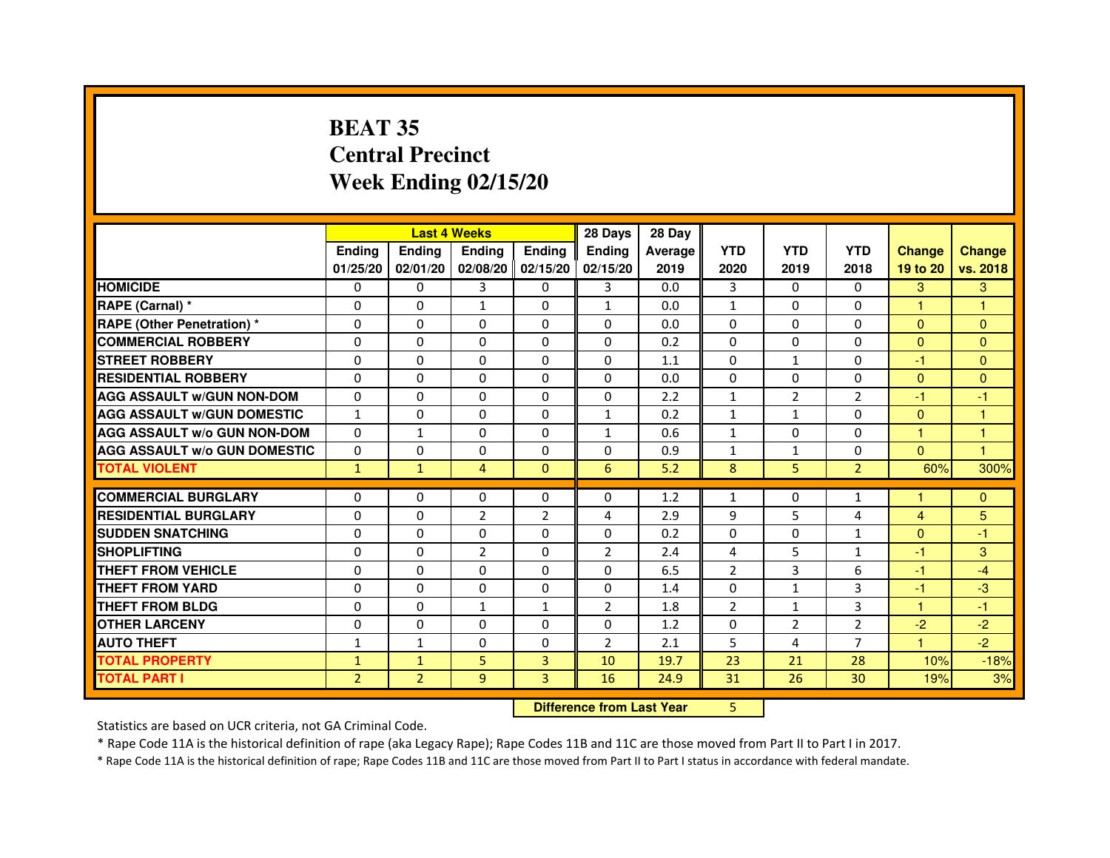# **BEAT 35 Central PrecinctWeek Ending 02/15/20**

|                                     |                |                | <b>Last 4 Weeks</b>              |                   | 28 Days        | 28 Day  |                |                |                |                |               |
|-------------------------------------|----------------|----------------|----------------------------------|-------------------|----------------|---------|----------------|----------------|----------------|----------------|---------------|
|                                     | Ending         | Ending         | Ending                           | <b>Ending</b>     | Ending         | Average | <b>YTD</b>     | <b>YTD</b>     | <b>YTD</b>     | <b>Change</b>  | <b>Change</b> |
|                                     | 01/25/20       | 02/01/20       |                                  | 02/08/20 02/15/20 | 02/15/20       | 2019    | 2020           | 2019           | 2018           | 19 to 20       | vs. 2018      |
| <b>HOMICIDE</b>                     | 0              | 0              | 3                                | $\Omega$          | 3              | 0.0     | 3              | $\Omega$       | $\Omega$       | 3              | 3             |
| RAPE (Carnal) *                     | 0              | 0              | $\mathbf{1}$                     | 0                 | 1              | 0.0     | 1              | $\mathbf{0}$   | $\Omega$       | 1              | 1             |
| <b>RAPE (Other Penetration) *</b>   | $\Omega$       | $\mathbf 0$    | $\Omega$                         | 0                 | 0              | 0.0     | $\Omega$       | $\mathbf{0}$   | $\Omega$       | $\mathbf{0}$   | $\Omega$      |
| <b>COMMERCIAL ROBBERY</b>           | $\mathbf 0$    | 0              | $\Omega$                         | $\mathbf 0$       | $\Omega$       | 0.2     | $\mathbf{0}$   | $\mathbf{0}$   | $\Omega$       | $\Omega$       | $\mathbf{0}$  |
| <b>STREET ROBBERY</b>               | $\Omega$       | $\Omega$       | $\Omega$                         | $\Omega$          | $\Omega$       | 1.1     | $\Omega$       | $\mathbf{1}$   | $\Omega$       | $-1$           | $\Omega$      |
| <b>RESIDENTIAL ROBBERY</b>          | $\Omega$       | $\mathbf 0$    | 0                                | 0                 | 0              | 0.0     | $\Omega$       | $\mathbf 0$    | $\Omega$       | $\Omega$       | $\Omega$      |
| <b>AGG ASSAULT w/GUN NON-DOM</b>    | $\Omega$       | $\Omega$       | $\Omega$                         | $\Omega$          | 0              | 2.2     | $\mathbf{1}$   | $\overline{2}$ | $\overline{2}$ | $-1$           | $-1$          |
| <b>AGG ASSAULT W/GUN DOMESTIC</b>   | $\mathbf{1}$   | $\Omega$       | $\mathbf 0$                      | $\Omega$          | $\mathbf{1}$   | 0.2     | $\mathbf{1}$   | $\mathbf{1}$   | 0              | $\Omega$       | $\mathbf{1}$  |
| <b>AGG ASSAULT W/o GUN NON-DOM</b>  | $\Omega$       | $\mathbf{1}$   | $\Omega$                         | $\Omega$          | $\mathbf{1}$   | 0.6     | $\mathbf{1}$   | $\Omega$       | $\Omega$       | $\mathbf{1}$   | $\mathbf{1}$  |
| <b>AGG ASSAULT w/o GUN DOMESTIC</b> | $\Omega$       | $\mathbf 0$    | $\Omega$                         | 0                 | 0              | 0.9     | $\mathbf{1}$   | 1              | 0              | $\Omega$       | 1             |
| <b>TOTAL VIOLENT</b>                | $\mathbf{1}$   | $\mathbf{1}$   | 4                                | $\mathbf{0}$      | 6              | 5.2     | 8              | 5              | $\overline{2}$ | 60%            | 300%          |
| <b>COMMERCIAL BURGLARY</b>          | 0              | 0              | 0                                | 0                 | 0              | 1.2     | 1              | 0              | 1              | 1              | $\mathbf{0}$  |
| <b>RESIDENTIAL BURGLARY</b>         | $\mathbf 0$    | $\mathbf 0$    | $\overline{2}$                   | $\overline{2}$    | 4              | 2.9     | 9              | 5              | 4              | $\overline{4}$ | 5             |
| <b>SUDDEN SNATCHING</b>             | $\Omega$       | $\mathbf 0$    | $\Omega$                         | $\Omega$          | $\Omega$       | 0.2     | $\Omega$       | $\Omega$       | $\mathbf{1}$   | $\Omega$       | $-1$          |
| <b>SHOPLIFTING</b>                  | 0              | $\Omega$       | $\overline{2}$                   | 0                 | $\overline{2}$ | 2.4     | 4              | 5              | $\mathbf{1}$   | $-1$           | 3             |
| THEFT FROM VEHICLE                  | $\Omega$       | $\Omega$       | $\Omega$                         | 0                 | 0              | 6.5     | $\overline{2}$ | 3              | 6              | $-1$           | $-4$          |
| <b>THEFT FROM YARD</b>              | $\Omega$       | $\Omega$       | $\mathbf 0$                      | 0                 | $\Omega$       | 1.4     | $\Omega$       | $\mathbf{1}$   | 3              | $-1$           | $-3$          |
| <b>THEFT FROM BLDG</b>              | $\Omega$       | $\Omega$       | $\mathbf{1}$                     | $\mathbf{1}$      | $\overline{2}$ | 1.8     | $\overline{2}$ | $\mathbf{1}$   | 3              | $\mathbf{1}$   | $-1$          |
| <b>OTHER LARCENY</b>                | $\Omega$       | $\Omega$       | $\Omega$                         | $\Omega$          | $\Omega$       | 1.2     | $\mathbf{0}$   | $\overline{2}$ | $\overline{2}$ | $-2$           | $-2$          |
| <b>AUTO THEFT</b>                   | $\mathbf{1}$   | $\mathbf{1}$   | $\mathbf 0$                      | $\Omega$          | $\overline{2}$ | 2.1     | 5              | 4              | $\overline{7}$ | $\mathbf{1}$   | $-2$          |
| <b>TOTAL PROPERTY</b>               | $\mathbf{1}$   | $\mathbf{1}$   | 5                                | 3                 | 10             | 19.7    | 23             | 21             | 28             | 10%            | $-18%$        |
| <b>TOTAL PART I</b>                 | $\overline{2}$ | $\overline{2}$ | 9                                | 3                 | 16             | 24.9    | 31             | 26             | 30             | 19%            | 3%            |
|                                     |                |                | <b>Difference from Last Year</b> |                   | 5              |         |                |                |                |                |               |

 **Difference from Last Year**

Statistics are based on UCR criteria, not GA Criminal Code.

\* Rape Code 11A is the historical definition of rape (aka Legacy Rape); Rape Codes 11B and 11C are those moved from Part II to Part I in 2017.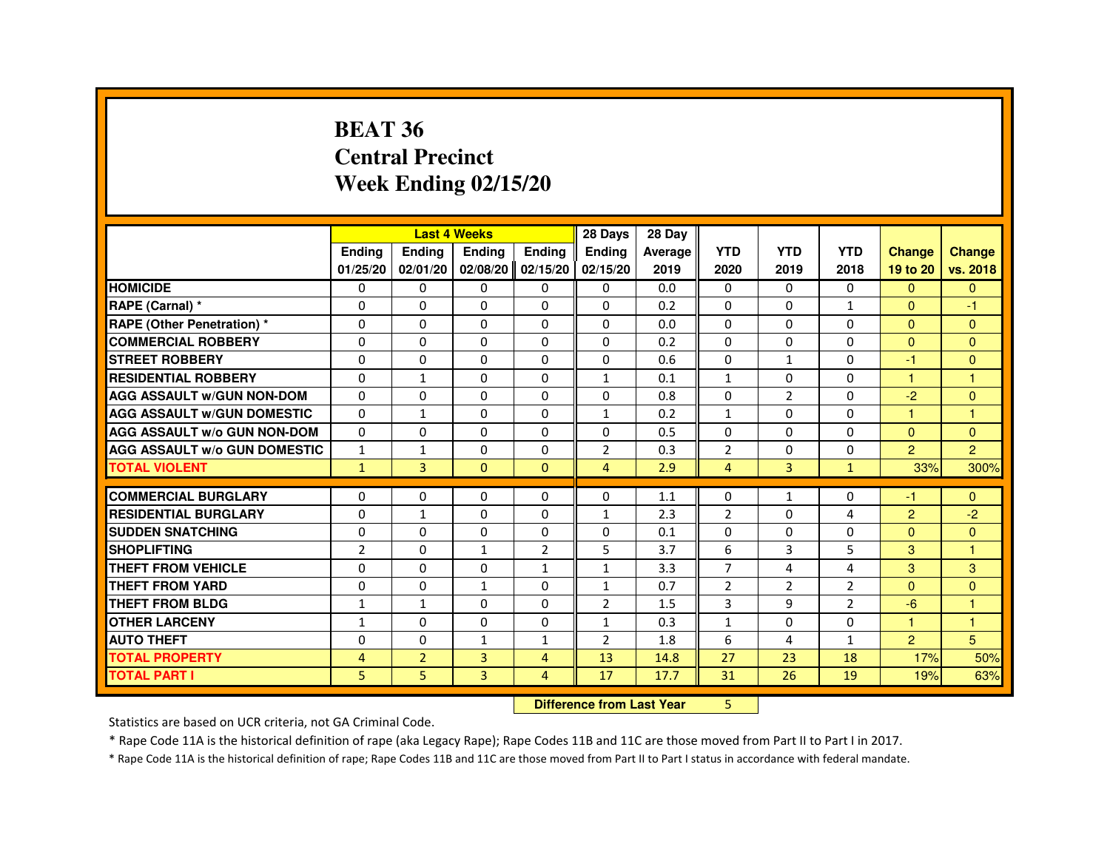#### **BEAT 36 Central PrecinctWeek Ending 02/15/20**

|                                     |                |                | <b>Last 4 Weeks</b> |                   | 28 Days        | 28 Day  |                |                |                |                      |                      |
|-------------------------------------|----------------|----------------|---------------------|-------------------|----------------|---------|----------------|----------------|----------------|----------------------|----------------------|
|                                     | <b>Endina</b>  | <b>Endina</b>  | <b>Endina</b>       | <b>Ending</b>     | <b>Endina</b>  | Average | <b>YTD</b>     | <b>YTD</b>     | <b>YTD</b>     | <b>Change</b>        | <b>Change</b>        |
|                                     | 01/25/20       | 02/01/20       |                     | 02/08/20 02/15/20 | 02/15/20       | 2019    | 2020           | 2019           | 2018           | 19 to 20             | vs. 2018             |
| <b>HOMICIDE</b>                     | $\Omega$       | $\Omega$       | $\Omega$            | $\Omega$          | $\mathbf{0}$   | 0.0     | $\Omega$       | $\mathbf{0}$   | $\Omega$       | $\Omega$             | $\Omega$             |
| RAPE (Carnal) *                     | 0              | $\Omega$       | $\Omega$            | $\Omega$          | $\Omega$       | 0.2     | $\Omega$       | $\Omega$       | $\mathbf{1}$   | $\Omega$             | $-1$                 |
| <b>RAPE (Other Penetration) *</b>   | 0              | 0              | 0                   | 0                 | $\Omega$       | 0.0     | 0              | 0              | $\Omega$       | $\Omega$             | $\Omega$             |
| <b>COMMERCIAL ROBBERY</b>           | 0              | $\Omega$       | 0                   | 0                 | 0              | 0.2     | 0              | 0              | $\Omega$       | $\Omega$             | $\Omega$             |
| <b>STREET ROBBERY</b>               | $\Omega$       | $\Omega$       | 0                   | 0                 | $\Omega$       | 0.6     | $\Omega$       | $\mathbf{1}$   | $\Omega$       | -1                   | $\Omega$             |
| <b>RESIDENTIAL ROBBERY</b>          | $\Omega$       | $\mathbf{1}$   | $\Omega$            | $\Omega$          | $\mathbf{1}$   | 0.1     | $\mathbf{1}$   | $\Omega$       | $\Omega$       | $\blacktriangleleft$ | $\blacktriangleleft$ |
| <b>AGG ASSAULT W/GUN NON-DOM</b>    | $\Omega$       | 0              | $\Omega$            | $\Omega$          | $\Omega$       | 0.8     | 0              | $\overline{2}$ | $\Omega$       | $-2$                 | $\Omega$             |
| <b>AGG ASSAULT W/GUN DOMESTIC</b>   | $\Omega$       | 1              | 0                   | 0                 | $\mathbf{1}$   | 0.2     | $\mathbf{1}$   | 0              | 0              | 1                    | 1                    |
| <b>AGG ASSAULT W/o GUN NON-DOM</b>  | $\Omega$       | 0              | 0                   | 0                 | $\Omega$       | 0.5     | 0              | $\Omega$       | $\Omega$       | $\Omega$             | $\Omega$             |
| <b>AGG ASSAULT W/o GUN DOMESTIC</b> | $\mathbf{1}$   | $\mathbf{1}$   | 0                   | 0                 | $\overline{2}$ | 0.3     | $\overline{2}$ | 0              | $\Omega$       | 2                    | 2                    |
| <b>TOTAL VIOLENT</b>                | $\mathbf{1}$   | 3              | $\mathbf{0}$        | $\mathbf{0}$      | $\overline{4}$ | 2.9     | 4              | 3              | $\mathbf{1}$   | 33%                  | 300%                 |
|                                     |                |                |                     |                   |                |         |                |                |                |                      |                      |
| <b>COMMERCIAL BURGLARY</b>          | 0              | 0              | 0                   | 0                 | $\Omega$       | 1.1     | 0              | $\mathbf{1}$   | 0              | -1                   | $\Omega$             |
| <b>RESIDENTIAL BURGLARY</b>         | $\Omega$       | 1              | 0                   | 0                 | $\mathbf{1}$   | 2.3     | $\overline{2}$ | 0              | 4              | 2                    | $-2$                 |
| <b>SUDDEN SNATCHING</b>             | $\Omega$       | $\Omega$       | 0                   | $\Omega$          | $\Omega$       | 0.1     | $\Omega$       | $\Omega$       | $\Omega$       | $\Omega$             | $\Omega$             |
| <b>SHOPLIFTING</b>                  | $\overline{2}$ | 0              | $\mathbf{1}$        | $\overline{2}$    | 5              | 3.7     | 6              | 3              | 5              | 3                    | -1                   |
| <b>THEFT FROM VEHICLE</b>           | 0              | 0              | 0                   | 1                 | 1              | 3.3     | $\overline{7}$ | 4              | 4              | 3                    | 3                    |
| <b>THEFT FROM YARD</b>              | 0              | 0              | $\mathbf{1}$        | 0                 | $\mathbf{1}$   | 0.7     | $\overline{2}$ | $\overline{2}$ | $\overline{2}$ | $\Omega$             | $\Omega$             |
| <b>THEFT FROM BLDG</b>              | 1              | 1              | 0                   | $\Omega$          | $\overline{2}$ | 1.5     | 3              | 9              | $\overline{2}$ | $-6$                 | $\overline{1}$       |
| <b>OTHER LARCENY</b>                | 1              | $\Omega$       | $\Omega$            | $\Omega$          | $\mathbf{1}$   | 0.3     | $\mathbf{1}$   | $\Omega$       | $\Omega$       | $\overline{1}$       | $\overline{1}$       |
| <b>AUTO THEFT</b>                   | 0              | 0              | $\mathbf{1}$        | $\mathbf{1}$      | $\overline{2}$ | 1.8     | 6              | 4              | $\mathbf{1}$   | 2                    | 5                    |
| <b>TOTAL PROPERTY</b>               | 4              | $\overline{2}$ | 3                   | $\overline{4}$    | 13             | 14.8    | 27             | 23             | 18             | 17%                  | 50%                  |
| <b>TOTAL PART I</b>                 | 5              | 5              | 3                   | 4                 | 17             | 17.7    | 31             | 26             | 19             | 19%                  | 63%                  |

**Difference from Last Year** 5

Statistics are based on UCR criteria, not GA Criminal Code.

\* Rape Code 11A is the historical definition of rape (aka Legacy Rape); Rape Codes 11B and 11C are those moved from Part II to Part I in 2017.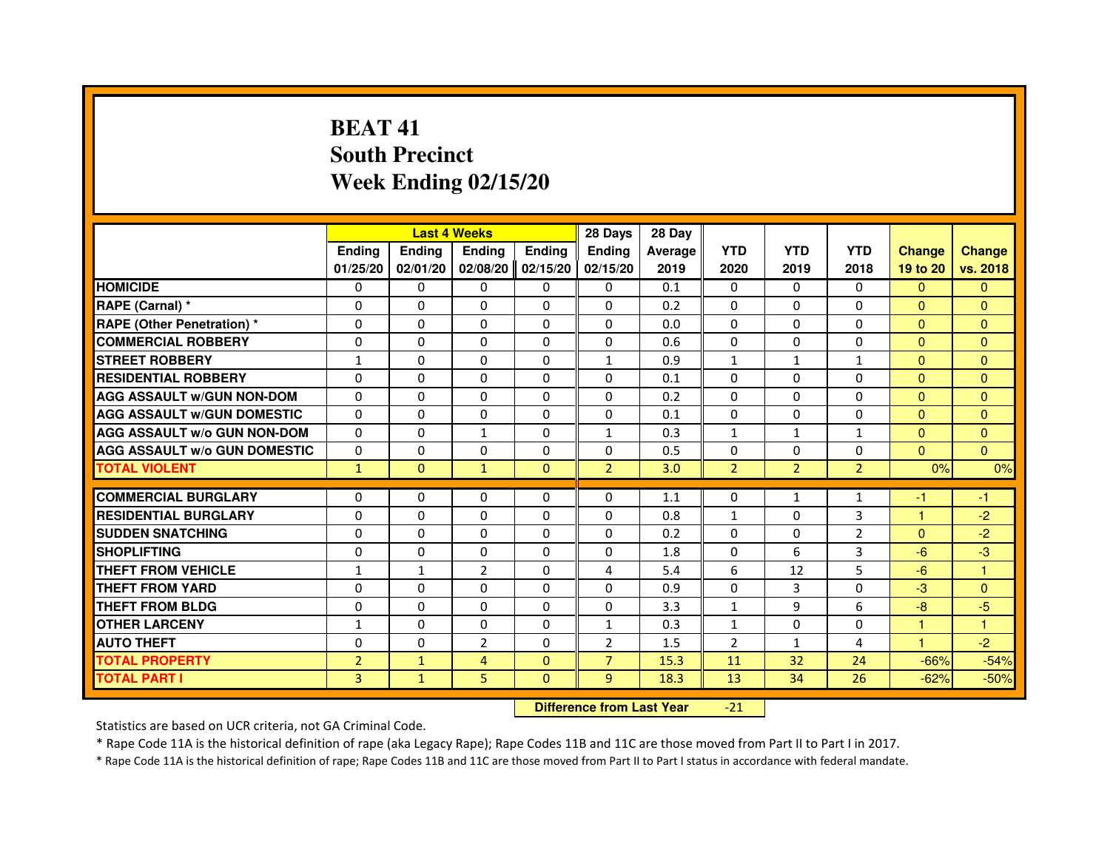# **BEAT 41 South PrecinctWeek Ending 02/15/20**

|                                     |                |                                  | <b>Last 4 Weeks</b> |               | 28 Days        | 28 Day  |                |                |                |               |               |
|-------------------------------------|----------------|----------------------------------|---------------------|---------------|----------------|---------|----------------|----------------|----------------|---------------|---------------|
|                                     | <b>Ending</b>  | <b>Ending</b>                    | <b>Ending</b>       | <b>Ending</b> | Ending         | Average | <b>YTD</b>     | <b>YTD</b>     | <b>YTD</b>     | <b>Change</b> | <b>Change</b> |
|                                     | 01/25/20       | 02/01/20                         | 02/08/20            | 02/15/20      | 02/15/20       | 2019    | 2020           | 2019           | 2018           | 19 to 20      | vs. 2018      |
| <b>HOMICIDE</b>                     | $\Omega$       | $\Omega$                         | $\mathbf{0}$        | 0             | 0              | 0.1     | $\Omega$       | $\Omega$       | $\Omega$       | $\Omega$      | $\mathbf{0}$  |
| RAPE (Carnal) *                     | 0              | 0                                | 0                   | 0             | 0              | 0.2     | 0              | 0              | 0              | $\mathbf{0}$  | $\mathbf{0}$  |
| <b>RAPE (Other Penetration) *</b>   | $\Omega$       | $\Omega$                         | $\Omega$            | $\Omega$      | $\Omega$       | 0.0     | $\mathbf{0}$   | $\mathbf{0}$   | $\Omega$       | $\Omega$      | $\mathbf{0}$  |
| <b>COMMERCIAL ROBBERY</b>           | $\Omega$       | $\Omega$                         | $\Omega$            | $\Omega$      | 0              | 0.6     | 0              | $\Omega$       | $\Omega$       | $\Omega$      | $\mathbf{0}$  |
| <b>STREET ROBBERY</b>               | $\mathbf{1}$   | $\Omega$                         | $\Omega$            | $\Omega$      | $\mathbf{1}$   | 0.9     | $\mathbf{1}$   | $\mathbf{1}$   | $\mathbf{1}$   | $\Omega$      | $\Omega$      |
| <b>RESIDENTIAL ROBBERY</b>          | 0              | 0                                | 0                   | 0             | 0              | 0.1     | 0              | 0              | $\Omega$       | $\Omega$      | $\mathbf{0}$  |
| <b>AGG ASSAULT w/GUN NON-DOM</b>    | $\Omega$       | $\Omega$                         | $\Omega$            | $\Omega$      | $\Omega$       | 0.2     | $\Omega$       | $\Omega$       | $\Omega$       | $\Omega$      | $\Omega$      |
| <b>AGG ASSAULT W/GUN DOMESTIC</b>   | $\Omega$       | $\Omega$                         | $\Omega$            | $\Omega$      | $\Omega$       | 0.1     | $\Omega$       | $\Omega$       | $\Omega$       | $\Omega$      | $\Omega$      |
| <b>AGG ASSAULT W/o GUN NON-DOM</b>  | $\Omega$       | $\Omega$                         | $\mathbf{1}$        | $\Omega$      | $\mathbf{1}$   | 0.3     | $\mathbf{1}$   | $\mathbf{1}$   | $\mathbf{1}$   | $\Omega$      | $\Omega$      |
| <b>AGG ASSAULT W/o GUN DOMESTIC</b> | $\Omega$       | $\Omega$                         | $\Omega$            | $\Omega$      | $\Omega$       | 0.5     | $\Omega$       | $\mathbf{0}$   | $\Omega$       | $\mathbf{0}$  | $\Omega$      |
| <b>TOTAL VIOLENT</b>                | $\mathbf{1}$   | $\mathbf{0}$                     | $\mathbf{1}$        | $\mathbf{0}$  | $\overline{2}$ | 3.0     | $\overline{2}$ | $\overline{2}$ | $\overline{2}$ | 0%            | 0%            |
| <b>COMMERCIAL BURGLARY</b>          | 0              | 0                                | 0                   | 0             | 0              | 1.1     | 0              | 1              | $\mathbf{1}$   | $-1$          | $-1$          |
| <b>RESIDENTIAL BURGLARY</b>         | 0              | $\Omega$                         | $\Omega$            | $\Omega$      | 0              | 0.8     | $\mathbf{1}$   | $\mathbf{0}$   | 3              | $\mathbf{1}$  | $-2$          |
| <b>SUDDEN SNATCHING</b>             | $\Omega$       | $\Omega$                         | $\Omega$            | $\Omega$      | $\Omega$       | 0.2     | $\Omega$       | $\Omega$       | $\overline{2}$ | $\Omega$      | $-2$          |
| <b>SHOPLIFTING</b>                  | 0              | $\Omega$                         | $\Omega$            | $\Omega$      | 0              | 1.8     | $\mathbf{0}$   | 6              | 3              | $-6$          | $-3$          |
| <b>THEFT FROM VEHICLE</b>           | 1              | $\mathbf{1}$                     | $\overline{2}$      | $\Omega$      | 4              | 5.4     | 6              | 12             | 5              | $-6$          | $\mathbf{1}$  |
| <b>THEFT FROM YARD</b>              | $\Omega$       | $\Omega$                         | $\Omega$            | $\Omega$      | $\Omega$       | 0.9     | $\Omega$       | 3              | 0              | $-3$          | $\mathbf{0}$  |
| <b>THEFT FROM BLDG</b>              | $\Omega$       | $\Omega$                         | $\Omega$            | $\Omega$      | $\Omega$       | 3.3     | $\mathbf{1}$   | 9              | 6              | $-8$          | $-5$          |
| <b>OTHER LARCENY</b>                | 1              | $\Omega$                         | $\Omega$            | $\Omega$      | $\mathbf{1}$   | 0.3     | $\mathbf{1}$   | $\mathbf{0}$   | $\Omega$       | 1             | 1             |
| <b>AUTO THEFT</b>                   | $\Omega$       | $\Omega$                         | $\overline{2}$      | $\Omega$      | $\overline{2}$ | 1.5     | $\overline{2}$ | $\mathbf{1}$   | 4              | $\mathbf{1}$  | $-2$          |
| <b>TOTAL PROPERTY</b>               | $\overline{2}$ | $\mathbf{1}$                     | $\overline{4}$      | $\Omega$      | $\overline{7}$ | 15.3    | 11             | 32             | 24             | $-66%$        | $-54%$        |
| <b>TOTAL PART I</b>                 | $\overline{3}$ | $\mathbf{1}$                     | 5                   | $\mathbf{0}$  | 9              | 18.3    | 13             | 34             | 26             | $-62%$        | $-50%$        |
|                                     |                | <b>Difference from Last Year</b> |                     | $-21$         |                |         |                |                |                |               |               |

 **Difference from Last Year**

Statistics are based on UCR criteria, not GA Criminal Code.

\* Rape Code 11A is the historical definition of rape (aka Legacy Rape); Rape Codes 11B and 11C are those moved from Part II to Part I in 2017.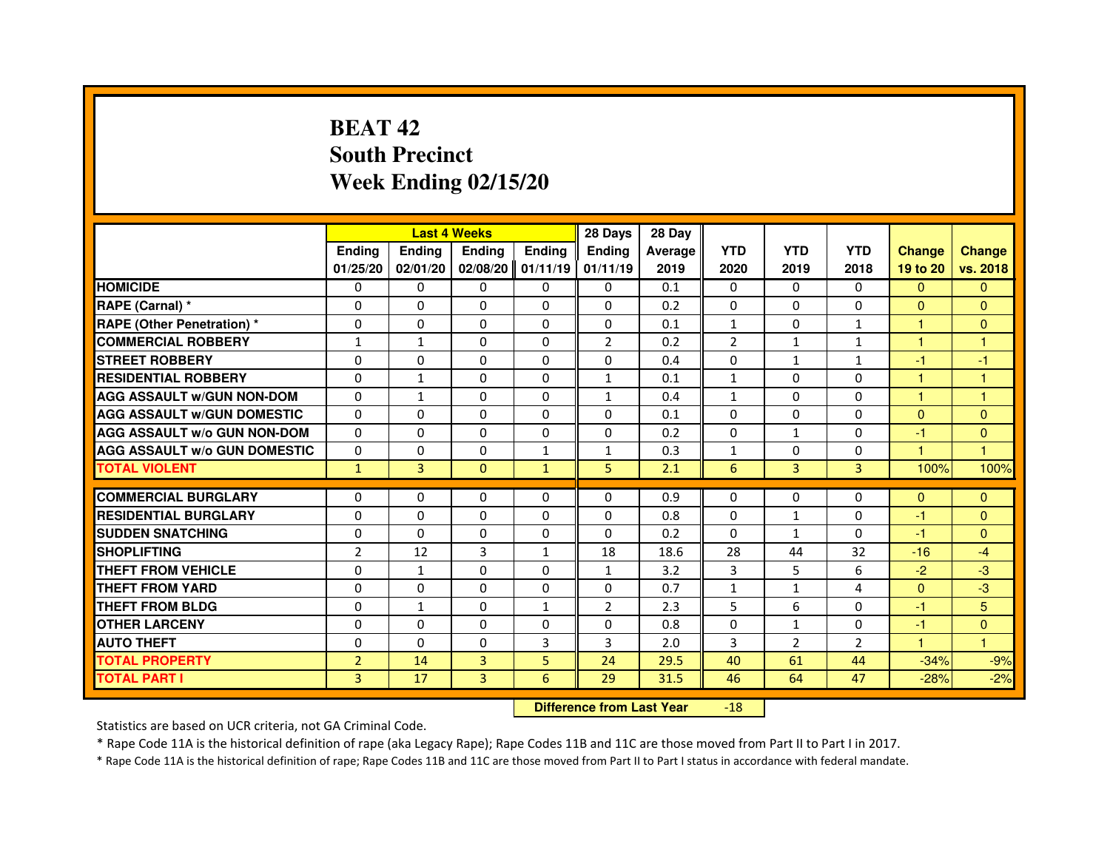# **BEAT 42 South PrecinctWeek Ending 02/15/20**

|                                     |                |               | <b>Last 4 Weeks</b> |               | 28 Days        | 28 Day  |                |                |                |                      |                      |
|-------------------------------------|----------------|---------------|---------------------|---------------|----------------|---------|----------------|----------------|----------------|----------------------|----------------------|
|                                     | <b>Endina</b>  | <b>Ending</b> | <b>Endina</b>       | <b>Endina</b> | <b>Endina</b>  | Average | <b>YTD</b>     | <b>YTD</b>     | <b>YTD</b>     | <b>Change</b>        | <b>Change</b>        |
|                                     | 01/25/20       | 02/01/20      | 02/08/20            | 01/11/19      | 01/11/19       | 2019    | 2020           | 2019           | 2018           | 19 to 20             | vs. 2018             |
| <b>HOMICIDE</b>                     | 0              | $\Omega$      | $\Omega$            | $\Omega$      | 0              | 0.1     | $\mathbf{0}$   | 0              | $\mathbf{0}$   | $\Omega$             | $\Omega$             |
| RAPE (Carnal) *                     | $\Omega$       | $\Omega$      | $\Omega$            | $\Omega$      | $\Omega$       | 0.2     | $\Omega$       | $\mathbf{0}$   | $\mathbf{0}$   | $\Omega$             | $\mathbf{0}$         |
| <b>RAPE (Other Penetration)*</b>    | $\Omega$       | $\Omega$      | $\Omega$            | $\mathbf{0}$  | $\Omega$       | 0.1     | $\mathbf{1}$   | $\mathbf{0}$   | $\mathbf{1}$   | $\mathbf{1}$         | $\mathbf{0}$         |
| <b>COMMERCIAL ROBBERY</b>           | 1              | 1             | 0                   | 0             | $\overline{2}$ | 0.2     | $\overline{2}$ | $\mathbf{1}$   | $\mathbf{1}$   | 1                    | 1                    |
| <b>STREET ROBBERY</b>               | $\Omega$       | $\Omega$      | 0                   | $\Omega$      | $\Omega$       | 0.4     | $\Omega$       | $\mathbf{1}$   | $\mathbf{1}$   | -1                   | $-1$                 |
| <b>RESIDENTIAL ROBBERY</b>          | 0              | $\mathbf{1}$  | 0                   | $\Omega$      | $\mathbf{1}$   | 0.1     | $\mathbf{1}$   | 0              | 0              | $\blacktriangleleft$ | 1                    |
| <b>AGG ASSAULT w/GUN NON-DOM</b>    | $\Omega$       | $\mathbf{1}$  | $\Omega$            | $\Omega$      | $\mathbf{1}$   | 0.4     | $\mathbf{1}$   | $\Omega$       | $\Omega$       | $\mathbf{1}$         | $\mathbf{1}$         |
| <b>AGG ASSAULT W/GUN DOMESTIC</b>   | $\Omega$       | $\Omega$      | $\Omega$            | $\Omega$      | $\Omega$       | 0.1     | $\Omega$       | $\mathbf{0}$   | $\Omega$       | $\Omega$             | $\mathbf{0}$         |
| <b>AGG ASSAULT w/o GUN NON-DOM</b>  | 0              | 0             | $\Omega$            | 0             | $\Omega$       | 0.2     | $\Omega$       | $\mathbf{1}$   | $\Omega$       | -1                   | $\Omega$             |
| <b>AGG ASSAULT W/o GUN DOMESTIC</b> | 0              | $\Omega$      | 0                   | $\mathbf{1}$  | $\mathbf{1}$   | 0.3     | $\mathbf{1}$   | $\Omega$       | 0              | $\blacktriangleleft$ | $\blacktriangleleft$ |
| <b>TOTAL VIOLENT</b>                | $\mathbf{1}$   | 3             | $\mathbf{0}$        | $\mathbf{1}$  | 5              | 2.1     | 6              | 3              | 3              | 100%                 | 100%                 |
|                                     |                |               |                     |               |                |         |                |                |                |                      |                      |
| <b>COMMERCIAL BURGLARY</b>          | 0              | 0             | 0                   | 0             | 0              | 0.9     | 0              | 0              | 0              | $\Omega$             | $\mathbf{0}$         |
| <b>RESIDENTIAL BURGLARY</b>         | $\Omega$       | $\mathbf{0}$  | 0                   | $\Omega$      | $\Omega$       | 0.8     | $\Omega$       | $\mathbf{1}$   | 0              | $-1$                 | $\Omega$             |
| <b>SUDDEN SNATCHING</b>             | $\Omega$       | $\Omega$      | $\Omega$            | $\Omega$      | $\Omega$       | 0.2     | $\Omega$       | $\mathbf{1}$   | $\Omega$       | -1                   | $\Omega$             |
| <b>SHOPLIFTING</b>                  | $\overline{2}$ | 12            | 3                   | $\mathbf{1}$  | 18             | 18.6    | 28             | 44             | 32             | $-16$                | $-4$                 |
| <b>THEFT FROM VEHICLE</b>           | $\Omega$       | $\mathbf{1}$  | $\Omega$            | $\Omega$      | $\mathbf{1}$   | 3.2     | 3              | 5              | 6              | $-2$                 | $-3$                 |
| <b>THEFT FROM YARD</b>              | 0              | 0             | 0                   | 0             | 0              | 0.7     | $\mathbf{1}$   | $\mathbf{1}$   | 4              | $\Omega$             | -3                   |
| <b>THEFT FROM BLDG</b>              | $\Omega$       | $\mathbf{1}$  | 0                   | $\mathbf{1}$  | $\overline{2}$ | 2.3     | 5              | 6              | 0              | -1                   | 5                    |
| <b>OTHER LARCENY</b>                | $\Omega$       | $\Omega$      | $\Omega$            | $\Omega$      | $\Omega$       | 0.8     | $\Omega$       | $\mathbf{1}$   | $\Omega$       | $-1$                 | $\mathbf{0}$         |
| <b>AUTO THEFT</b>                   | $\Omega$       | $\Omega$      | $\Omega$            | 3             | 3              | 2.0     | 3              | $\overline{2}$ | $\overline{2}$ | $\mathbf{1}$         | $\mathbf{1}$         |
| <b>TOTAL PROPERTY</b>               | $\overline{2}$ | 14            | 3                   | 5             | 24             | 29.5    | 40             | 61             | 44             | $-34%$               | $-9%$                |
| <b>TOTAL PART I</b>                 | 3              | 17            | 3                   | 6             | 29             | 31.5    | 46             | 64             | 47             | $-28%$               | $-2%$                |

 **Difference from Last Year**-18

Statistics are based on UCR criteria, not GA Criminal Code.

\* Rape Code 11A is the historical definition of rape (aka Legacy Rape); Rape Codes 11B and 11C are those moved from Part II to Part I in 2017.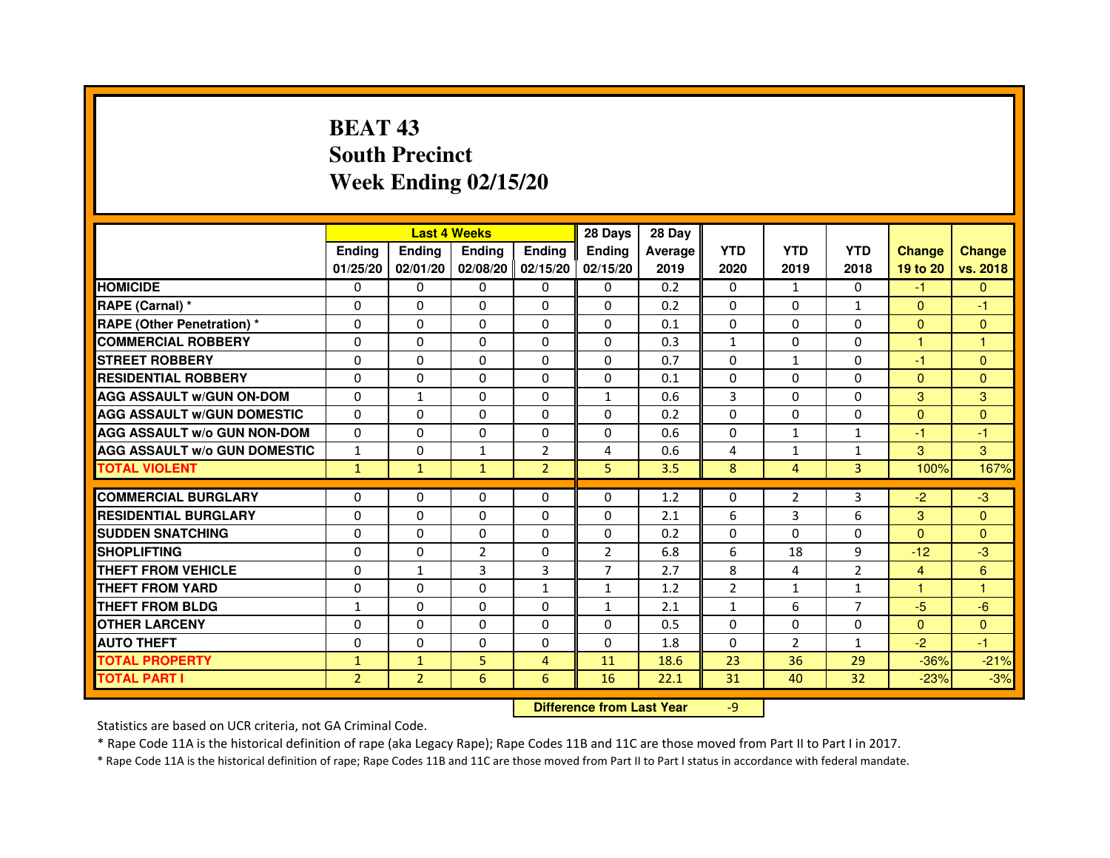# **BEAT 43 South PrecinctWeek Ending 02/15/20**

|                                     |                | <b>Last 4 Weeks</b> |                |                   | 28 Days        | 28 Day  |                |                |                |                |                |
|-------------------------------------|----------------|---------------------|----------------|-------------------|----------------|---------|----------------|----------------|----------------|----------------|----------------|
|                                     | <b>Endina</b>  | <b>Endina</b>       | <b>Endina</b>  | <b>Ending</b>     | <b>Endina</b>  | Average | <b>YTD</b>     | <b>YTD</b>     | <b>YTD</b>     | <b>Change</b>  | <b>Change</b>  |
|                                     | 01/25/20       | 02/01/20            |                | 02/08/20 02/15/20 | 02/15/20       | 2019    | 2020           | 2019           | 2018           | 19 to 20       | vs. 2018       |
| <b>HOMICIDE</b>                     | 0              | 0                   | 0              | 0                 | 0              | 0.2     | $\mathbf{0}$   | $\mathbf{1}$   | $\Omega$       | -1             | $\mathbf{0}$   |
| RAPE (Carnal) *                     | $\Omega$       | $\Omega$            | $\Omega$       | $\Omega$          | $\Omega$       | 0.2     | $\Omega$       | $\Omega$       | $\mathbf{1}$   | $\Omega$       | $-1$           |
| RAPE (Other Penetration) *          | 0              | $\Omega$            | 0              | $\Omega$          | 0              | 0.1     | 0              | $\Omega$       | $\Omega$       | $\mathbf{0}$   | $\Omega$       |
| <b>COMMERCIAL ROBBERY</b>           | 0              | 0                   | 0              | 0                 | $\Omega$       | 0.3     | $\mathbf{1}$   | 0              | $\Omega$       | 1              | 1              |
| <b>STREET ROBBERY</b>               | 0              | 0                   | 0              | 0                 | 0              | 0.7     | 0              | $\mathbf{1}$   | 0              | $-1$           | $\Omega$       |
| <b>RESIDENTIAL ROBBERY</b>          | 0              | $\Omega$            | 0              | $\Omega$          | $\Omega$       | 0.1     | $\Omega$       | $\Omega$       | $\Omega$       | $\Omega$       | $\Omega$       |
| <b>AGG ASSAULT w/GUN ON-DOM</b>     | $\Omega$       | 1                   | $\Omega$       | $\Omega$          | $\mathbf{1}$   | 0.6     | 3              | $\Omega$       | $\Omega$       | 3              | 3              |
| <b>AGG ASSAULT w/GUN DOMESTIC</b>   | $\Omega$       | 0                   | $\Omega$       | 0                 | $\Omega$       | 0.2     | $\Omega$       | $\Omega$       | $\Omega$       | $\Omega$       | $\Omega$       |
| <b>AGG ASSAULT W/o GUN NON-DOM</b>  | $\Omega$       | 0                   | 0              | 0                 | $\Omega$       | 0.6     | $\Omega$       | $\mathbf{1}$   | 1              | $-1$           | $-1$           |
| <b>AGG ASSAULT W/o GUN DOMESTIC</b> | $\mathbf{1}$   | $\Omega$            | 1              | $\overline{2}$    | 4              | 0.6     | 4              | $\mathbf{1}$   | 1              | 3              | 3              |
| <b>TOTAL VIOLENT</b>                | $\mathbf{1}$   | $\mathbf{1}$        | $\mathbf{1}$   | $\overline{2}$    | 5              | 3.5     | 8              | $\overline{4}$ | $\overline{3}$ | 100%           | 167%           |
|                                     |                |                     |                |                   |                |         |                |                |                |                |                |
| <b>COMMERCIAL BURGLARY</b>          | 0              | 0                   | $\Omega$       | 0                 | $\Omega$       | 1.2     | $\Omega$       | $\overline{2}$ | 3              | $-2$           | $-3$           |
| <b>RESIDENTIAL BURGLARY</b>         | 0              | $\Omega$            | 0              | $\Omega$          | $\Omega$       | 2.1     | 6              | 3              | 6              | 3              | $\Omega$       |
| <b>SUDDEN SNATCHING</b>             | 0              | 0                   | 0              | 0                 | 0              | 0.2     | 0              | $\Omega$       | $\Omega$       | $\Omega$       | $\Omega$       |
| <b>SHOPLIFTING</b>                  | $\Omega$       | 0                   | $\overline{2}$ | $\Omega$          | $\overline{2}$ | 6.8     | 6              | 18             | 9              | $-12$          | -3             |
| <b>THEFT FROM VEHICLE</b>           | $\Omega$       | $\mathbf{1}$        | 3              | 3                 | $\overline{7}$ | 2.7     | 8              | 4              | $\overline{2}$ | $\overline{4}$ | $6\phantom{1}$ |
| <b>THEFT FROM YARD</b>              | $\Omega$       | 0                   | $\Omega$       | $\mathbf{1}$      | $\mathbf{1}$   | 1.2     | $\mathfrak{p}$ | $\mathbf{1}$   | $\mathbf{1}$   | 1              | 1              |
| <b>THEFT FROM BLDG</b>              | 1              | 0                   | 0              | 0                 | $\mathbf{1}$   | 2.1     | $\mathbf{1}$   | 6              | 7              | $-5$           | $-6$           |
| <b>OTHER LARCENY</b>                | 0              | 0                   | 0              | $\Omega$          | $\Omega$       | 0.5     | $\Omega$       | $\Omega$       | $\Omega$       | $\Omega$       | $\Omega$       |
| <b>AUTO THEFT</b>                   | 0              | 0                   | 0              | $\Omega$          | $\Omega$       | 1.8     | 0              | $\overline{2}$ | $\mathbf{1}$   | $-2$           | $-1$           |
| <b>TOTAL PROPERTY</b>               | $\mathbf{1}$   | $\mathbf{1}$        | 5              | 4                 | 11             | 18.6    | 23             | 36             | 29             | $-36%$         | $-21%$         |
| <b>TOTAL PART I</b>                 | $\overline{2}$ | $\overline{2}$      | 6              | 6                 | 16             | 22.1    | 31             | 40             | 32             | $-23%$         | $-3%$          |

 **Difference from Last Year**

-9

Statistics are based on UCR criteria, not GA Criminal Code.

\* Rape Code 11A is the historical definition of rape (aka Legacy Rape); Rape Codes 11B and 11C are those moved from Part II to Part I in 2017.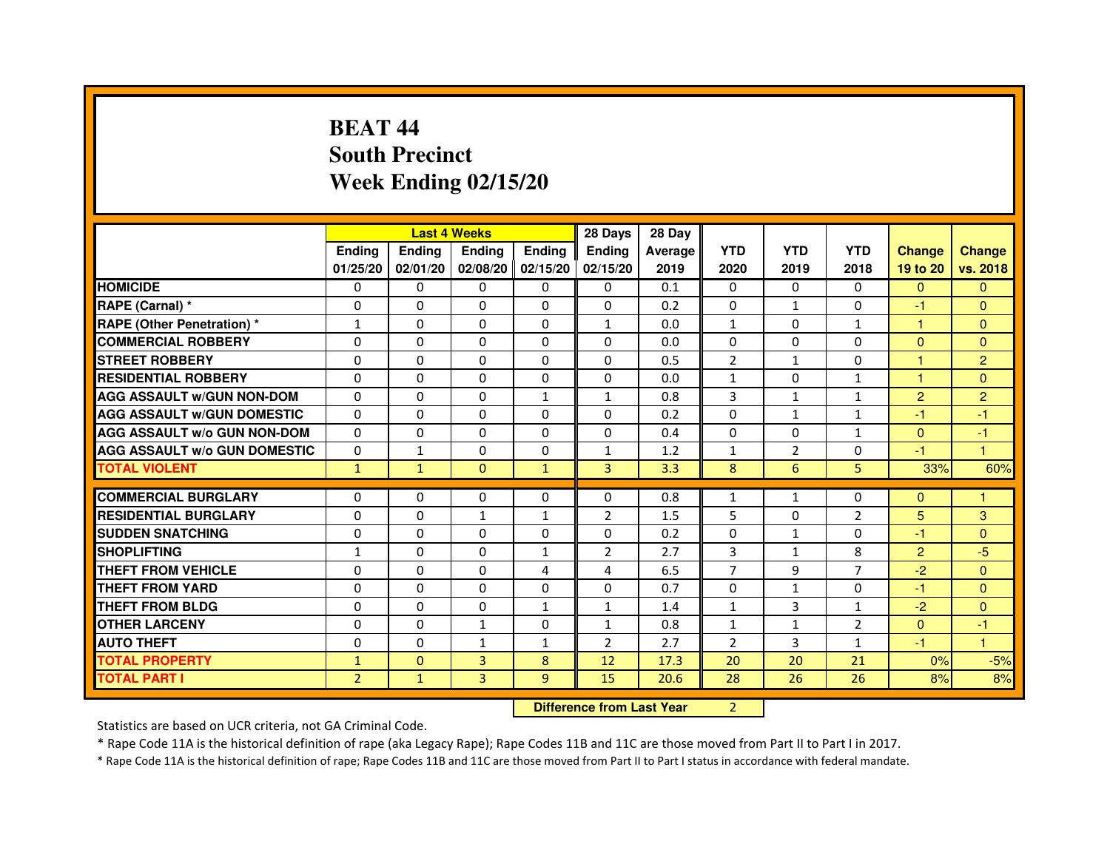# **BEAT 44 South PrecinctWeek Ending 02/15/20**

|                                     |                | <b>Last 4 Weeks</b> |                |                   | 28 Days        | 28 Day                           |                |                |                |                |                |
|-------------------------------------|----------------|---------------------|----------------|-------------------|----------------|----------------------------------|----------------|----------------|----------------|----------------|----------------|
|                                     | <b>Ending</b>  | Ending              | <b>Ending</b>  | <b>Ending</b>     | <b>Ending</b>  | Average                          | <b>YTD</b>     | <b>YTD</b>     | <b>YTD</b>     | <b>Change</b>  | <b>Change</b>  |
|                                     | 01/25/20       | 02/01/20            |                | 02/08/20 02/15/20 | 02/15/20       | 2019                             | 2020           | 2019           | 2018           | 19 to 20       | vs. 2018       |
| <b>HOMICIDE</b>                     | 0              | 0                   | 0              | $\Omega$          | 0              | 0.1                              | $\Omega$       | $\Omega$       | 0              | $\mathbf{0}$   | $\mathbf{0}$   |
| RAPE (Carnal) *                     | 0              | $\mathbf{0}$        | 0              | 0                 | 0              | 0.2                              | 0              | $\mathbf{1}$   | $\Omega$       | $-1$           | $\Omega$       |
| <b>RAPE (Other Penetration) *</b>   | 1              | 0                   | 0              | $\mathbf{0}$      | 1              | 0.0                              | $\mathbf{1}$   | $\mathbf{0}$   | $\mathbf{1}$   | $\mathbf{1}$   | $\Omega$       |
| <b>COMMERCIAL ROBBERY</b>           | $\mathbf 0$    | 0                   | $\Omega$       | $\mathbf{0}$      | $\mathbf{0}$   | 0.0                              | $\Omega$       | $\mathbf{0}$   | $\Omega$       | $\Omega$       | $\mathbf{0}$   |
| <b>STREET ROBBERY</b>               | 0              | $\Omega$            | $\Omega$       | $\Omega$          | $\Omega$       | 0.5                              | $\overline{2}$ | $\mathbf{1}$   | $\Omega$       | $\mathbf{1}$   | $\overline{2}$ |
| <b>RESIDENTIAL ROBBERY</b>          | 0              | 0                   | $\Omega$       | 0                 | $\Omega$       | 0.0                              | 1              | $\Omega$       | 1              | 1              | $\Omega$       |
| <b>AGG ASSAULT W/GUN NON-DOM</b>    | $\Omega$       | $\Omega$            | 0              | $\mathbf{1}$      | $\mathbf{1}$   | 0.8                              | 3              | $\mathbf{1}$   | $\mathbf{1}$   | $\overline{2}$ | $\overline{2}$ |
| <b>AGG ASSAULT W/GUN DOMESTIC</b>   | $\Omega$       | $\Omega$            | $\Omega$       | $\Omega$          | $\Omega$       | 0.2                              | $\Omega$       | $\mathbf{1}$   | $\mathbf{1}$   | $-1$           | $-1$           |
| <b>AGG ASSAULT W/o GUN NON-DOM</b>  | $\Omega$       | $\Omega$            | $\Omega$       | $\Omega$          | $\Omega$       | 0.4                              | $\Omega$       | $\Omega$       | $\mathbf{1}$   | $\Omega$       | $-1$           |
| <b>AGG ASSAULT W/o GUN DOMESTIC</b> | $\Omega$       | 1                   | 0              | $\Omega$          | $\mathbf{1}$   | 1.2                              | $\mathbf{1}$   | $\overline{2}$ | $\Omega$       | $-1$           | 1              |
| <b>TOTAL VIOLENT</b>                | $\mathbf{1}$   | $\mathbf{1}$        | $\mathbf{0}$   | $\mathbf{1}$      | 3              | 3.3                              | 8              | 6              | 5              | 33%            | 60%            |
| <b>COMMERCIAL BURGLARY</b>          | 0              | 0                   | 0              | 0                 | 0              | 0.8                              | 1              | $\mathbf{1}$   | 0              | $\mathbf{0}$   | 1              |
| <b>RESIDENTIAL BURGLARY</b>         | $\mathbf 0$    | 0                   | 1              | $\mathbf{1}$      | $\overline{2}$ | 1.5                              | 5              | $\Omega$       | $\overline{2}$ | 5              | 3              |
| <b>SUDDEN SNATCHING</b>             | 0              | $\Omega$            | $\Omega$       | $\Omega$          | $\Omega$       | 0.2                              | $\Omega$       | $\mathbf{1}$   | $\Omega$       | $-1$           | $\Omega$       |
| <b>SHOPLIFTING</b>                  | 1              | $\mathbf{0}$        | 0              | $\mathbf{1}$      | 2              | 2.7                              | 3              | $\mathbf{1}$   | 8              | $\overline{2}$ | $-5$           |
| THEFT FROM VEHICLE                  | 0              | 0                   | 0              | 4                 | 4              | 6.5                              | $\overline{7}$ | 9              | $\overline{7}$ | $-2$           | $\Omega$       |
| <b>THEFT FROM YARD</b>              | $\Omega$       | 0                   | $\Omega$       | $\Omega$          | $\Omega$       | 0.7                              | $\Omega$       | $\mathbf 1$    | $\Omega$       | $-1$           | $\overline{0}$ |
| <b>THEFT FROM BLDG</b>              | 0              | $\Omega$            | 0              | $\mathbf{1}$      | $\mathbf{1}$   | 1.4                              | $\mathbf{1}$   | $\overline{3}$ | $\mathbf{1}$   | $-2$           | $\Omega$       |
| <b>OTHER LARCENY</b>                | 0              | $\Omega$            | $\mathbf{1}$   | $\Omega$          | $\mathbf{1}$   | 0.8                              | $\mathbf{1}$   | $\mathbf{1}$   | $\overline{2}$ | $\mathbf{0}$   | $-1$           |
| <b>AUTO THEFT</b>                   | $\Omega$       | 0                   | $\mathbf{1}$   | $\mathbf{1}$      | $\overline{2}$ | 2.7                              | $\overline{2}$ | 3              | $\mathbf{1}$   | $-1$           | $\mathbf{1}$   |
| <b>TOTAL PROPERTY</b>               | $\mathbf{1}$   | $\mathbf{0}$        | $\overline{3}$ | 8                 | 12             | 17.3                             | 20             | 20             | 21             | 0%             | $-5%$          |
| <b>TOTAL PART I</b>                 | $\overline{2}$ | $\mathbf{1}$        | 3              | 9                 | 15             | 20.6                             | 28             | 26             | 26             | 8%             | 8%             |
|                                     |                |                     |                |                   |                | <b>Difference from Last Year</b> | $\overline{2}$ |                |                |                |                |

 **Difference from Last Year**

Statistics are based on UCR criteria, not GA Criminal Code.

\* Rape Code 11A is the historical definition of rape (aka Legacy Rape); Rape Codes 11B and 11C are those moved from Part II to Part I in 2017.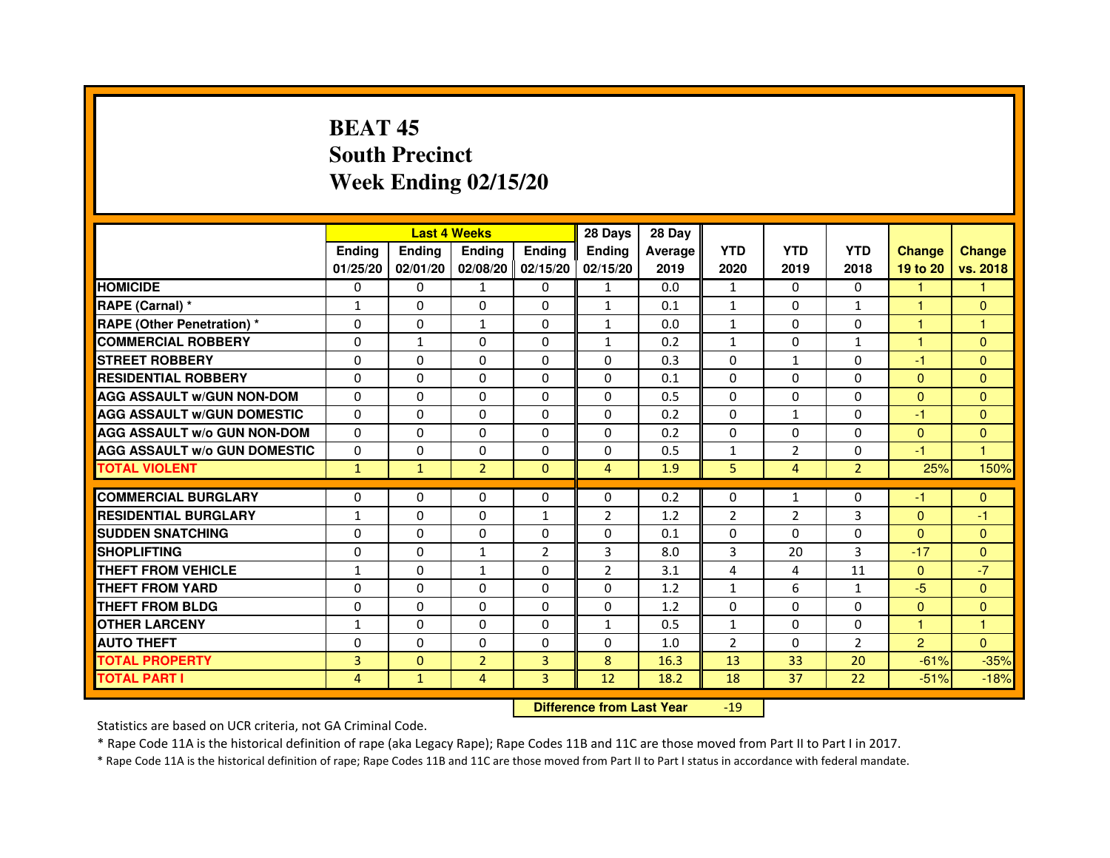# **BEAT 45 South PrecinctWeek Ending 02/15/20**

|                                     |               |               | <b>Last 4 Weeks</b> |                   | 28 Days        | 28 Day  |                |                |                |                |               |
|-------------------------------------|---------------|---------------|---------------------|-------------------|----------------|---------|----------------|----------------|----------------|----------------|---------------|
|                                     | <b>Ending</b> | <b>Endina</b> | <b>Endina</b>       | Ending            | <b>Endina</b>  | Average | <b>YTD</b>     | <b>YTD</b>     | <b>YTD</b>     | <b>Change</b>  | <b>Change</b> |
|                                     | 01/25/20      | 02/01/20      |                     | 02/08/20 02/15/20 | 02/15/20       | 2019    | 2020           | 2019           | 2018           | 19 to 20       | vs. 2018      |
| <b>HOMICIDE</b>                     | 0             | 0             | 1                   | 0                 | 1              | 0.0     | 1              | 0              | $\Omega$       | 1              |               |
| RAPE (Carnal) *                     | $\mathbf{1}$  | $\Omega$      | $\Omega$            | $\Omega$          | $\mathbf{1}$   | 0.1     | $\mathbf{1}$   | $\Omega$       | $\mathbf{1}$   | $\mathbf{1}$   | $\Omega$      |
| <b>RAPE (Other Penetration) *</b>   | 0             | $\Omega$      | $\mathbf{1}$        | $\mathbf{0}$      | $\mathbf{1}$   | 0.0     | $\mathbf{1}$   | $\Omega$       | $\Omega$       | $\mathbf{1}$   | 1             |
| <b>COMMERCIAL ROBBERY</b>           | 0             | $\mathbf{1}$  | 0                   | 0                 | $\mathbf{1}$   | 0.2     | $\mathbf{1}$   | 0              | $\mathbf{1}$   | 1              | $\Omega$      |
| <b>STREET ROBBERY</b>               | 0             | 0             | 0                   | 0                 | 0              | 0.3     | 0              | $\mathbf{1}$   | 0              | $-1$           | $\Omega$      |
| <b>RESIDENTIAL ROBBERY</b>          | 0             | $\Omega$      | $\Omega$            | $\Omega$          | $\Omega$       | 0.1     | $\Omega$       | $\Omega$       | $\Omega$       | $\Omega$       | $\Omega$      |
| <b>AGG ASSAULT W/GUN NON-DOM</b>    | $\Omega$      | $\mathbf 0$   | $\Omega$            | $\Omega$          | $\Omega$       | 0.5     | $\Omega$       | $\Omega$       | $\Omega$       | $\Omega$       | $\mathbf{0}$  |
| <b>AGG ASSAULT W/GUN DOMESTIC</b>   | 0             | 0             | 0                   | 0                 | 0              | 0.2     | 0              | $\mathbf{1}$   | $\Omega$       | $-1$           | $\Omega$      |
| <b>AGG ASSAULT W/o GUN NON-DOM</b>  | $\Omega$      | 0             | 0                   | $\Omega$          | $\Omega$       | 0.2     | $\Omega$       | $\Omega$       | $\Omega$       | $\Omega$       | $\Omega$      |
| <b>AGG ASSAULT W/o GUN DOMESTIC</b> | $\Omega$      | $\Omega$      | 0                   | $\Omega$          | 0              | 0.5     | $\mathbf{1}$   | $\overline{2}$ | 0              | $-1$           | 1             |
| <b>TOTAL VIOLENT</b>                | $\mathbf{1}$  | $\mathbf{1}$  | $\overline{2}$      | $\mathbf{0}$      | $\overline{4}$ | 1.9     | 5              | $\overline{4}$ | $\overline{2}$ | 25%            | 150%          |
|                                     |               |               |                     |                   |                |         |                |                |                |                |               |
| <b>COMMERCIAL BURGLARY</b>          | 0             | 0             | 0                   | 0                 | $\Omega$       | 0.2     | 0              | $\mathbf{1}$   | $\Omega$       | -1             | $\Omega$      |
| <b>RESIDENTIAL BURGLARY</b>         | $\mathbf{1}$  | $\Omega$      | 0                   | $\mathbf{1}$      | 2              | 1.2     | 2              | 2              | 3              | $\Omega$       | $-1$          |
| <b>SUDDEN SNATCHING</b>             | 0             | 0             | 0                   | 0                 | 0              | 0.1     | $\Omega$       | $\Omega$       | $\Omega$       | $\Omega$       | $\Omega$      |
| <b>SHOPLIFTING</b>                  | 0             | 0             | $\mathbf{1}$        | $\overline{2}$    | 3              | 8.0     | 3              | 20             | 3              | $-17$          | $\Omega$      |
| <b>THEFT FROM VEHICLE</b>           | $\mathbf{1}$  | $\Omega$      | $\mathbf{1}$        | $\mathbf{0}$      | $\overline{2}$ | 3.1     | 4              | 4              | 11             | $\Omega$       | $-7$          |
| <b>THEFT FROM YARD</b>              | $\Omega$      | $\Omega$      | $\Omega$            | $\Omega$          | $\Omega$       | 1.2     | $\mathbf{1}$   | 6              | $\mathbf{1}$   | -5             | $\Omega$      |
| <b>THEFT FROM BLDG</b>              | 0             | 0             | 0                   | 0                 | 0              | 1.2     | 0              | $\Omega$       | $\Omega$       | $\Omega$       | $\mathbf{0}$  |
| <b>OTHER LARCENY</b>                | 1             | 0             | $\Omega$            | $\Omega$          | $\mathbf{1}$   | 0.5     | $\mathbf{1}$   | $\Omega$       | $\Omega$       | 1              | 1             |
| <b>AUTO THEFT</b>                   | $\mathbf 0$   | 0             | $\Omega$            | $\Omega$          | $\Omega$       | 1.0     | $\overline{2}$ | $\Omega$       | $\overline{2}$ | $\overline{2}$ | $\Omega$      |
| <b>TOTAL PROPERTY</b>               | 3             | $\mathbf{0}$  | $\overline{2}$      | 3                 | 8              | 16.3    | 13             | 33             | 20             | $-61%$         | $-35%$        |
| <b>TOTAL PART I</b>                 | 4             | $\mathbf{1}$  | 4                   | 3                 | 12             | 18.2    | 18             | 37             | 22             | $-51%$         | $-18%$        |

 **Difference from Last Year**-19

Statistics are based on UCR criteria, not GA Criminal Code.

\* Rape Code 11A is the historical definition of rape (aka Legacy Rape); Rape Codes 11B and 11C are those moved from Part II to Part I in 2017.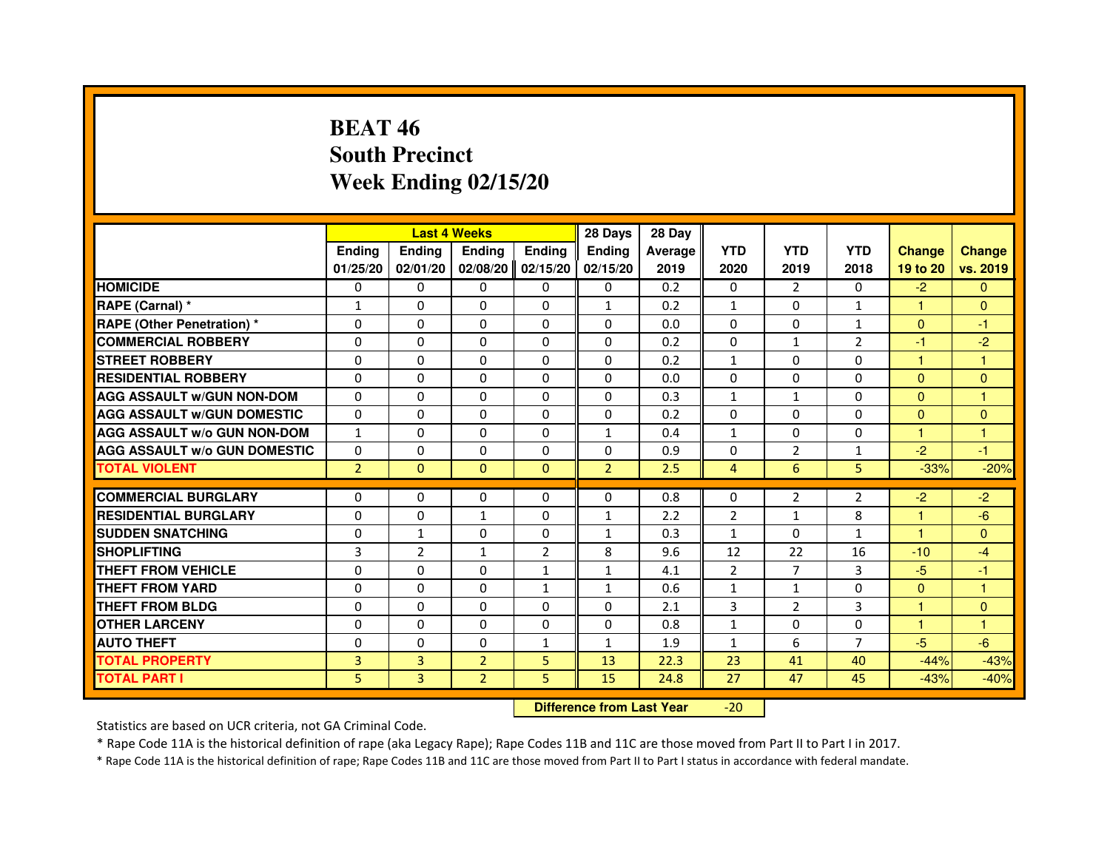## **BEAT 46 South PrecinctWeek Ending 02/15/20**

|                                     |                | <b>Last 4 Weeks</b>              |                |                | 28 Days        | 28 Day  |                |                |                |                      |               |
|-------------------------------------|----------------|----------------------------------|----------------|----------------|----------------|---------|----------------|----------------|----------------|----------------------|---------------|
|                                     | <b>Ending</b>  | Ending                           | <b>Ending</b>  | <b>Ending</b>  | Ending         | Average | <b>YTD</b>     | <b>YTD</b>     | <b>YTD</b>     | <b>Change</b>        | <b>Change</b> |
|                                     | 01/25/20       | 02/01/20                         | 02/08/20       | 02/15/20       | 02/15/20       | 2019    | 2020           | 2019           | 2018           | 19 to 20             | vs. 2019      |
| <b>HOMICIDE</b>                     | 0              | $\Omega$                         | 0              | 0              | $\mathbf{0}$   | 0.2     | $\mathbf{0}$   | $\mathcal{P}$  | $\Omega$       | $-2$                 | $\mathbf{0}$  |
| RAPE (Carnal) *                     | $\mathbf{1}$   | 0                                | 0              | 0              | $\mathbf{1}$   | 0.2     | $\mathbf{1}$   | 0              | $\mathbf{1}$   | 1                    | $\mathbf{0}$  |
| RAPE (Other Penetration) *          | $\Omega$       | $\Omega$                         | $\Omega$       | $\Omega$       | $\Omega$       | 0.0     | $\Omega$       | $\Omega$       | $\mathbf{1}$   | $\Omega$             | -1            |
| <b>COMMERCIAL ROBBERY</b>           | 0              | $\Omega$                         | $\Omega$       | $\Omega$       | $\Omega$       | 0.2     | $\mathbf 0$    | $\mathbf{1}$   | $\overline{2}$ | $-1$                 | $-2$          |
| <b>STREET ROBBERY</b>               | $\Omega$       | $\Omega$                         | $\Omega$       | $\Omega$       | $\Omega$       | 0.2     | $\mathbf{1}$   | $\Omega$       | $\Omega$       | $\mathbf{1}$         | $\mathbf{1}$  |
| <b>RESIDENTIAL ROBBERY</b>          | 0              | 0                                | 0              | 0              | 0              | 0.0     | 0              | 0              | 0              | $\Omega$             | $\mathbf{0}$  |
| <b>AGG ASSAULT w/GUN NON-DOM</b>    | $\Omega$       | $\Omega$                         | $\Omega$       | $\Omega$       | $\Omega$       | 0.3     | $\mathbf{1}$   | $\mathbf{1}$   | 0              | $\Omega$             | $\mathbf{1}$  |
| <b>AGG ASSAULT W/GUN DOMESTIC</b>   | $\Omega$       | $\Omega$                         | $\Omega$       | $\Omega$       | $\Omega$       | 0.2     | $\Omega$       | $\Omega$       | 0              | $\Omega$             | $\Omega$      |
| <b>AGG ASSAULT W/o GUN NON-DOM</b>  | $\mathbf{1}$   | $\Omega$                         | $\Omega$       | $\Omega$       | $\mathbf{1}$   | 0.4     | $\mathbf{1}$   | $\Omega$       | $\Omega$       | $\mathbf{1}$         | $\mathbf{1}$  |
| <b>AGG ASSAULT w/o GUN DOMESTIC</b> | $\Omega$       | $\Omega$                         | $\Omega$       | $\Omega$       | $\Omega$       | 0.9     | $\Omega$       | 2              | $\mathbf{1}$   | $-2$                 | -1            |
| <b>TOTAL VIOLENT</b>                | $\overline{2}$ | $\mathbf{0}$                     | $\mathbf{0}$   | $\mathbf{0}$   | $\overline{2}$ | 2.5     | $\overline{4}$ | $6\phantom{1}$ | 5              | $-33%$               | $-20%$        |
| <b>COMMERCIAL BURGLARY</b>          | 0              | 0                                | 0              | 0              | 0              | 0.8     | 0              | 2              | 2              | $-2$                 | $-2$          |
| <b>RESIDENTIAL BURGLARY</b>         | 0              | 0                                | $\mathbf{1}$   | $\Omega$       | $\mathbf{1}$   | 2.2     | $\overline{2}$ | $\mathbf{1}$   | 8              | $\mathbf{1}$         | $-6$          |
| <b>SUDDEN SNATCHING</b>             | $\Omega$       | $\mathbf{1}$                     | $\Omega$       | $\Omega$       | $\mathbf{1}$   | 0.3     | $\mathbf{1}$   | $\Omega$       | $\mathbf{1}$   | $\blacktriangleleft$ | $\Omega$      |
| <b>SHOPLIFTING</b>                  | 3              | $\overline{2}$                   | $\mathbf{1}$   | $\overline{2}$ | 8              | 9.6     | 12             | 22             | 16             | $-10$                | $-4$          |
| <b>THEFT FROM VEHICLE</b>           | 0              | 0                                | $\Omega$       | $\mathbf{1}$   | $\mathbf{1}$   | 4.1     | 2              | $\overline{7}$ | 3              | $-5$                 | -1            |
| <b>THEFT FROM YARD</b>              | $\Omega$       | $\Omega$                         | $\Omega$       | $\mathbf{1}$   | $\mathbf{1}$   | 0.6     | $\mathbf{1}$   | $\mathbf{1}$   | 0              | $\overline{0}$       | $\mathbf{1}$  |
| <b>THEFT FROM BLDG</b>              | $\Omega$       | $\Omega$                         | $\Omega$       | $\Omega$       | $\Omega$       | 2.1     | 3              | $\overline{2}$ | 3              | $\mathbf{1}$         | $\Omega$      |
| <b>OTHER LARCENY</b>                | 0              | $\Omega$                         | $\Omega$       | $\Omega$       | $\Omega$       | 0.8     | $\mathbf{1}$   | 0              | $\Omega$       | $\mathbf{1}$         | 1             |
| <b>AUTO THEFT</b>                   | $\Omega$       | $\Omega$                         | $\Omega$       | $\mathbf{1}$   | $\mathbf{1}$   | 1.9     | $\mathbf{1}$   | 6              | $\overline{7}$ | $-5$                 | $-6$          |
| <b>TOTAL PROPERTY</b>               | 3              | 3                                | $\overline{2}$ | 5              | 13             | 22.3    | 23             | 41             | 40             | $-44%$               | $-43%$        |
| <b>TOTAL PART I</b>                 | 5              | 3                                | $\overline{2}$ | 5              | 15             | 24.8    | 27             | 47             | 45             | $-43%$               | $-40%$        |
|                                     |                | <b>Difference from Last Year</b> |                | $-20$          |                |         |                |                |                |                      |               |

 **Difference from Last Year**

Statistics are based on UCR criteria, not GA Criminal Code.

\* Rape Code 11A is the historical definition of rape (aka Legacy Rape); Rape Codes 11B and 11C are those moved from Part II to Part I in 2017.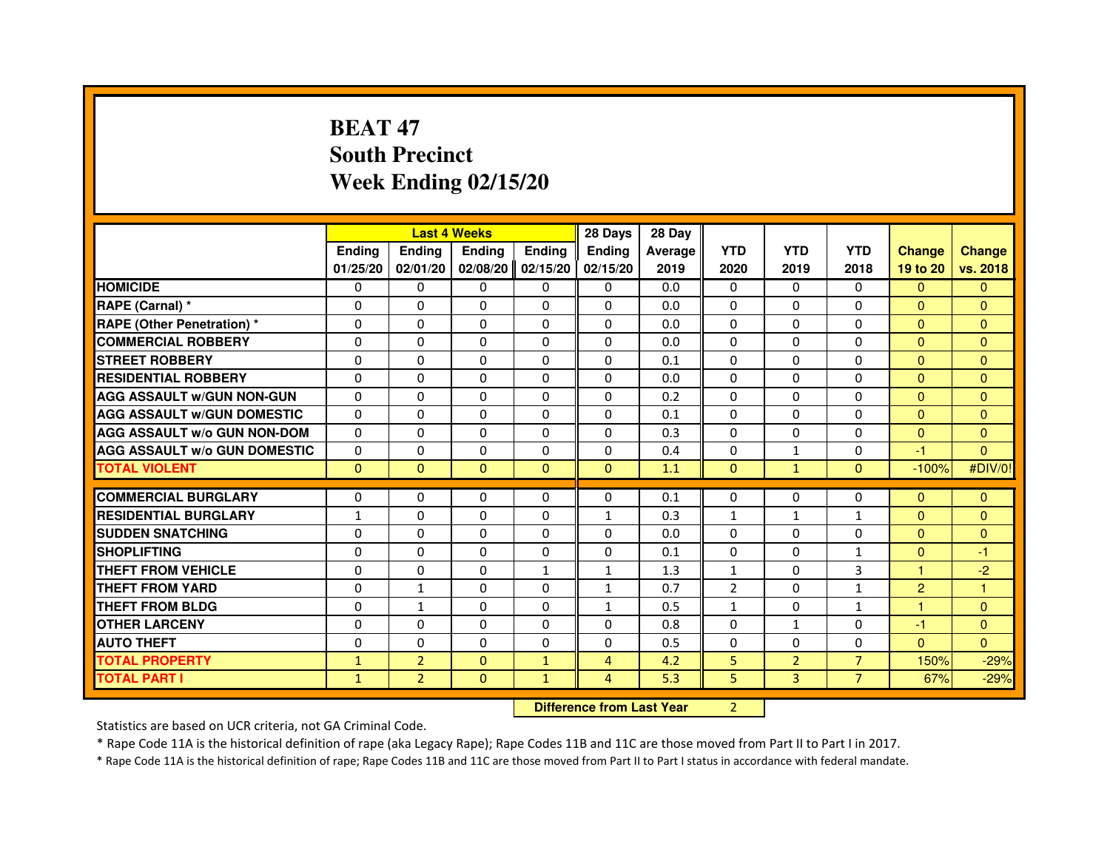# **BEAT 47 South PrecinctWeek Ending 02/15/20**

|                                     |               | <b>Last 4 Weeks</b>              |               |                | 28 Days        | 28 Day  |                |                |                |                      |                |
|-------------------------------------|---------------|----------------------------------|---------------|----------------|----------------|---------|----------------|----------------|----------------|----------------------|----------------|
|                                     | <b>Ending</b> | Ending                           | <b>Ending</b> | <b>Ending</b>  | Ending         | Average | <b>YTD</b>     | <b>YTD</b>     | <b>YTD</b>     | <b>Change</b>        | <b>Change</b>  |
|                                     | 01/25/20      | 02/01/20                         | 02/08/20      | 02/15/20       | 02/15/20       | 2019    | 2020           | 2019           | 2018           | 19 to 20             | vs. 2018       |
| <b>HOMICIDE</b>                     | 0             | $\Omega$                         | 0             | 0              | $\mathbf{0}$   | 0.0     | $\mathbf{0}$   | $\Omega$       | $\Omega$       | $\mathbf{0}$         | $\mathbf{0}$   |
| RAPE (Carnal) *                     | 0             | 0                                | 0             | 0              | 0              | 0.0     | 0              | 0              | 0              | $\Omega$             | $\mathbf{0}$   |
| RAPE (Other Penetration) *          | $\Omega$      | 0                                | $\Omega$      | $\Omega$       | $\Omega$       | 0.0     | $\Omega$       | $\Omega$       | $\Omega$       | $\Omega$             | $\overline{0}$ |
| <b>COMMERCIAL ROBBERY</b>           | 0             | $\Omega$                         | $\Omega$      | $\Omega$       | $\Omega$       | 0.0     | $\Omega$       | $\Omega$       | $\Omega$       | $\overline{0}$       | $\mathbf{0}$   |
| <b>STREET ROBBERY</b>               | $\Omega$      | $\Omega$                         | $\Omega$      | $\Omega$       | $\Omega$       | 0.1     | $\Omega$       | $\Omega$       | $\Omega$       | $\Omega$             | $\mathbf{0}$   |
| <b>RESIDENTIAL ROBBERY</b>          | 0             | 0                                | 0             | 0              | 0              | 0.0     | 0              | 0              | $\Omega$       | $\Omega$             | $\mathbf{0}$   |
| <b>AGG ASSAULT w/GUN NON-GUN</b>    | $\Omega$      | $\Omega$                         | $\Omega$      | $\Omega$       | $\Omega$       | 0.2     | $\Omega$       | $\Omega$       | 0              | $\Omega$             | $\Omega$       |
| <b>AGG ASSAULT W/GUN DOMESTIC</b>   | $\Omega$      | $\Omega$                         | $\Omega$      | $\Omega$       | $\Omega$       | 0.1     | $\Omega$       | $\Omega$       | 0              | $\Omega$             | $\Omega$       |
| <b>AGG ASSAULT W/o GUN NON-DOM</b>  | $\Omega$      | $\Omega$                         | $\Omega$      | $\Omega$       | $\Omega$       | 0.3     | $\Omega$       | $\Omega$       | $\Omega$       | $\Omega$             | $\mathbf{0}$   |
| <b>AGG ASSAULT w/o GUN DOMESTIC</b> | $\Omega$      | $\Omega$                         | $\Omega$      | $\Omega$       | $\Omega$       | 0.4     | $\Omega$       | $\mathbf{1}$   | $\Omega$       | -1                   | $\Omega$       |
| <b>TOTAL VIOLENT</b>                | $\mathbf{0}$  | $\mathbf{0}$                     | $\mathbf{0}$  | $\mathbf{0}$   | $\mathbf{0}$   | 1.1     | $\mathbf{0}$   | $\mathbf{1}$   | $\mathbf{0}$   | $-100%$              | #DIV/0!        |
| <b>COMMERCIAL BURGLARY</b>          | 0             | 0                                | 0             | 0              | 0              | 0.1     | 0              | 0              | 0              | $\mathbf{0}$         | $\mathbf{0}$   |
| <b>RESIDENTIAL BURGLARY</b>         | $\mathbf{1}$  | $\Omega$                         | $\Omega$      | $\Omega$       | $\mathbf{1}$   | 0.3     | $\mathbf{1}$   | $\mathbf{1}$   | $\mathbf{1}$   | $\mathbf{0}$         | $\mathbf{0}$   |
| <b>SUDDEN SNATCHING</b>             | $\Omega$      | $\Omega$                         | $\Omega$      | $\Omega$       | $\Omega$       | 0.0     | $\Omega$       | $\Omega$       | $\Omega$       | $\Omega$             | $\mathbf{0}$   |
| <b>SHOPLIFTING</b>                  | 0             | $\Omega$                         | $\Omega$      | $\Omega$       | $\Omega$       | 0.1     | $\Omega$       | 0              | $\mathbf{1}$   | $\mathbf{0}$         | -1             |
| <b>THEFT FROM VEHICLE</b>           | 0             | 0                                | $\Omega$      | $\mathbf{1}$   | $\mathbf{1}$   | 1.3     | $\mathbf{1}$   | $\Omega$       | 3              | $\blacktriangleleft$ | $-2$           |
| <b>THEFT FROM YARD</b>              | $\Omega$      | $\mathbf{1}$                     | $\Omega$      | $\Omega$       | $\mathbf{1}$   | 0.7     | $\overline{2}$ | $\Omega$       | $\mathbf{1}$   | $\overline{2}$       | $\mathbf{1}$   |
| <b>THEFT FROM BLDG</b>              | $\Omega$      | $\mathbf{1}$                     | $\Omega$      | $\Omega$       | $\mathbf{1}$   | 0.5     | $\mathbf{1}$   | $\Omega$       | $\mathbf{1}$   | $\mathbf{1}$         | $\Omega$       |
| <b>OTHER LARCENY</b>                | $\Omega$      | $\Omega$                         | $\Omega$      | $\Omega$       | $\Omega$       | 0.8     | $\Omega$       | $\mathbf{1}$   | 0              | -1                   | $\overline{0}$ |
| <b>AUTO THEFT</b>                   | $\Omega$      | $\Omega$                         | $\Omega$      | $\Omega$       | $\Omega$       | 0.5     | $\Omega$       | $\Omega$       | $\Omega$       | $\Omega$             | $\Omega$       |
| <b>TOTAL PROPERTY</b>               | $\mathbf{1}$  | $\overline{2}$                   | $\Omega$      | $\mathbf{1}$   | $\overline{4}$ | 4.2     | 5              | $\overline{2}$ | $\overline{7}$ | 150%                 | $-29%$         |
| <b>TOTAL PART I</b>                 | $\mathbf{1}$  | $\overline{2}$                   | $\mathbf{0}$  | $\mathbf{1}$   | $\overline{4}$ | 5.3     | 5              | 3              | $\overline{7}$ | 67%                  | $-29%$         |
|                                     |               | <b>Difference from Last Year</b> |               | $\overline{2}$ |                |         |                |                |                |                      |                |

 **Difference from Last Year**

Statistics are based on UCR criteria, not GA Criminal Code.

\* Rape Code 11A is the historical definition of rape (aka Legacy Rape); Rape Codes 11B and 11C are those moved from Part II to Part I in 2017.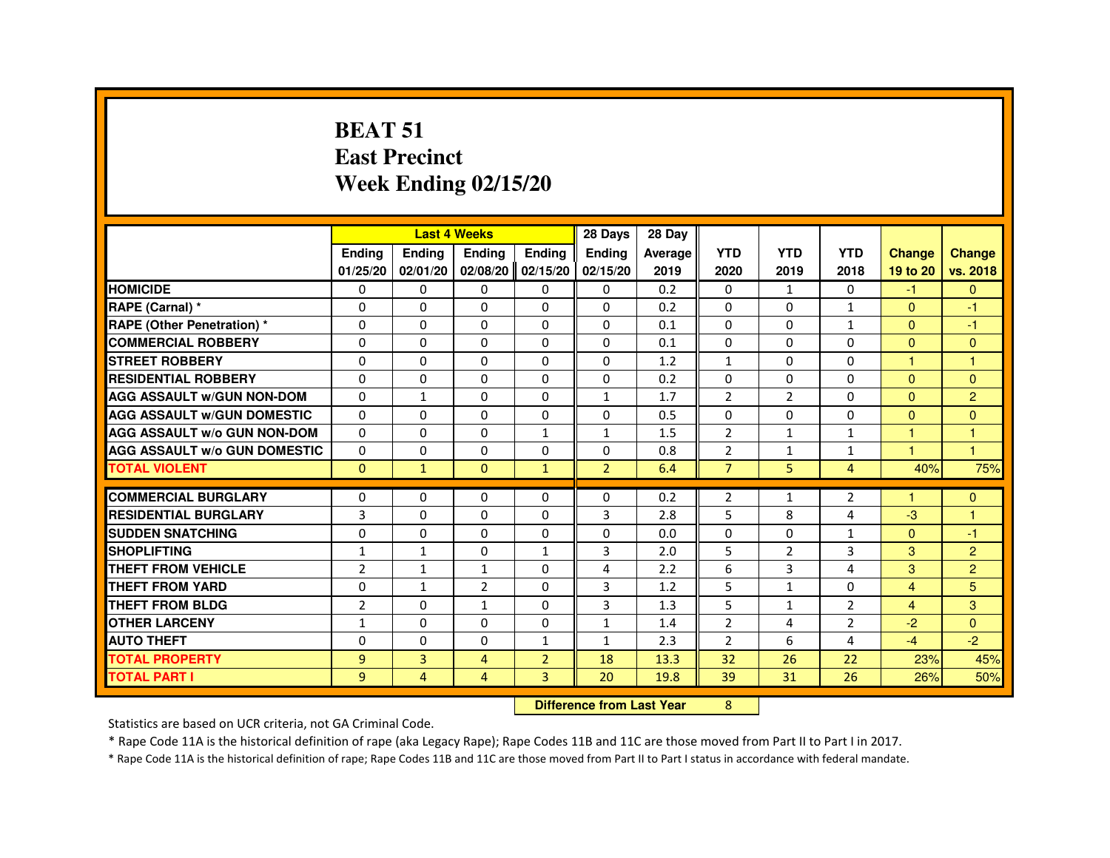#### **BEAT 51 East PrecinctWeek Ending 02/15/20**

|                                     |                |                | <b>Last 4 Weeks</b> |                | 28 Days                          | 28 Day  |                |                |                |                      |                      |
|-------------------------------------|----------------|----------------|---------------------|----------------|----------------------------------|---------|----------------|----------------|----------------|----------------------|----------------------|
|                                     | <b>Ending</b>  | Ending         | Ending              | <b>Ending</b>  | Ending                           | Average | <b>YTD</b>     | <b>YTD</b>     | <b>YTD</b>     | <b>Change</b>        | <b>Change</b>        |
|                                     | 01/25/20       | 02/01/20       | 02/08/20            | 02/15/20       | 02/15/20                         | 2019    | 2020           | 2019           | 2018           | 19 to 20             | vs. 2018             |
| <b>HOMICIDE</b>                     | 0              | $\Omega$       | $\Omega$            | $\Omega$       | $\mathbf{0}$                     | 0.2     | $\Omega$       | $\mathbf{1}$   | $\Omega$       | $-1$                 | $\overline{0}$       |
| <b>RAPE (Carnal)</b> *              | 0              | 0              | 0                   | $\Omega$       | $\Omega$                         | 0.2     | 0              | 0              | $\mathbf{1}$   | $\Omega$             | $-1$                 |
| <b>RAPE (Other Penetration) *</b>   | $\Omega$       | $\Omega$       | $\Omega$            | $\Omega$       | $\Omega$                         | 0.1     | $\Omega$       | $\Omega$       | $\mathbf{1}$   | $\Omega$             | $-1$                 |
| <b>COMMERCIAL ROBBERY</b>           | $\Omega$       | $\Omega$       | $\Omega$            | $\Omega$       | $\Omega$                         | 0.1     | $\Omega$       | $\Omega$       | $\Omega$       | $\Omega$             | $\Omega$             |
| <b>STREET ROBBERY</b>               | $\Omega$       | $\Omega$       | $\Omega$            | $\Omega$       | $\Omega$                         | 1.2     | $\mathbf{1}$   | $\Omega$       | $\Omega$       | $\mathbf{1}$         | $\overline{1}$       |
| <b>RESIDENTIAL ROBBERY</b>          | 0              | 0              | 0                   | $\Omega$       | $\Omega$                         | 0.2     | 0              | $\Omega$       | 0              | $\mathbf{0}$         | $\overline{0}$       |
| <b>AGG ASSAULT W/GUN NON-DOM</b>    | $\Omega$       | $\mathbf{1}$   | $\Omega$            | $\Omega$       | $\mathbf{1}$                     | 1.7     | $\overline{2}$ | $\overline{2}$ | $\Omega$       | $\Omega$             | $\overline{2}$       |
| <b>AGG ASSAULT W/GUN DOMESTIC</b>   | $\Omega$       | $\Omega$       | $\Omega$            | $\Omega$       | $\Omega$                         | 0.5     | $\Omega$       | $\Omega$       | $\Omega$       | $\Omega$             | $\overline{0}$       |
| <b>AGG ASSAULT W/o GUN NON-DOM</b>  | $\Omega$       | 0              | 0                   | 1              | 1                                | 1.5     | $\overline{2}$ | $\mathbf{1}$   | $\mathbf{1}$   | $\blacktriangleleft$ | $\blacktriangleleft$ |
| <b>AGG ASSAULT W/o GUN DOMESTIC</b> | $\Omega$       | $\Omega$       | $\Omega$            | $\Omega$       | $\Omega$                         | 0.8     | $\overline{2}$ | $\mathbf{1}$   | $\mathbf{1}$   | $\overline{1}$       | $\blacktriangleleft$ |
| <b>TOTAL VIOLENT</b>                | $\Omega$       | $\mathbf{1}$   | $\Omega$            | $\mathbf{1}$   | $\overline{2}$                   | 6.4     | $\overline{7}$ | 5              | $\overline{4}$ | 40%                  | 75%                  |
| <b>COMMERCIAL BURGLARY</b>          | 0              | 0              | 0                   | $\Omega$       | $\Omega$                         | 0.2     | $\overline{2}$ | $\mathbf{1}$   | $\overline{2}$ | -1                   | $\mathbf{0}$         |
| <b>RESIDENTIAL BURGLARY</b>         | 3              | $\Omega$       | $\Omega$            | $\Omega$       | $\overline{3}$                   | 2.8     | 5              | 8              | 4              | $-3$                 | $\overline{1}$       |
| <b>SUDDEN SNATCHING</b>             | $\Omega$       | $\Omega$       | $\Omega$            | $\Omega$       | $\Omega$                         | 0.0     | $\Omega$       | $\Omega$       | $\mathbf{1}$   | $\Omega$             | $-1$                 |
| <b>SHOPLIFTING</b>                  | 1              | $\mathbf{1}$   | 0                   | 1              | 3                                | 2.0     | 5              | $\overline{2}$ | 3              | 3                    | $\overline{2}$       |
| <b>THEFT FROM VEHICLE</b>           | $\overline{2}$ | $\mathbf{1}$   | $\mathbf{1}$        | $\Omega$       | $\overline{4}$                   | 2.2     | 6              | 3              | 4              | 3                    | $\overline{2}$       |
| <b>THEFT FROM YARD</b>              | $\Omega$       | $\mathbf{1}$   | $\overline{2}$      | $\Omega$       | 3                                | 1.2     | 5              | $\mathbf{1}$   | $\Omega$       | $\overline{4}$       | 5                    |
| <b>THEFT FROM BLDG</b>              | $\overline{2}$ | $\Omega$       | $\mathbf{1}$        | $\Omega$       | 3                                | 1.3     | 5              | $\mathbf{1}$   | $\overline{2}$ | $\overline{4}$       | 3                    |
| <b>OTHER LARCENY</b>                | $\mathbf{1}$   | $\Omega$       | $\Omega$            | $\Omega$       | $\mathbf{1}$                     | 1.4     | $\overline{2}$ | 4              | $\overline{2}$ | $-2$                 | $\Omega$             |
| <b>AUTO THEFT</b>                   | $\Omega$       | 0              | $\Omega$            | $\mathbf{1}$   | $\mathbf{1}$                     | 2.3     | 2              | 6              | 4              | $-4$                 | $-2$                 |
| <b>TOTAL PROPERTY</b>               | 9              | $\overline{3}$ | $\overline{4}$      | $\overline{2}$ | 18                               | 13.3    | 32             | 26             | 22             | 23%                  | 45%                  |
| <b>TOTAL PART I</b>                 | 9              | 4              | 4                   | 3              | 20                               | 19.8    | 39             | 31             | 26             | 26%                  | 50%                  |
|                                     |                |                |                     |                | <b>Difference from Last Year</b> |         | 8              |                |                |                      |                      |

 **Difference from Last Year**

Statistics are based on UCR criteria, not GA Criminal Code.

\* Rape Code 11A is the historical definition of rape (aka Legacy Rape); Rape Codes 11B and 11C are those moved from Part II to Part I in 2017.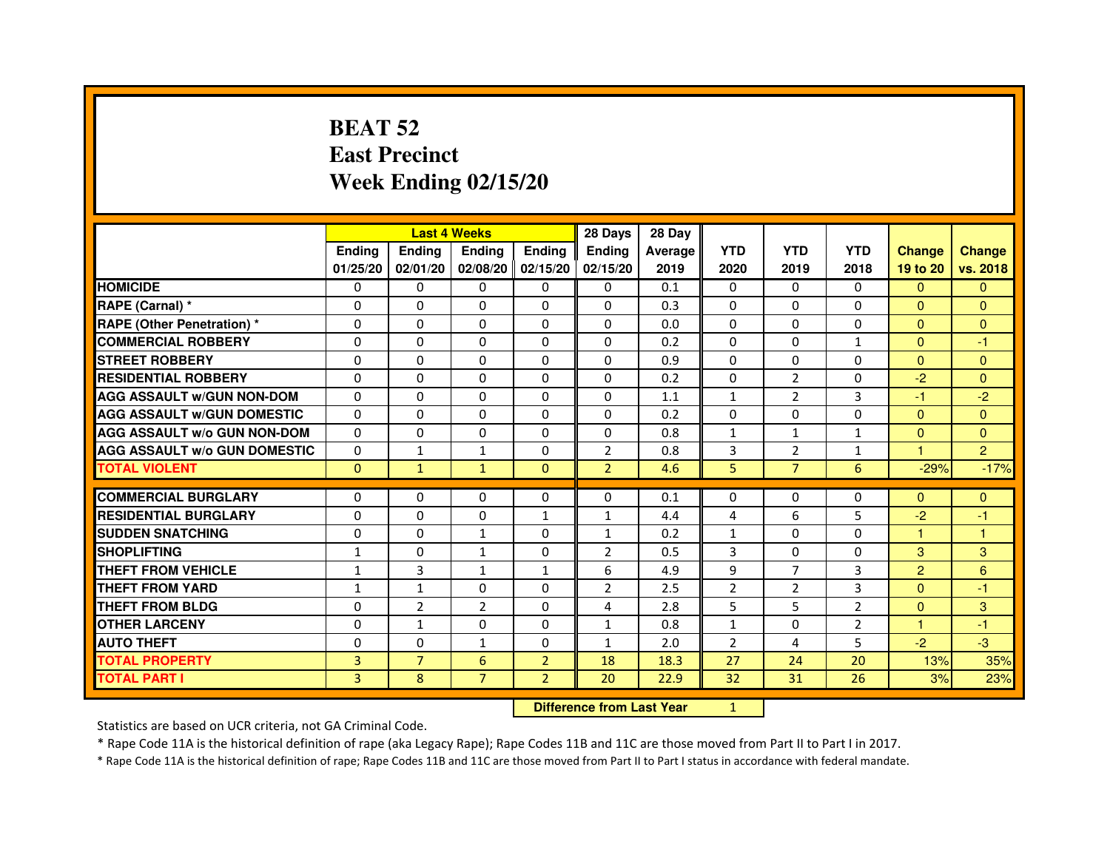# **BEAT 52 East PrecinctWeek Ending 02/15/20**

|                                     |               |                | <b>Last 4 Weeks</b> |                   | 28 Days        | 28 Day  |                |                |                |                |                |
|-------------------------------------|---------------|----------------|---------------------|-------------------|----------------|---------|----------------|----------------|----------------|----------------|----------------|
|                                     | <b>Endina</b> | <b>Endina</b>  | <b>Endina</b>       | Ending            | <b>Endina</b>  | Average | <b>YTD</b>     | <b>YTD</b>     | <b>YTD</b>     | <b>Change</b>  | <b>Change</b>  |
|                                     | 01/25/20      | 02/01/20       |                     | 02/08/20 02/15/20 | 02/15/20       | 2019    | 2020           | 2019           | 2018           | 19 to 20       | vs. 2018       |
| <b>HOMICIDE</b>                     | 0             | 0              | $\mathbf{0}$        | 0                 | 0              | 0.1     | $\mathbf{0}$   | 0              | $\mathbf{0}$   | $\mathbf{0}$   | $\mathbf{0}$   |
| RAPE (Carnal) *                     | $\Omega$      | $\Omega$       | $\Omega$            | $\Omega$          | $\Omega$       | 0.3     | $\Omega$       | $\Omega$       | $\Omega$       | $\Omega$       | $\Omega$       |
| <b>RAPE (Other Penetration) *</b>   | 0             | $\Omega$       | 0                   | $\mathbf{0}$      | $\Omega$       | 0.0     | $\Omega$       | $\Omega$       | $\Omega$       | $\Omega$       | $\Omega$       |
| <b>COMMERCIAL ROBBERY</b>           | 0             | 0              | 0                   | 0                 | $\Omega$       | 0.2     | $\Omega$       | $\Omega$       | $\mathbf{1}$   | $\Omega$       | $-1$           |
| <b>STREET ROBBERY</b>               | 0             | 0              | 0                   | 0                 | 0              | 0.9     | 0              | 0              | 0              | $\Omega$       | $\Omega$       |
| <b>RESIDENTIAL ROBBERY</b>          | 0             | $\Omega$       | $\Omega$            | $\Omega$          | $\Omega$       | 0.2     | $\Omega$       | 2              | $\Omega$       | $-2$           | $\Omega$       |
| <b>AGG ASSAULT W/GUN NON-DOM</b>    | $\Omega$      | $\mathbf 0$    | $\Omega$            | $\Omega$          | $\Omega$       | 1.1     | $\mathbf{1}$   | $\overline{2}$ | $\overline{3}$ | $-1$           | $-2$           |
| <b>AGG ASSAULT W/GUN DOMESTIC</b>   | 0             | 0              | 0                   | 0                 | $\Omega$       | 0.2     | 0              | 0              | $\Omega$       | $\Omega$       | $\Omega$       |
| <b>AGG ASSAULT W/o GUN NON-DOM</b>  | $\Omega$      | 0              | $\Omega$            | 0                 | $\Omega$       | 0.8     | $\mathbf{1}$   | $\mathbf{1}$   | 1              | $\Omega$       | $\Omega$       |
| <b>AGG ASSAULT W/o GUN DOMESTIC</b> | $\Omega$      | $\mathbf{1}$   | $\mathbf{1}$        | $\Omega$          | $\overline{2}$ | 0.8     | 3              | $\overline{2}$ | $\mathbf{1}$   | 1.             | $\overline{2}$ |
| <b>TOTAL VIOLENT</b>                | $\Omega$      | $\mathbf{1}$   | $\mathbf{1}$        | $\Omega$          | $\overline{2}$ | 4.6     | 5              | $\overline{7}$ | 6              | $-29%$         | $-17%$         |
|                                     |               |                |                     |                   |                |         |                |                |                |                |                |
| <b>COMMERCIAL BURGLARY</b>          | 0             | 0              | 0                   | 0                 | $\Omega$       | 0.1     | 0              | 0              | $\Omega$       | $\Omega$       | $\Omega$       |
| <b>RESIDENTIAL BURGLARY</b>         | 0             | $\Omega$       | 0                   | $\mathbf{1}$      | $\mathbf{1}$   | 4.4     | 4              | 6              | 5              | $-2$           | $-1$           |
| <b>SUDDEN SNATCHING</b>             | 0             | 0              | $\mathbf{1}$        | 0                 | $\mathbf{1}$   | 0.2     | $\mathbf{1}$   | $\Omega$       | $\Omega$       | 1              | 1              |
| <b>SHOPLIFTING</b>                  | $\mathbf{1}$  | 0              | $\mathbf{1}$        | $\Omega$          | $\overline{2}$ | 0.5     | 3              | $\Omega$       | $\Omega$       | 3              | 3              |
| <b>THEFT FROM VEHICLE</b>           | $\mathbf{1}$  | 3              | $\mathbf{1}$        | $\mathbf{1}$      | 6              | 4.9     | 9              | $\overline{7}$ | 3              | $\overline{2}$ | 6              |
| <b>THEFT FROM YARD</b>              | 1             | $\mathbf{1}$   | $\Omega$            | $\Omega$          | $\overline{2}$ | 2.5     | $\overline{2}$ | 2              | 3              | $\Omega$       | $-1$           |
| <b>THEFT FROM BLDG</b>              | 0             | $\overline{2}$ | $\overline{2}$      | 0                 | 4              | 2.8     | 5              | 5              | $\overline{2}$ | $\Omega$       | 3              |
| <b>OTHER LARCENY</b>                | 0             | $\mathbf{1}$   | $\Omega$            | $\Omega$          | $\mathbf{1}$   | 0.8     | $\mathbf{1}$   | 0              | $\overline{2}$ | 1              | $-1$           |
| <b>AUTO THEFT</b>                   | $\mathbf 0$   | 0              | $\mathbf{1}$        | $\Omega$          | $\mathbf{1}$   | 2.0     | $\overline{2}$ | 4              | 5              | $-2$           | $-3$           |
| <b>TOTAL PROPERTY</b>               | 3             | $\overline{7}$ | 6                   | $\overline{2}$    | 18             | 18.3    | 27             | 24             | 20             | 13%            | 35%            |
| <b>TOTAL PART I</b>                 | 3             | 8              | $\overline{7}$      | $\overline{2}$    | 20             | 22.9    | 32             | 31             | 26             | 3%             | 23%            |

 **Difference from Last Year**

<sup>1</sup>

Statistics are based on UCR criteria, not GA Criminal Code.

\* Rape Code 11A is the historical definition of rape (aka Legacy Rape); Rape Codes 11B and 11C are those moved from Part II to Part I in 2017.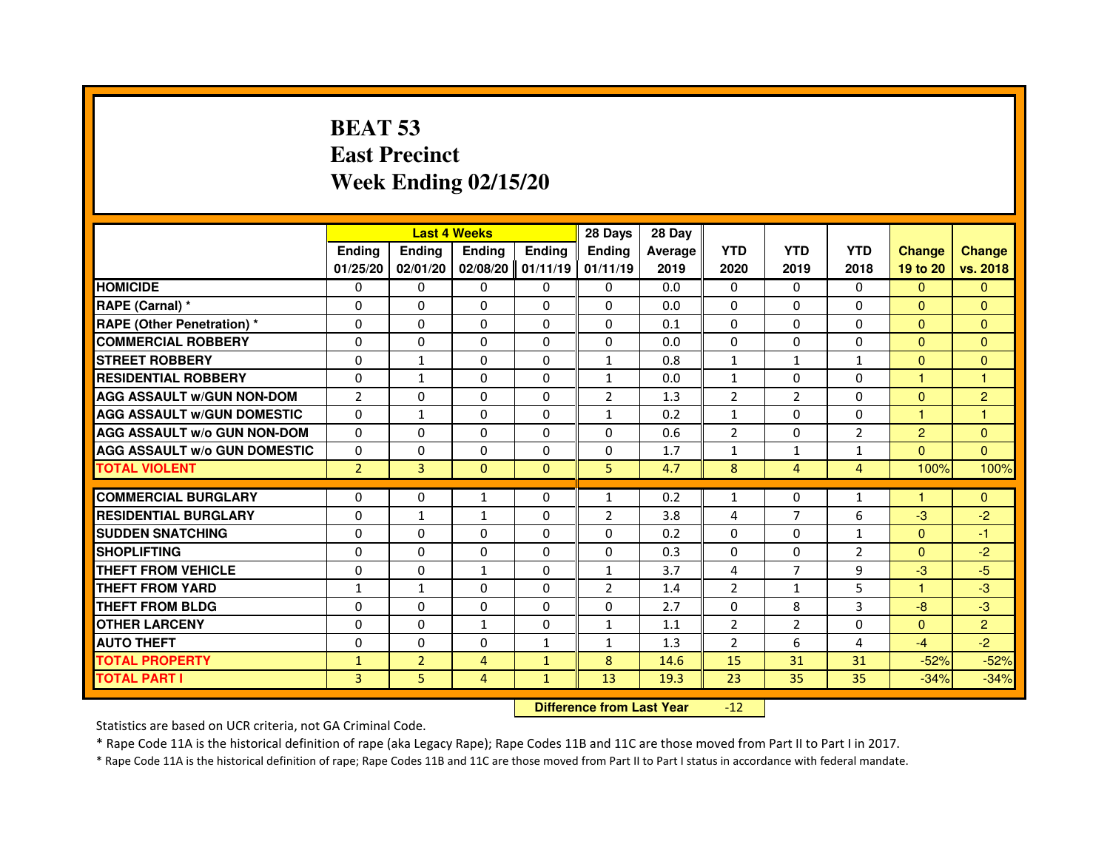# **BEAT 53 East PrecinctWeek Ending 02/15/20**

|                                     |                | <b>Last 4 Weeks</b> |                |                     | 28 Days        | 28 Day  |                |                |                |                      |                |
|-------------------------------------|----------------|---------------------|----------------|---------------------|----------------|---------|----------------|----------------|----------------|----------------------|----------------|
|                                     | <b>Endina</b>  | <b>Endina</b>       | <b>Endina</b>  | <b>Endina</b>       | <b>Endina</b>  | Average | <b>YTD</b>     | <b>YTD</b>     | <b>YTD</b>     | <b>Change</b>        | <b>Change</b>  |
|                                     | 01/25/20       | 02/01/20            |                | $02/08/20$ 01/11/19 | 01/11/19       | 2019    | 2020           | 2019           | 2018           | 19 to 20             | vs. 2018       |
| <b>HOMICIDE</b>                     | 0              | $\Omega$            | $\Omega$       | 0                   | 0              | 0.0     | $\mathbf{0}$   | $\Omega$       | $\Omega$       | $\Omega$             | $\Omega$       |
| RAPE (Carnal) *                     | $\Omega$       | $\Omega$            | $\Omega$       | $\Omega$            | $\Omega$       | 0.0     | $\Omega$       | $\Omega$       | $\Omega$       | $\Omega$             | $\Omega$       |
| <b>RAPE (Other Penetration) *</b>   | $\Omega$       | $\Omega$            | $\Omega$       | $\Omega$            | $\Omega$       | 0.1     | $\Omega$       | $\Omega$       | $\Omega$       | $\Omega$             | $\Omega$       |
| <b>COMMERCIAL ROBBERY</b>           | 0              | 0                   | 0              | 0                   | $\Omega$       | 0.0     | 0              | 0              | $\Omega$       | $\Omega$             | $\overline{0}$ |
| <b>STREET ROBBERY</b>               | $\Omega$       | $\mathbf{1}$        | 0              | 0                   | $\mathbf{1}$   | 0.8     | $\mathbf{1}$   | $\mathbf{1}$   | $\mathbf{1}$   | $\Omega$             | $\Omega$       |
| <b>RESIDENTIAL ROBBERY</b>          | $\Omega$       | $\mathbf{1}$        | $\Omega$       | $\Omega$            | $\mathbf{1}$   | 0.0     | $\mathbf{1}$   | $\Omega$       | $\Omega$       | $\mathbf{1}$         | 1              |
| <b>AGG ASSAULT W/GUN NON-DOM</b>    | $\overline{2}$ | $\Omega$            | $\Omega$       | $\Omega$            | $\overline{2}$ | 1.3     | $\overline{2}$ | $\overline{2}$ | $\Omega$       | $\Omega$             | $\overline{c}$ |
| <b>AGG ASSAULT W/GUN DOMESTIC</b>   | $\Omega$       | $\mathbf{1}$        | $\Omega$       | $\Omega$            | $\mathbf{1}$   | 0.2     | $\mathbf{1}$   | $\Omega$       | $\Omega$       | $\mathbf{1}$         | $\mathbf{1}$   |
| <b>AGG ASSAULT W/o GUN NON-DOM</b>  | $\Omega$       | $\Omega$            | $\Omega$       | 0                   | 0              | 0.6     | $\overline{2}$ | 0              | $\overline{2}$ | $\overline{2}$       | $\Omega$       |
| <b>AGG ASSAULT W/o GUN DOMESTIC</b> | $\Omega$       | 0                   | 0              | 0                   | 0              | 1.7     | $\mathbf{1}$   | $\mathbf{1}$   | $\mathbf{1}$   | $\Omega$             | $\Omega$       |
| <b>TOTAL VIOLENT</b>                | $\overline{2}$ | $\overline{3}$      | $\mathbf{0}$   | $\mathbf{0}$        | 5              | 4.7     | 8              | $\overline{4}$ | $\overline{4}$ | 100%                 | 100%           |
|                                     |                |                     |                |                     |                |         |                |                |                |                      |                |
| <b>COMMERCIAL BURGLARY</b>          | 0              | 0                   | $\mathbf{1}$   | 0                   | $\mathbf{1}$   | 0.2     | $\mathbf{1}$   | 0              | $\mathbf{1}$   | $\blacktriangleleft$ | $\mathbf{0}$   |
| <b>RESIDENTIAL BURGLARY</b>         | $\Omega$       | $\mathbf{1}$        | $\mathbf{1}$   | 0                   | $\overline{2}$ | 3.8     | 4              | $\overline{7}$ | 6              | $-3$                 | $-2$           |
| <b>SUDDEN SNATCHING</b>             | $\Omega$       | $\Omega$            | $\Omega$       | $\Omega$            | $\Omega$       | 0.2     | $\Omega$       | $\Omega$       | $\mathbf{1}$   | $\Omega$             | $-1$           |
| <b>SHOPLIFTING</b>                  | $\Omega$       | $\Omega$            | $\mathbf 0$    | $\Omega$            | $\Omega$       | 0.3     | $\Omega$       | $\Omega$       | $\overline{2}$ | $\Omega$             | $-2$           |
| <b>THEFT FROM VEHICLE</b>           | $\Omega$       | $\Omega$            | $\mathbf{1}$   | 0                   | $\mathbf{1}$   | 3.7     | 4              | $\overline{7}$ | 9              | $-3$                 | $-5$           |
| <b>THEFT FROM YARD</b>              | $\mathbf{1}$   | $\mathbf{1}$        | $\Omega$       | $\Omega$            | $\overline{2}$ | 1.4     | $\overline{2}$ | $\mathbf{1}$   | 5              | $\mathbf{1}$         | $-3$           |
| <b>THEFT FROM BLDG</b>              | $\Omega$       | $\Omega$            | $\Omega$       | $\Omega$            | 0              | 2.7     | $\mathbf{0}$   | 8              | 3              | $-8$                 | $-3$           |
| <b>OTHER LARCENY</b>                | $\Omega$       | $\Omega$            | $\mathbf{1}$   | $\Omega$            | $\mathbf{1}$   | 1.1     | $\overline{2}$ | $\overline{2}$ | $\Omega$       | $\Omega$             | $\overline{2}$ |
| <b>AUTO THEFT</b>                   | $\Omega$       | 0                   | 0              | $\mathbf{1}$        | $\mathbf{1}$   | 1.3     | $\overline{2}$ | 6              | 4              | $-4$                 | $-2$           |
| <b>TOTAL PROPERTY</b>               | $\mathbf{1}$   | $\overline{2}$      | $\overline{4}$ | $\mathbf{1}$        | 8              | 14.6    | 15             | 31             | 31             | $-52%$               | $-52%$         |
| <b>TOTAL PART I</b>                 | 3              | 5                   | $\overline{4}$ | $\mathbf{1}$        | 13             | 19.3    | 23             | 35             | 35             | $-34%$               | $-34%$         |

 **Difference from Last Year**-12

Statistics are based on UCR criteria, not GA Criminal Code.

\* Rape Code 11A is the historical definition of rape (aka Legacy Rape); Rape Codes 11B and 11C are those moved from Part II to Part I in 2017.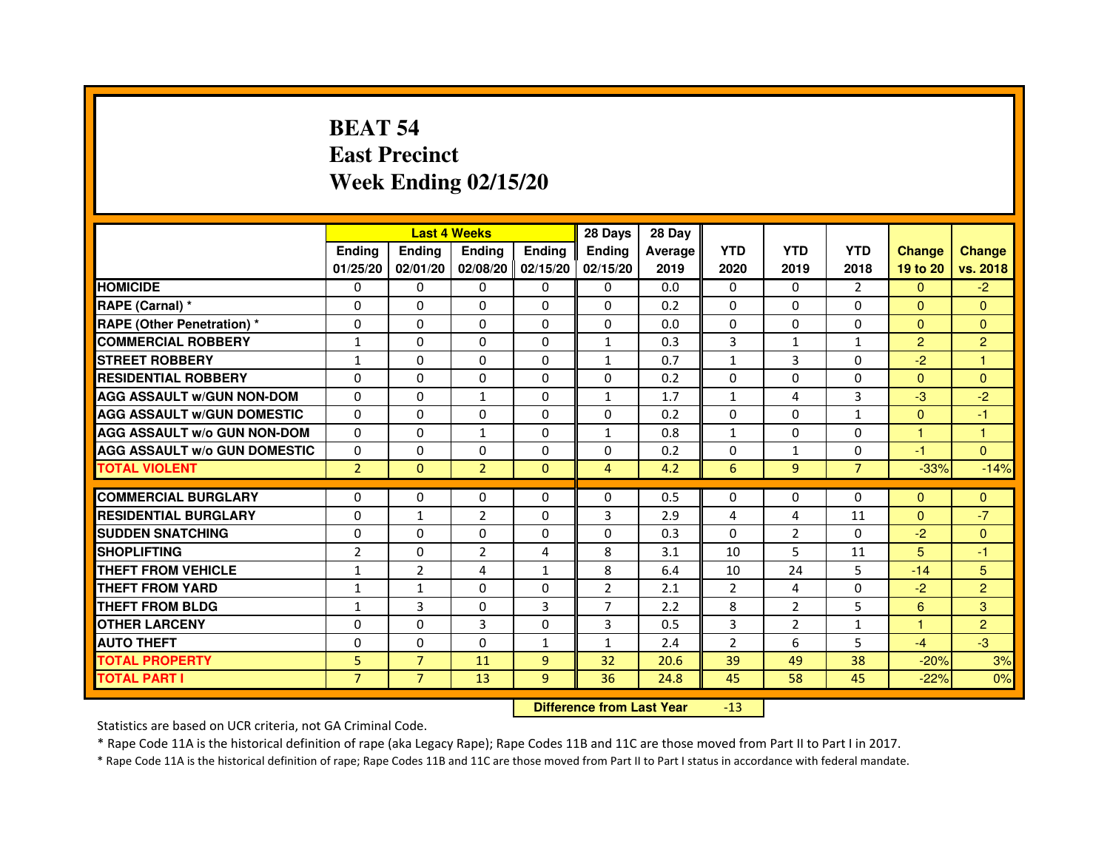# **BEAT 54 East PrecinctWeek Ending 02/15/20**

|                                     |                | <b>Last 4 Weeks</b> |                |                     | 28 Days        | 28 Day  |                |                |                |                |                |
|-------------------------------------|----------------|---------------------|----------------|---------------------|----------------|---------|----------------|----------------|----------------|----------------|----------------|
|                                     | <b>Endina</b>  | Ending              | <b>Endina</b>  | <b>Endina</b>       | <b>Endina</b>  | Average | <b>YTD</b>     | <b>YTD</b>     | <b>YTD</b>     | <b>Change</b>  | <b>Change</b>  |
|                                     | 01/25/20       | 02/01/20            |                | $02/08/20$ 02/15/20 | 02/15/20       | 2019    | 2020           | 2019           | 2018           | 19 to 20       | vs. 2018       |
| <b>HOMICIDE</b>                     | 0              | 0                   | 0              | $\Omega$            | 0              | 0.0     | $\mathbf{0}$   | $\Omega$       | 2              | $\mathbf{0}$   | $-2$           |
| RAPE (Carnal) *                     | $\Omega$       | $\Omega$            | $\Omega$       | $\Omega$            | $\Omega$       | 0.2     | $\Omega$       | $\Omega$       | $\Omega$       | $\Omega$       | $\Omega$       |
| <b>RAPE (Other Penetration)*</b>    | $\Omega$       | $\Omega$            | $\Omega$       | $\Omega$            | $\Omega$       | 0.0     | $\Omega$       | $\Omega$       | $\Omega$       | $\Omega$       | $\Omega$       |
| <b>COMMERCIAL ROBBERY</b>           | 1              | 0                   | 0              | 0                   | $\mathbf{1}$   | 0.3     | 3              | $\mathbf{1}$   | $\mathbf{1}$   | $\overline{2}$ | $\overline{2}$ |
| <b>STREET ROBBERY</b>               | $\mathbf{1}$   | $\Omega$            | 0              | $\Omega$            | $\mathbf{1}$   | 0.7     | $\mathbf{1}$   | 3              | 0              | $-2$           | 1              |
| <b>RESIDENTIAL ROBBERY</b>          | 0              | $\Omega$            | 0              | $\Omega$            | $\Omega$       | 0.2     | $\Omega$       | $\Omega$       | $\Omega$       | $\Omega$       | $\Omega$       |
| <b>AGG ASSAULT w/GUN NON-DOM</b>    | $\Omega$       | $\Omega$            | $\mathbf{1}$   | $\mathbf{0}$        | $\mathbf{1}$   | 1.7     | $\mathbf{1}$   | 4              | 3              | $-3$           | $-2$           |
| <b>AGG ASSAULT W/GUN DOMESTIC</b>   | $\Omega$       | $\Omega$            | $\Omega$       | $\Omega$            | $\Omega$       | 0.2     | $\Omega$       | $\Omega$       | $\mathbf{1}$   | $\Omega$       | $-1$           |
| <b>AGG ASSAULT W/o GUN NON-DOM</b>  | 0              | 0                   | 1              | 0                   | $\mathbf{1}$   | 0.8     | $\mathbf{1}$   | $\Omega$       | $\Omega$       | 1              | 1              |
| <b>AGG ASSAULT W/o GUN DOMESTIC</b> | 0              | 0                   | 0              | 0                   | 0              | 0.2     | 0              | $\mathbf{1}$   | 0              | $-1$           | $\Omega$       |
| <b>TOTAL VIOLENT</b>                | $\overline{2}$ | $\Omega$            | $\overline{2}$ | $\Omega$            | $\overline{4}$ | 4.2     | 6              | 9              | $\overline{7}$ | $-33%$         | $-14%$         |
|                                     |                |                     |                |                     |                |         |                |                |                |                |                |
| <b>COMMERCIAL BURGLARY</b>          | 0              | 0                   | 0              | 0                   | $\Omega$       | 0.5     | 0              | 0              | $\Omega$       | $\Omega$       | $\mathbf{0}$   |
| <b>RESIDENTIAL BURGLARY</b>         | 0              | $\mathbf{1}$        | $\overline{2}$ | $\mathbf{0}$        | 3              | 2.9     | 4              | 4              | 11             | $\Omega$       | $-7$           |
| <b>SUDDEN SNATCHING</b>             | 0              | $\Omega$            | $\Omega$       | $\Omega$            | $\Omega$       | 0.3     | $\Omega$       | 2              | $\Omega$       | $-2$           | $\Omega$       |
| <b>SHOPLIFTING</b>                  | $\overline{2}$ | $\Omega$            | $\overline{2}$ | 4                   | 8              | 3.1     | 10             | 5              | 11             | 5              | $-1$           |
| <b>THEFT FROM VEHICLE</b>           | $\mathbf{1}$   | $\overline{2}$      | 4              | $\mathbf{1}$        | 8              | 6.4     | 10             | 24             | 5              | $-14$          | 5              |
| <b>THEFT FROM YARD</b>              | 1              | $\mathbf{1}$        | $\Omega$       | $\Omega$            | $\overline{2}$ | 2.1     | $\overline{2}$ | 4              | $\Omega$       | $-2$           | $\overline{2}$ |
| <b>THEFT FROM BLDG</b>              | 1              | 3                   | 0              | 3                   | $\overline{7}$ | 2.2     | 8              | 2              | 5              | 6              | 3              |
| <b>OTHER LARCENY</b>                | 0              | 0                   | 3              | $\Omega$            | 3              | 0.5     | 3              | $\overline{2}$ | 1              | 1              | $\overline{2}$ |
| <b>AUTO THEFT</b>                   | $\mathbf 0$    | 0                   | 0              | $\mathbf{1}$        | $\mathbf{1}$   | 2.4     | $\overline{2}$ | 6              | 5              | $-4$           | $-3$           |
| <b>TOTAL PROPERTY</b>               | 5              | $\overline{7}$      | 11             | 9                   | 32             | 20.6    | 39             | 49             | 38             | $-20%$         | 3%             |
| <b>TOTAL PART I</b>                 | $\overline{7}$ | $\overline{7}$      | 13             | 9                   | 36             | 24.8    | 45             | 58             | 45             | $-22%$         | 0%             |

#### **Difference from Last Year**-13

Statistics are based on UCR criteria, not GA Criminal Code.

\* Rape Code 11A is the historical definition of rape (aka Legacy Rape); Rape Codes 11B and 11C are those moved from Part II to Part I in 2017.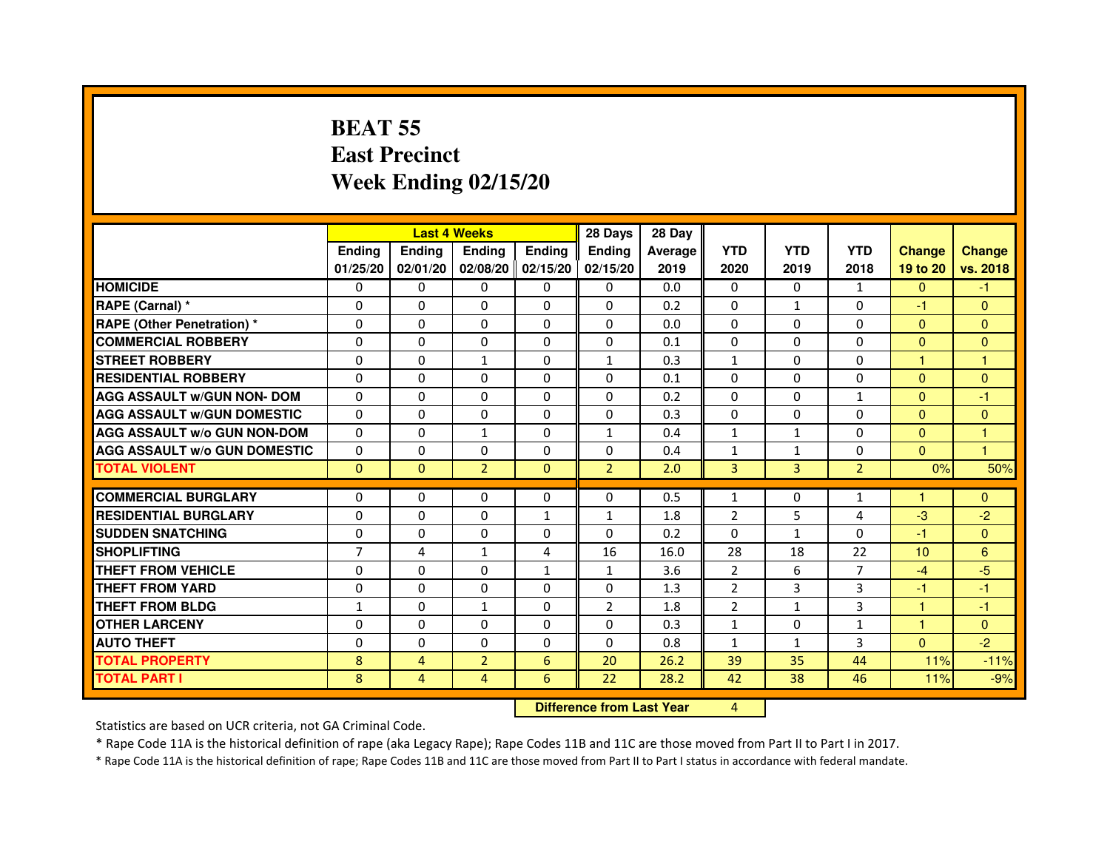## **BEAT 55 East PrecinctWeek Ending 02/15/20**

|                                     |                |                | <b>Last 4 Weeks</b> |                   | 28 Days        | 28 Day  |                |              |                |                 |                |
|-------------------------------------|----------------|----------------|---------------------|-------------------|----------------|---------|----------------|--------------|----------------|-----------------|----------------|
|                                     | <b>Endina</b>  | <b>Endina</b>  | <b>Endina</b>       | <b>Endina</b>     | <b>Endina</b>  | Average | <b>YTD</b>     | <b>YTD</b>   | <b>YTD</b>     | <b>Change</b>   | <b>Change</b>  |
|                                     | 01/25/20       | 02/01/20       |                     | 02/08/20 02/15/20 | 02/15/20       | 2019    | 2020           | 2019         | 2018           | 19 to 20        | vs. 2018       |
| <b>HOMICIDE</b>                     | $\Omega$       | $\Omega$       | $\Omega$            | $\mathbf{0}$      | 0              | 0.0     | $\Omega$       | $\Omega$     | $\mathbf{1}$   | $\Omega$        | $-1$           |
| RAPE (Carnal) *                     | $\Omega$       | $\Omega$       | $\Omega$            | $\Omega$          | $\Omega$       | 0.2     | $\Omega$       | $\mathbf{1}$ | $\Omega$       | $-1$            | $\mathbf{0}$   |
| <b>RAPE (Other Penetration) *</b>   | $\Omega$       | $\Omega$       | $\Omega$            | $\Omega$          | $\Omega$       | 0.0     | $\Omega$       | 0            | $\Omega$       | $\Omega$        | $\Omega$       |
| <b>COMMERCIAL ROBBERY</b>           | $\Omega$       | $\Omega$       | $\Omega$            | $\Omega$          | $\Omega$       | 0.1     | $\Omega$       | $\Omega$     | $\Omega$       | $\Omega$        | $\mathbf{0}$   |
| <b>STREET ROBBERY</b>               | $\Omega$       | $\Omega$       | $\mathbf{1}$        | $\Omega$          | 1              | 0.3     | $\mathbf{1}$   | 0            | 0              | 1               | 1              |
| <b>RESIDENTIAL ROBBERY</b>          | $\Omega$       | $\Omega$       | 0                   | 0                 | $\Omega$       | 0.1     | 0              | 0            | 0              | $\mathbf{0}$    | $\Omega$       |
| <b>AGG ASSAULT w/GUN NON- DOM</b>   | $\Omega$       | $\Omega$       | $\Omega$            | $\Omega$          | $\Omega$       | 0.2     | $\Omega$       | $\Omega$     | $\mathbf{1}$   | $\Omega$        | $-1$           |
| <b>AGG ASSAULT W/GUN DOMESTIC</b>   | $\Omega$       | $\Omega$       | $\Omega$            | $\Omega$          | $\Omega$       | 0.3     | $\Omega$       | $\Omega$     | $\Omega$       | $\Omega$        | $\mathbf{0}$   |
| <b>AGG ASSAULT w/o GUN NON-DOM</b>  | $\Omega$       | $\mathbf{0}$   | $\mathbf{1}$        | 0                 | $\mathbf{1}$   | 0.4     | $\mathbf{1}$   | $\mathbf{1}$ | $\Omega$       | $\Omega$        | 1              |
| <b>AGG ASSAULT W/o GUN DOMESTIC</b> | $\Omega$       | $\Omega$       | $\Omega$            | $\Omega$          | $\Omega$       | 0.4     | $\mathbf{1}$   | $\mathbf{1}$ | $\Omega$       | $\Omega$        | 1              |
| <b>TOTAL VIOLENT</b>                | $\Omega$       | $\Omega$       | $\overline{2}$      | $\Omega$          | $\overline{2}$ | 2.0     | 3              | 3            | $\overline{2}$ | 0%              | 50%            |
|                                     |                |                |                     |                   |                |         |                |              |                |                 |                |
| <b>COMMERCIAL BURGLARY</b>          | $\Omega$       | $\mathbf{0}$   | 0                   | 0                 | 0              | 0.5     | $\mathbf{1}$   | 0            | $\mathbf{1}$   | 1               | $\overline{0}$ |
| <b>RESIDENTIAL BURGLARY</b>         | $\Omega$       | $\Omega$       | $\Omega$            | $\mathbf{1}$      | 1              | 1.8     | $\overline{2}$ | 5            | $\overline{4}$ | $-3$            | $-2$           |
| <b>SUDDEN SNATCHING</b>             | $\Omega$       | $\Omega$       | $\Omega$            | $\Omega$          | $\Omega$       | 0.2     | $\Omega$       | $\mathbf{1}$ | $\Omega$       | $-1$            | $\Omega$       |
| <b>SHOPLIFTING</b>                  | $\overline{7}$ | 4              | $\mathbf{1}$        | 4                 | 16             | 16.0    | 28             | 18           | 22             | 10 <sup>1</sup> | 6              |
| THEFT FROM VEHICLE                  | $\Omega$       | $\Omega$       | $\Omega$            | $\mathbf{1}$      | $\mathbf{1}$   | 3.6     | 2              | 6            | 7              | $-4$            | $-5$           |
| <b>THEFT FROM YARD</b>              | $\Omega$       | $\Omega$       | $\Omega$            | $\Omega$          | $\Omega$       | 1.3     | $\overline{2}$ | 3            | 3              | $-1$            | $-1$           |
| THEFT FROM BLDG                     | $\mathbf{1}$   | $\mathbf{0}$   | $\mathbf{1}$        | 0                 | $\overline{2}$ | 1.8     | $\overline{2}$ | $\mathbf{1}$ | 3              | 1               | $-1$           |
| <b>OTHER LARCENY</b>                | $\Omega$       | $\Omega$       | $\Omega$            | $\Omega$          | $\Omega$       | 0.3     | $\mathbf{1}$   | $\Omega$     | $\mathbf{1}$   | $\mathbf{1}$    | $\Omega$       |
| <b>AUTO THEFT</b>                   | $\Omega$       | $\Omega$       | $\Omega$            | $\Omega$          | $\Omega$       | 0.8     | $\mathbf{1}$   | $\mathbf{1}$ | 3              | $\Omega$        | $-2$           |
| <b>TOTAL PROPERTY</b>               | 8              | 4              | $\overline{2}$      | 6                 | 20             | 26.2    | 39             | 35           | 44             | 11%             | $-11%$         |
| <b>TOTAL PART I</b>                 | 8              | $\overline{4}$ | $\overline{4}$      | 6                 | 22             | 28.2    | 42             | 38           | 46             | 11%             | $-9%$          |

**Difference from Last Year** 4

Statistics are based on UCR criteria, not GA Criminal Code.

\* Rape Code 11A is the historical definition of rape (aka Legacy Rape); Rape Codes 11B and 11C are those moved from Part II to Part I in 2017.